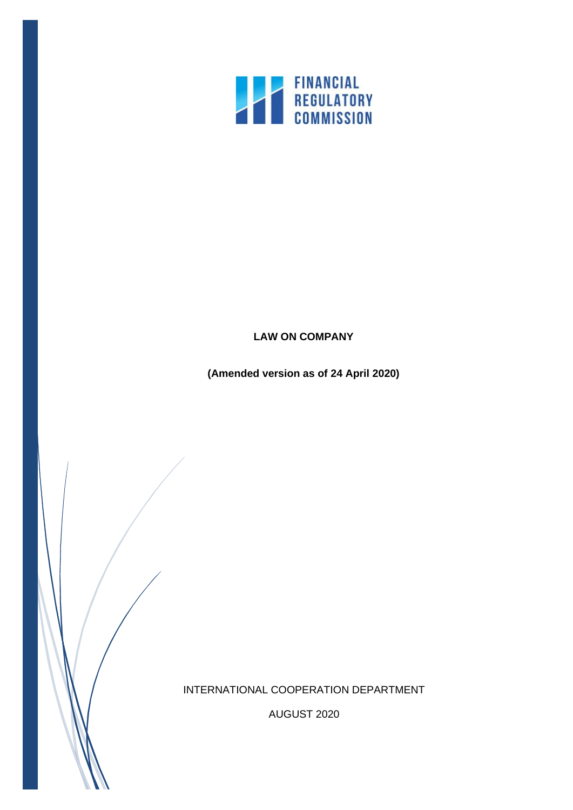

# **LAW ON COMPANY**

**(Amended version as of 24 April 2020)**

INTERNATIONAL COOPERATION DEPARTMENT

AUGUST 2020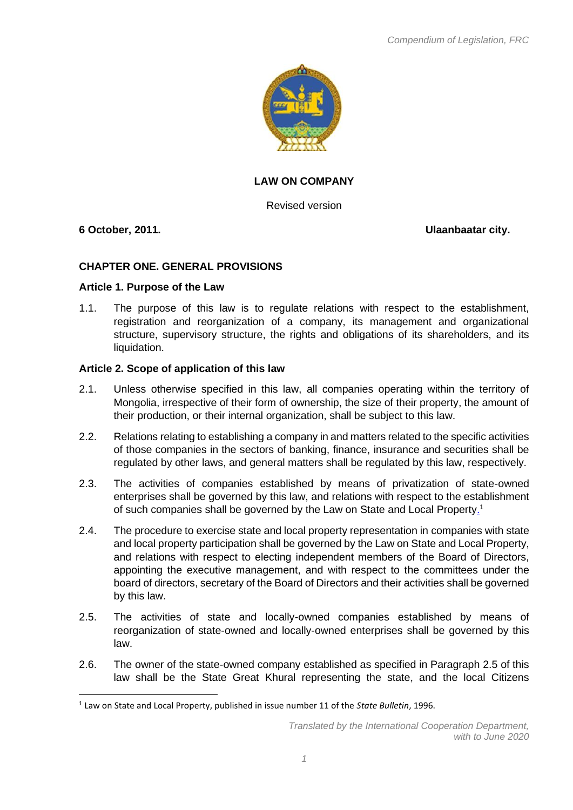

# **LAW ON COMPANY**

Revised version

**6 October, 2011. Ulaanbaatar city.**

# **CHAPTER ONE. GENERAL PROVISIONS**

#### **Article 1. Purpose of the Law**

1.1. The purpose of this law is to regulate relations with respect to the establishment, registration and reorganization of a company, its management and organizational structure, supervisory structure, the rights and obligations of its shareholders, and its liquidation.

## **Article 2. Scope of application of this law**

- 2.1. Unless otherwise specified in this law, all companies operating within the territory of Mongolia, irrespective of their form of ownership, the size of their property, the amount of their production, or their internal organization, shall be subject to this law.
- 2.2. Relations relating to establishing a company in and matters related to the specific activities of those companies in the sectors of banking, finance, insurance and securities shall be regulated by other laws, and general matters shall be regulated by this law, respectively.
- 2.3. The activities of companies established by means of privatization of state-owned enterprises shall be governed by this law, and relations with respect to the establishment of such companies shall be governed by the Law on State and Local Property.<sup>1</sup>
- 2.4. The procedure to exercise state and local property representation in companies with state and local property participation shall be governed by the Law on State and Local Property, and relations with respect to electing independent members of the Board of Directors, appointing the executive management, and with respect to the committees under the board of directors, secretary of the Board of Directors and their activities shall be governed by this law.
- 2.5. The activities of state and locally-owned companies established by means of reorganization of state-owned and locally-owned enterprises shall be governed by this law.
- 2.6. The owner of the state-owned company established as specified in Paragraph 2.5 of this law shall be the State Great Khural representing the state, and the local Citizens

<sup>1</sup> Law on State and Local Property, published in issue number 11 of the *State Bulletin*, 1996.

*Translated by the International Cooperation Department, with to June 2020*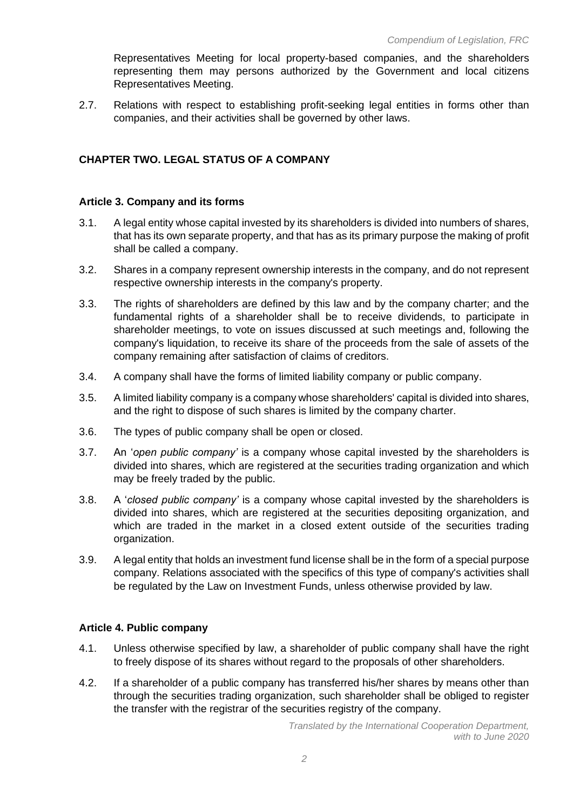Representatives Meeting for local property-based companies, and the shareholders representing them may persons authorized by the Government and local citizens Representatives Meeting.

2.7. Relations with respect to establishing profit-seeking legal entities in forms other than companies, and their activities shall be governed by other laws.

# **CHAPTER TWO. LEGAL STATUS OF A COMPANY**

#### **Article 3. Company and its forms**

- 3.1. A legal entity whose capital invested by its shareholders is divided into numbers of shares, that has its own separate property, and that has as its primary purpose the making of profit shall be called a company.
- 3.2. Shares in a company represent ownership interests in the company, and do not represent respective ownership interests in the company's property.
- 3.3. The rights of shareholders are defined by this law and by the company charter; and the fundamental rights of a shareholder shall be to receive dividends, to participate in shareholder meetings, to vote on issues discussed at such meetings and, following the company's liquidation, to receive its share of the proceeds from the sale of assets of the company remaining after satisfaction of claims of creditors.
- 3.4. A company shall have the forms of limited liability company or public company.
- 3.5. A limited liability company is a company whose shareholders' capital is divided into shares, and the right to dispose of such shares is limited by the company charter.
- 3.6. The types of public company shall be open or closed.
- 3.7. An '*open public company'* is a company whose capital invested by the shareholders is divided into shares, which are registered at the securities trading organization and which may be freely traded by the public.
- 3.8. A '*closed public company'* is a company whose capital invested by the shareholders is divided into shares, which are registered at the securities depositing organization, and which are traded in the market in a closed extent outside of the securities trading organization.
- 3.9. A legal entity that holds an investment fund license shall be in the form of a special purpose company. Relations associated with the specifics of this type of company's activities shall be regulated by the Law on Investment Funds, unless otherwise provided by law.

## **Article 4. Public company**

- 4.1. Unless otherwise specified by law, a shareholder of public company shall have the right to freely dispose of its shares without regard to the proposals of other shareholders.
- 4.2. If a shareholder of a public company has transferred his/her shares by means other than through the securities trading organization, such shareholder shall be obliged to register the transfer with the registrar of the securities registry of the company.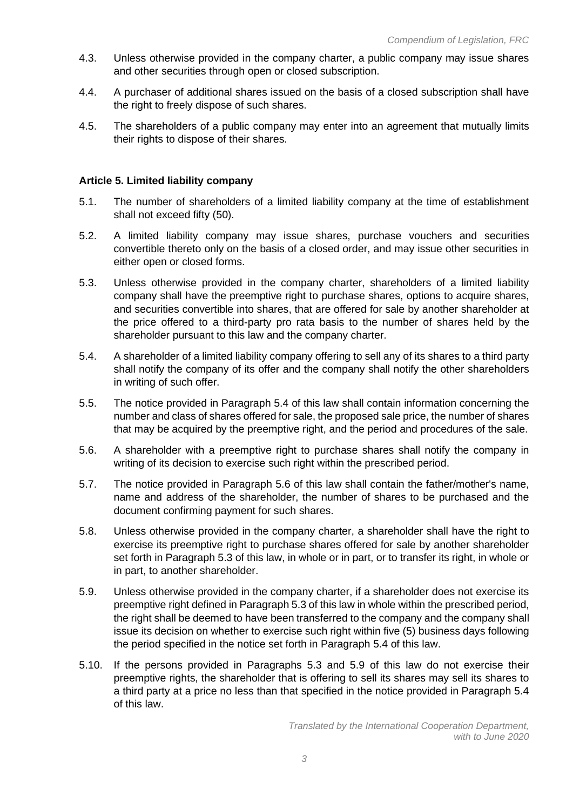- 4.3. Unless otherwise provided in the company charter, a public company may issue shares and other securities through open or closed subscription.
- 4.4. A purchaser of additional shares issued on the basis of a closed subscription shall have the right to freely dispose of such shares.
- 4.5. The shareholders of a public company may enter into an agreement that mutually limits their rights to dispose of their shares.

## **Article 5. Limited liability company**

- 5.1. The number of shareholders of a limited liability company at the time of establishment shall not exceed fifty (50).
- 5.2. A limited liability company may issue shares, purchase vouchers and securities convertible thereto only on the basis of a closed order, and may issue other securities in either open or closed forms.
- 5.3. Unless otherwise provided in the company charter, shareholders of a limited liability company shall have the preemptive right to purchase shares, options to acquire shares, and securities convertible into shares, that are offered for sale by another shareholder at the price offered to a third-party pro rata basis to the number of shares held by the shareholder pursuant to this law and the company charter.
- 5.4. A shareholder of a limited liability company offering to sell any of its shares to a third party shall notify the company of its offer and the company shall notify the other shareholders in writing of such offer.
- 5.5. The notice provided in Paragraph 5.4 of this law shall contain information concerning the number and class of shares offered for sale, the proposed sale price, the number of shares that may be acquired by the preemptive right, and the period and procedures of the sale.
- 5.6. A shareholder with a preemptive right to purchase shares shall notify the company in writing of its decision to exercise such right within the prescribed period.
- 5.7. The notice provided in Paragraph 5.6 of this law shall contain the father/mother's name, name and address of the shareholder, the number of shares to be purchased and the document confirming payment for such shares.
- 5.8. Unless otherwise provided in the company charter, a shareholder shall have the right to exercise its preemptive right to purchase shares offered for sale by another shareholder set forth in Paragraph 5.3 of this law, in whole or in part, or to transfer its right, in whole or in part, to another shareholder.
- 5.9. Unless otherwise provided in the company charter, if a shareholder does not exercise its preemptive right defined in Paragraph 5.3 of this law in whole within the prescribed period, the right shall be deemed to have been transferred to the company and the company shall issue its decision on whether to exercise such right within five (5) business days following the period specified in the notice set forth in Paragraph 5.4 of this law.
- 5.10. If the persons provided in Paragraphs 5.3 and 5.9 of this law do not exercise their preemptive rights, the shareholder that is offering to sell its shares may sell its shares to a third party at a price no less than that specified in the notice provided in Paragraph 5.4 of this law.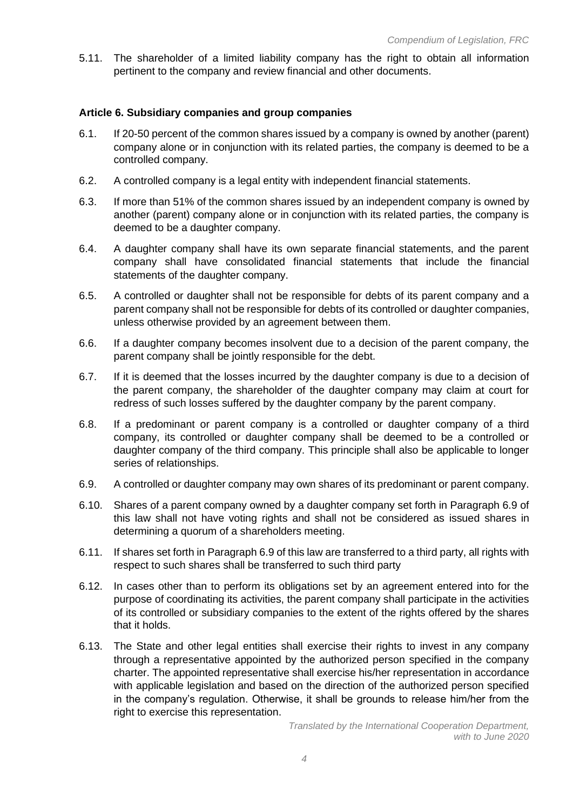5.11. The shareholder of a limited liability company has the right to obtain all information pertinent to the company and review financial and other documents.

#### **Article 6. Subsidiary companies and group companies**

- 6.1. If 20-50 percent of the common shares issued by a company is owned by another (parent) company alone or in conjunction with its related parties, the company is deemed to be a controlled company.
- 6.2. A controlled company is a legal entity with independent financial statements.
- 6.3. If more than 51% of the common shares issued by an independent company is owned by another (parent) company alone or in conjunction with its related parties, the company is deemed to be a daughter company.
- 6.4. A daughter company shall have its own separate financial statements, and the parent company shall have consolidated financial statements that include the financial statements of the daughter company.
- 6.5. A controlled or daughter shall not be responsible for debts of its parent company and a parent company shall not be responsible for debts of its controlled or daughter companies, unless otherwise provided by an agreement between them.
- 6.6. If a daughter company becomes insolvent due to a decision of the parent company, the parent company shall be jointly responsible for the debt.
- 6.7. If it is deemed that the losses incurred by the daughter company is due to a decision of the parent company, the shareholder of the daughter company may claim at court for redress of such losses suffered by the daughter company by the parent company.
- 6.8. If a predominant or parent company is a controlled or daughter company of a third company, its controlled or daughter company shall be deemed to be a controlled or daughter company of the third company. This principle shall also be applicable to longer series of relationships.
- 6.9. A controlled or daughter company may own shares of its predominant or parent company.
- 6.10. Shares of a parent company owned by a daughter company set forth in Paragraph 6.9 of this law shall not have voting rights and shall not be considered as issued shares in determining a quorum of a shareholders meeting.
- 6.11. If shares set forth in Paragraph 6.9 of this law are transferred to a third party, all rights with respect to such shares shall be transferred to such third party
- 6.12. In cases other than to perform its obligations set by an agreement entered into for the purpose of coordinating its activities, the parent company shall participate in the activities of its controlled or subsidiary companies to the extent of the rights offered by the shares that it holds.
- 6.13. The State and other legal entities shall exercise their rights to invest in any company through a representative appointed by the authorized person specified in the company charter. The appointed representative shall exercise his/her representation in accordance with applicable legislation and based on the direction of the authorized person specified in the company's regulation. Otherwise, it shall be grounds to release him/her from the right to exercise this representation.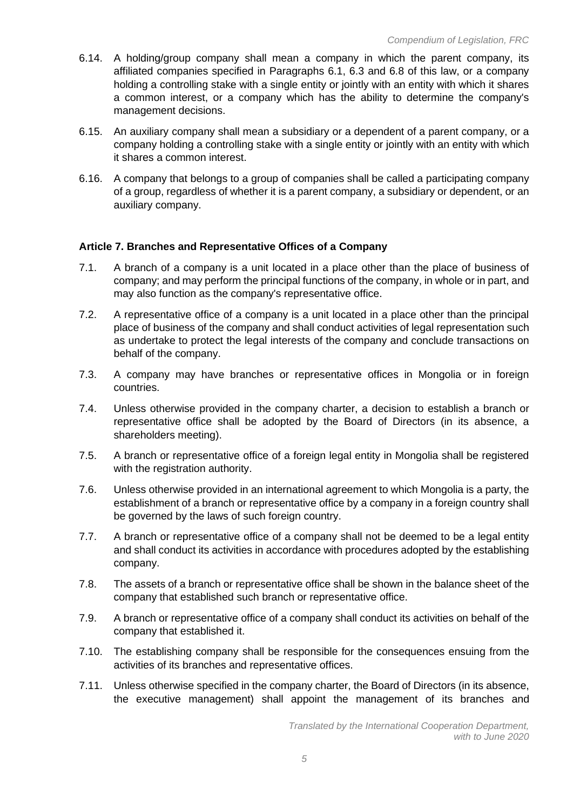- 6.14. A holding/group company shall mean a company in which the parent company, its affiliated companies specified in Paragraphs 6.1, 6.3 and 6.8 of this law, or a company holding a controlling stake with a single entity or jointly with an entity with which it shares a common interest, or a company which has the ability to determine the company's management decisions.
- 6.15. An auxiliary company shall mean a subsidiary or a dependent of a parent company, or a company holding a controlling stake with a single entity or jointly with an entity with which it shares a common interest.
- 6.16. A company that belongs to a group of companies shall be called a participating company of a group, regardless of whether it is a parent company, a subsidiary or dependent, or an auxiliary company.

## **Article 7. Branches and Representative Offices of a Company**

- 7.1. A branch of a company is a unit located in a place other than the place of business of company; and may perform the principal functions of the company, in whole or in part, and may also function as the company's representative office.
- 7.2. A representative office of a company is a unit located in a place other than the principal place of business of the company and shall conduct activities of legal representation such as undertake to protect the legal interests of the company and conclude transactions on behalf of the company.
- 7.3. A company may have branches or representative offices in Mongolia or in foreign countries.
- 7.4. Unless otherwise provided in the company charter, a decision to establish a branch or representative office shall be adopted by the Board of Directors (in its absence, a shareholders meeting).
- 7.5. A branch or representative office of a foreign legal entity in Mongolia shall be registered with the registration authority.
- 7.6. Unless otherwise provided in an international agreement to which Mongolia is a party, the establishment of a branch or representative office by a company in a foreign country shall be governed by the laws of such foreign country.
- 7.7. A branch or representative office of a company shall not be deemed to be a legal entity and shall conduct its activities in accordance with procedures adopted by the establishing company.
- 7.8. The assets of a branch or representative office shall be shown in the balance sheet of the company that established such branch or representative office.
- 7.9. A branch or representative office of a company shall conduct its activities on behalf of the company that established it.
- 7.10. The establishing company shall be responsible for the consequences ensuing from the activities of its branches and representative offices.
- 7.11. Unless otherwise specified in the company charter, the Board of Directors (in its absence, the executive management) shall appoint the management of its branches and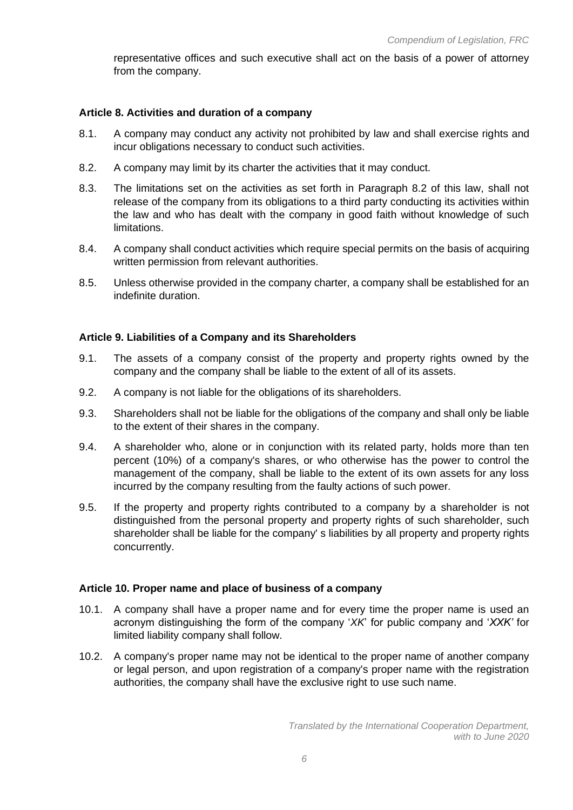representative offices and such executive shall act on the basis of a power of attorney from the company.

# **Article 8. Activities and duration of a company**

- 8.1. A company may conduct any activity not prohibited by law and shall exercise rights and incur obligations necessary to conduct such activities.
- 8.2. A company may limit by its charter the activities that it may conduct.
- 8.3. The limitations set on the activities as set forth in Paragraph 8.2 of this law, shall not release of the company from its obligations to a third party conducting its activities within the law and who has dealt with the company in good faith without knowledge of such limitations.
- 8.4. A company shall conduct activities which require special permits on the basis of acquiring written permission from relevant authorities.
- 8.5. Unless otherwise provided in the company charter, a company shall be established for an indefinite duration.

# **Article 9. Liabilities of a Company and its Shareholders**

- 9.1. The assets of a company consist of the property and property rights owned by the company and the company shall be liable to the extent of all of its assets.
- 9.2. A company is not liable for the obligations of its shareholders.
- 9.3. Shareholders shall not be liable for the obligations of the company and shall only be liable to the extent of their shares in the company.
- 9.4. A shareholder who, alone or in conjunction with its related party, holds more than ten percent (10%) of a company's shares, or who otherwise has the power to control the management of the company, shall be liable to the extent of its own assets for any loss incurred by the company resulting from the faulty actions of such power.
- 9.5. If the property and property rights contributed to a company by a shareholder is not distinguished from the personal property and property rights of such shareholder, such shareholder shall be liable for the company' s liabilities by all property and property rights concurrently.

# **Article 10. Proper name and place of business of a company**

- 10.1. A company shall have a proper name and for every time the proper name is used an acronym distinguishing the form of the company '*XK*' for public company and '*XXK'* for limited liability company shall follow.
- 10.2. A company's proper name may not be identical to the proper name of another company or legal person, and upon registration of a company's proper name with the registration authorities, the company shall have the exclusive right to use such name.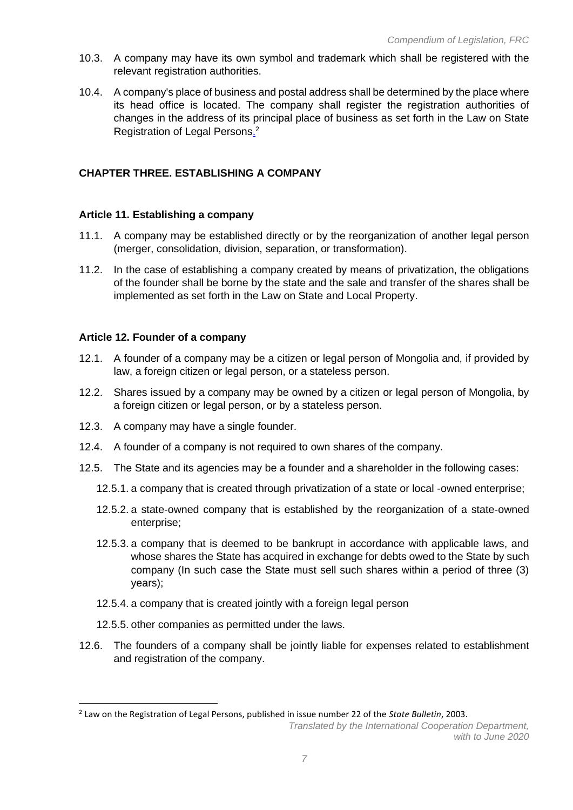- 10.3. A company may have its own symbol and trademark which shall be registered with the relevant registration authorities.
- 10.4. A company's place of business and postal address shall be determined by the place where its head office is located. The company shall register the registration authorities of changes in the address of its principal place of business as set forth in the Law on State Registration of Legal Persons.<sup>2</sup>

# **CHAPTER THREE. ESTABLISHING A COMPANY**

#### **Article 11. Establishing a company**

- 11.1. A company may be established directly or by the reorganization of another legal person (merger, consolidation, division, separation, or transformation).
- 11.2. In the case of establishing a company created by means of privatization, the obligations of the founder shall be borne by the state and the sale and transfer of the shares shall be implemented as set forth in the Law on State and Local Property.

#### **Article 12. Founder of a company**

- 12.1. A founder of a company may be a citizen or legal person of Mongolia and, if provided by law, a foreign citizen or legal person, or a stateless person.
- 12.2. Shares issued by a company may be owned by a citizen or legal person of Mongolia, by a foreign citizen or legal person, or by a stateless person.
- 12.3. A company may have a single founder.
- 12.4. A founder of a company is not required to own shares of the company.
- 12.5. The State and its agencies may be a founder and a shareholder in the following cases:
	- 12.5.1. a company that is created through privatization of a state or local -owned enterprise;
	- 12.5.2. a state-owned company that is established by the reorganization of a state-owned enterprise;
	- 12.5.3. a company that is deemed to be bankrupt in accordance with applicable laws, and whose shares the State has acquired in exchange for debts owed to the State by such company (In such case the State must sell such shares within a period of three (3) years);
	- 12.5.4. a company that is created jointly with a foreign legal person
	- 12.5.5. other companies as permitted under the laws.
- 12.6. The founders of a company shall be jointly liable for expenses related to establishment and registration of the company.

<sup>2</sup> Law on the Registration of Legal Persons, published in issue number 22 of the *State Bulletin*, 2003.

*Translated by the International Cooperation Department, with to June 2020*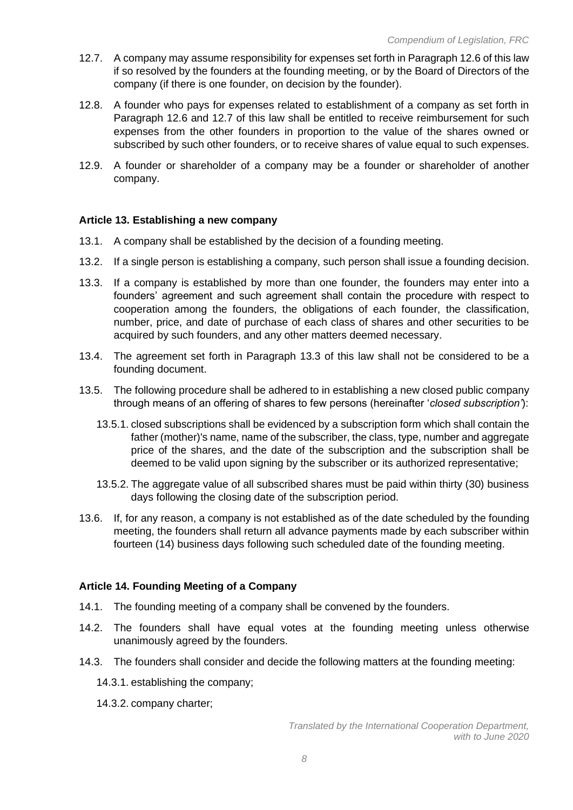- 12.7. A company may assume responsibility for expenses set forth in Paragraph 12.6 of this law if so resolved by the founders at the founding meeting, or by the Board of Directors of the company (if there is one founder, on decision by the founder).
- 12.8. A founder who pays for expenses related to establishment of a company as set forth in Paragraph 12.6 and 12.7 of this law shall be entitled to receive reimbursement for such expenses from the other founders in proportion to the value of the shares owned or subscribed by such other founders, or to receive shares of value equal to such expenses.
- 12.9. A founder or shareholder of a company may be a founder or shareholder of another company.

#### **Article 13. Establishing a new company**

- 13.1. A company shall be established by the decision of a founding meeting.
- 13.2. If a single person is establishing a company, such person shall issue a founding decision.
- 13.3. If a company is established by more than one founder, the founders may enter into a founders' agreement and such agreement shall contain the procedure with respect to cooperation among the founders, the obligations of each founder, the classification, number, price, and date of purchase of each class of shares and other securities to be acquired by such founders, and any other matters deemed necessary.
- 13.4. The agreement set forth in Paragraph 13.3 of this law shall not be considered to be a founding document.
- 13.5. The following procedure shall be adhered to in establishing a new closed public company through means of an offering of shares to few persons (hereinafter '*closed subscription'*):
	- 13.5.1. closed subscriptions shall be evidenced by a subscription form which shall contain the father (mother)'s name, name of the subscriber, the class, type, number and aggregate price of the shares, and the date of the subscription and the subscription shall be deemed to be valid upon signing by the subscriber or its authorized representative;
	- 13.5.2. The aggregate value of all subscribed shares must be paid within thirty (30) business days following the closing date of the subscription period.
- 13.6. If, for any reason, a company is not established as of the date scheduled by the founding meeting, the founders shall return all advance payments made by each subscriber within fourteen (14) business days following such scheduled date of the founding meeting.

#### **Article 14. Founding Meeting of a Company**

- 14.1. The founding meeting of a company shall be convened by the founders.
- 14.2. The founders shall have equal votes at the founding meeting unless otherwise unanimously agreed by the founders.
- 14.3. The founders shall consider and decide the following matters at the founding meeting:
	- 14.3.1. establishing the company;
	- 14.3.2. company charter;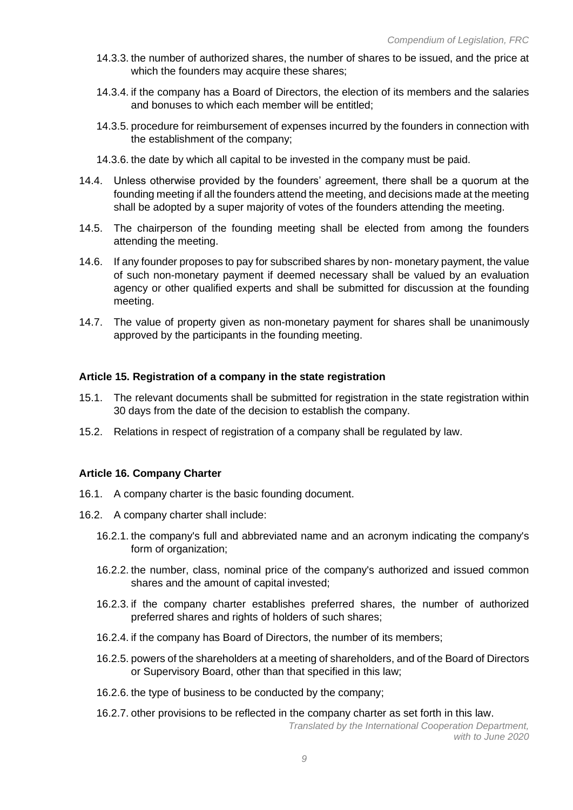- 14.3.3. the number of authorized shares, the number of shares to be issued, and the price at which the founders may acquire these shares;
- 14.3.4. if the company has a Board of Directors, the election of its members and the salaries and bonuses to which each member will be entitled;
- 14.3.5. procedure for reimbursement of expenses incurred by the founders in connection with the establishment of the company;
- 14.3.6. the date by which all capital to be invested in the company must be paid.
- 14.4. Unless otherwise provided by the founders' agreement, there shall be a quorum at the founding meeting if all the founders attend the meeting, and decisions made at the meeting shall be adopted by a super majority of votes of the founders attending the meeting.
- 14.5. The chairperson of the founding meeting shall be elected from among the founders attending the meeting.
- 14.6. If any founder proposes to pay for subscribed shares by non- monetary payment, the value of such non-monetary payment if deemed necessary shall be valued by an evaluation agency or other qualified experts and shall be submitted for discussion at the founding meeting.
- 14.7. The value of property given as non-monetary payment for shares shall be unanimously approved by the participants in the founding meeting.

## **Article 15. Registration of a company in the state registration**

- 15.1. The relevant documents shall be submitted for registration in the state registration within 30 days from the date of the decision to establish the company.
- 15.2. Relations in respect of registration of a company shall be regulated by law.

## **Article 16. Company Charter**

- 16.1. A company charter is the basic founding document.
- 16.2. A company charter shall include:
	- 16.2.1. the company's full and abbreviated name and an acronym indicating the company's form of organization;
	- 16.2.2. the number, class, nominal price of the company's authorized and issued common shares and the amount of capital invested;
	- 16.2.3. if the company charter establishes preferred shares, the number of authorized preferred shares and rights of holders of such shares;
	- 16.2.4. if the company has Board of Directors, the number of its members;
	- 16.2.5. powers of the shareholders at a meeting of shareholders, and of the Board of Directors or Supervisory Board, other than that specified in this law;
	- 16.2.6. the type of business to be conducted by the company;
	- 16.2.7. other provisions to be reflected in the company charter as set forth in this law.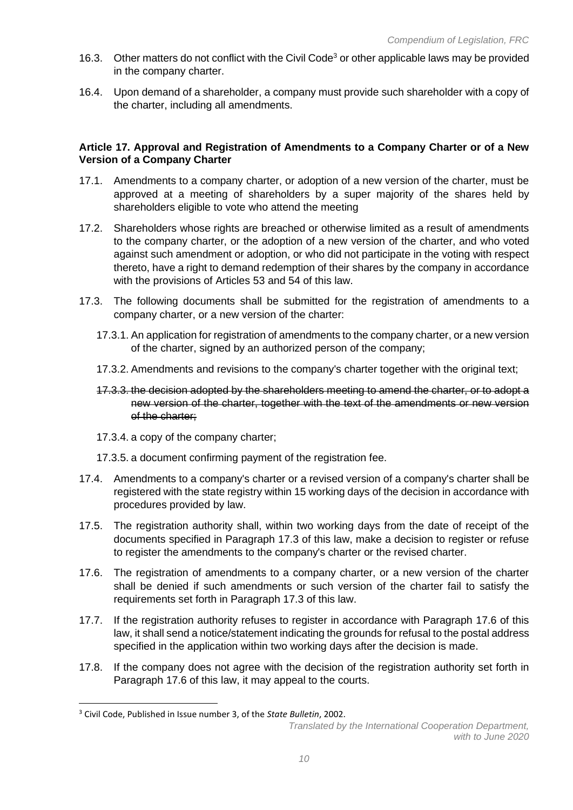- 16.3. Other matters do not conflict with the Civil Code<sup>3</sup> or other applicable laws may be provided in the company charter.
- 16.4. Upon demand of a shareholder, a company must provide such shareholder with a copy of the charter, including all amendments.

## **Article 17. Approval and Registration of Amendments to a Company Charter or of a New Version of a Company Charter**

- 17.1. Amendments to a company charter, or adoption of a new version of the charter, must be approved at a meeting of shareholders by a super majority of the shares held by shareholders eligible to vote who attend the meeting
- 17.2. Shareholders whose rights are breached or otherwise limited as a result of amendments to the company charter, or the adoption of a new version of the charter, and who voted against such amendment or adoption, or who did not participate in the voting with respect thereto, have a right to demand redemption of their shares by the company in accordance with the provisions of Articles 53 and 54 of this law.
- 17.3. The following documents shall be submitted for the registration of amendments to a company charter, or a new version of the charter:
	- 17.3.1. An application for registration of amendments to the company charter, or a new version of the charter, signed by an authorized person of the company;
	- 17.3.2. Amendments and revisions to the company's charter together with the original text;
	- 17.3.3. the decision adopted by the shareholders meeting to amend the charter, or to adopt a new version of the charter, together with the text of the amendments or new version of the charter;
	- 17.3.4. a copy of the company charter;
	- 17.3.5. a document confirming payment of the registration fee.
- 17.4. Amendments to a company's charter or a revised version of a company's charter shall be registered with the state registry within 15 working days of the decision in accordance with procedures provided by law.
- 17.5. The registration authority shall, within two working days from the date of receipt of the documents specified in Paragraph 17.3 of this law, make a decision to register or refuse to register the amendments to the company's charter or the revised charter.
- 17.6. The registration of amendments to a company charter, or a new version of the charter shall be denied if such amendments or such version of the charter fail to satisfy the requirements set forth in Paragraph 17.3 of this law.
- 17.7. If the registration authority refuses to register in accordance with Paragraph 17.6 of this law, it shall send a notice/statement indicating the grounds for refusal to the postal address specified in the application within two working days after the decision is made.
- 17.8. If the company does not agree with the decision of the registration authority set forth in Paragraph 17.6 of this law, it may appeal to the courts.

<sup>3</sup> Civil Code, Published in Issue number 3, of the *State Bulletin*, 2002.

*Translated by the International Cooperation Department, with to June 2020*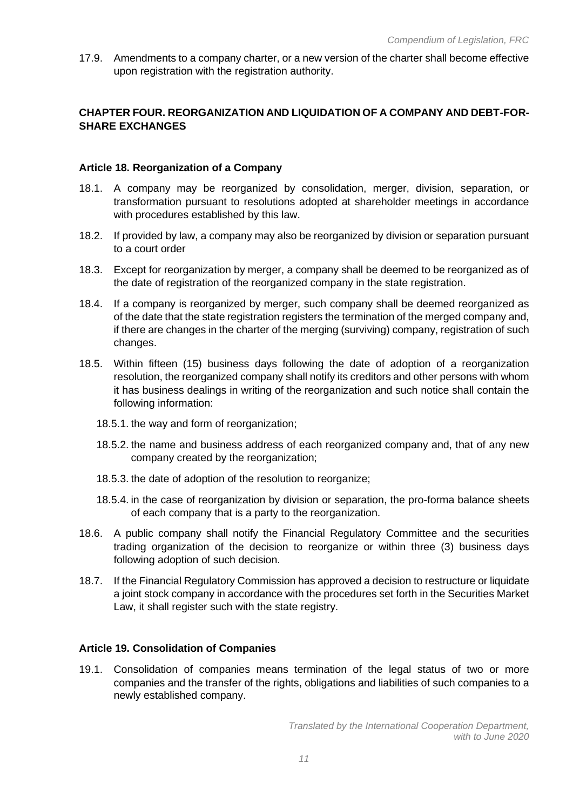17.9. Amendments to a company charter, or a new version of the charter shall become effective upon registration with the registration authority.

# **CHAPTER FOUR. REORGANIZATION AND LIQUIDATION OF A COMPANY AND DEBT-FOR-SHARE EXCHANGES**

## **Article 18. Reorganization of a Company**

- 18.1. A company may be reorganized by consolidation, merger, division, separation, or transformation pursuant to resolutions adopted at shareholder meetings in accordance with procedures established by this law.
- 18.2. If provided by law, a company may also be reorganized by division or separation pursuant to a court order
- 18.3. Except for reorganization by merger, a company shall be deemed to be reorganized as of the date of registration of the reorganized company in the state registration.
- 18.4. If a company is reorganized by merger, such company shall be deemed reorganized as of the date that the state registration registers the termination of the merged company and, if there are changes in the charter of the merging (surviving) company, registration of such changes.
- 18.5. Within fifteen (15) business days following the date of adoption of a reorganization resolution, the reorganized company shall notify its creditors and other persons with whom it has business dealings in writing of the reorganization and such notice shall contain the following information:
	- 18.5.1. the way and form of reorganization;
	- 18.5.2. the name and business address of each reorganized company and, that of any new company created by the reorganization;
	- 18.5.3. the date of adoption of the resolution to reorganize;
	- 18.5.4. in the case of reorganization by division or separation, the pro-forma balance sheets of each company that is a party to the reorganization.
- 18.6. A public company shall notify the Financial Regulatory Committee and the securities trading organization of the decision to reorganize or within three (3) business days following adoption of such decision.
- 18.7. If the Financial Regulatory Commission has approved a decision to restructure or liquidate a joint stock company in accordance with the procedures set forth in the Securities Market Law, it shall register such with the state registry.

#### **Article 19. Consolidation of Companies**

19.1. Consolidation of companies means termination of the legal status of two or more companies and the transfer of the rights, obligations and liabilities of such companies to a newly established company.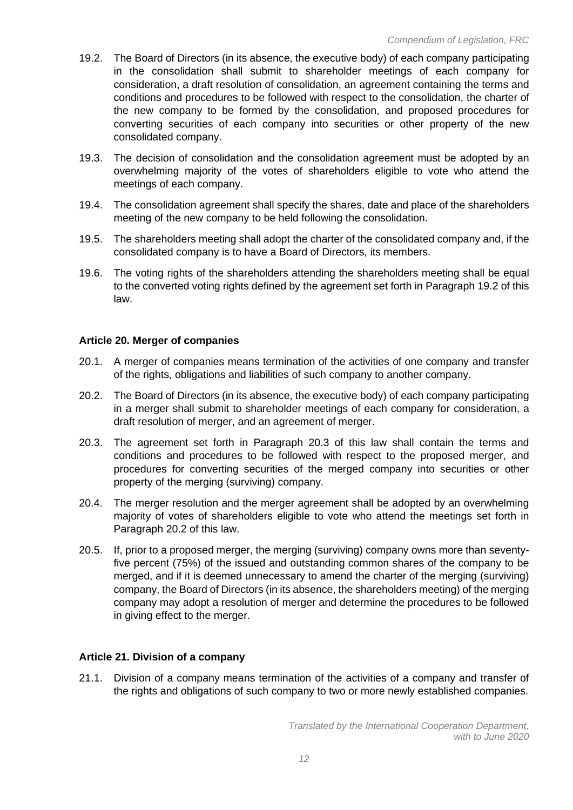- 19.2. The Board of Directors (in its absence, the executive body) of each company participating in the consolidation shall submit to shareholder meetings of each company for consideration, a draft resolution of consolidation, an agreement containing the terms and conditions and procedures to be followed with respect to the consolidation, the charter of the new company to be formed by the consolidation, and proposed procedures for converting securities of each company into securities or other property of the new consolidated company.
- 19.3. The decision of consolidation and the consolidation agreement must be adopted by an overwhelming majority of the votes of shareholders eligible to vote who attend the meetings of each company.
- 19.4. The consolidation agreement shall specify the shares, date and place of the shareholders meeting of the new company to be held following the consolidation.
- 19.5. The shareholders meeting shall adopt the charter of the consolidated company and, if the consolidated company is to have a Board of Directors, its members.
- 19.6. The voting rights of the shareholders attending the shareholders meeting shall be equal to the converted voting rights defined by the agreement set forth in Paragraph 19.2 of this law.

#### **Article 20. Merger of companies**

- 20.1. A merger of companies means termination of the activities of one company and transfer of the rights, obligations and liabilities of such company to another company.
- 20.2. The Board of Directors (in its absence, the executive body) of each company participating in a merger shall submit to shareholder meetings of each company for consideration, a draft resolution of merger, and an agreement of merger.
- 20.3. The agreement set forth in Paragraph 20.3 of this law shall contain the terms and conditions and procedures to be followed with respect to the proposed merger, and procedures for converting securities of the merged company into securities or other property of the merging (surviving) company.
- 20.4. The merger resolution and the merger agreement shall be adopted by an overwhelming majority of votes of shareholders eligible to vote who attend the meetings set forth in Paragraph 20.2 of this law.
- 20.5. If, prior to a proposed merger, the merging (surviving) company owns more than seventyfive percent (75%) of the issued and outstanding common shares of the company to be merged, and if it is deemed unnecessary to amend the charter of the merging (surviving) company, the Board of Directors (in its absence, the shareholders meeting) of the merging company may adopt a resolution of merger and determine the procedures to be followed in giving effect to the merger.

## **Article 21. Division of a company**

21.1. Division of a company means termination of the activities of a company and transfer of the rights and obligations of such company to two or more newly established companies.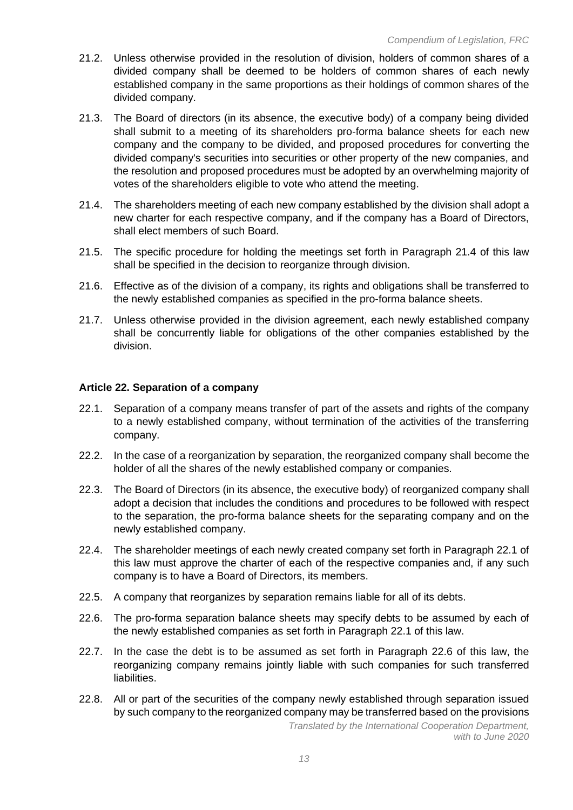- 21.2. Unless otherwise provided in the resolution of division, holders of common shares of a divided company shall be deemed to be holders of common shares of each newly established company in the same proportions as their holdings of common shares of the divided company.
- 21.3. The Board of directors (in its absence, the executive body) of a company being divided shall submit to a meeting of its shareholders pro-forma balance sheets for each new company and the company to be divided, and proposed procedures for converting the divided company's securities into securities or other property of the new companies, and the resolution and proposed procedures must be adopted by an overwhelming majority of votes of the shareholders eligible to vote who attend the meeting.
- 21.4. The shareholders meeting of each new company established by the division shall adopt a new charter for each respective company, and if the company has a Board of Directors, shall elect members of such Board.
- 21.5. The specific procedure for holding the meetings set forth in Paragraph 21.4 of this law shall be specified in the decision to reorganize through division.
- 21.6. Effective as of the division of a company, its rights and obligations shall be transferred to the newly established companies as specified in the pro-forma balance sheets.
- 21.7. Unless otherwise provided in the division agreement, each newly established company shall be concurrently liable for obligations of the other companies established by the division.

#### **Article 22. Separation of a company**

- 22.1. Separation of a company means transfer of part of the assets and rights of the company to a newly established company, without termination of the activities of the transferring company.
- 22.2. In the case of a reorganization by separation, the reorganized company shall become the holder of all the shares of the newly established company or companies.
- 22.3. The Board of Directors (in its absence, the executive body) of reorganized company shall adopt a decision that includes the conditions and procedures to be followed with respect to the separation, the pro-forma balance sheets for the separating company and on the newly established company.
- 22.4. The shareholder meetings of each newly created company set forth in Paragraph 22.1 of this law must approve the charter of each of the respective companies and, if any such company is to have a Board of Directors, its members.
- 22.5. A company that reorganizes by separation remains liable for all of its debts.
- 22.6. The pro-forma separation balance sheets may specify debts to be assumed by each of the newly established companies as set forth in Paragraph 22.1 of this law.
- 22.7. In the case the debt is to be assumed as set forth in Paragraph 22.6 of this law, the reorganizing company remains jointly liable with such companies for such transferred liabilities.
- 22.8. All or part of the securities of the company newly established through separation issued by such company to the reorganized company may be transferred based on the provisions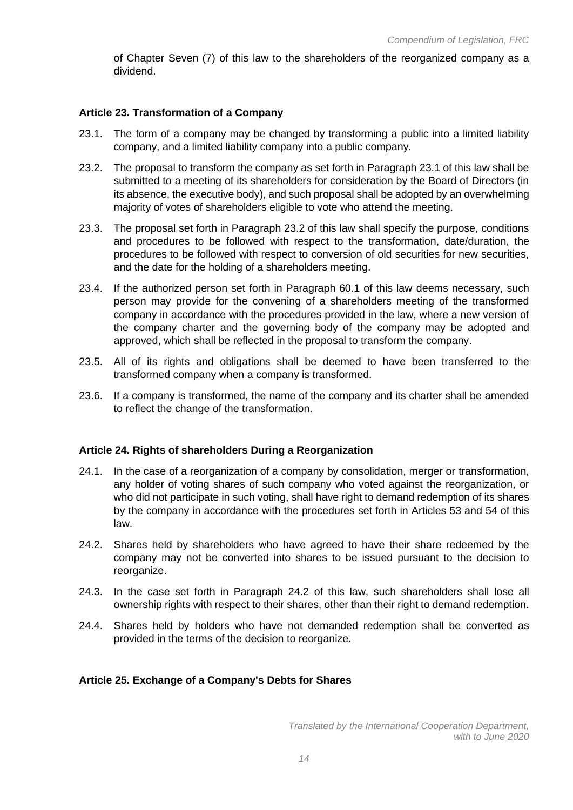of Chapter Seven (7) of this law to the shareholders of the reorganized company as a dividend.

## **Article 23. Transformation of a Company**

- 23.1. The form of a company may be changed by transforming a public into a limited liability company, and a limited liability company into a public company.
- 23.2. The proposal to transform the company as set forth in Paragraph 23.1 of this law shall be submitted to a meeting of its shareholders for consideration by the Board of Directors (in its absence, the executive body), and such proposal shall be adopted by an overwhelming majority of votes of shareholders eligible to vote who attend the meeting.
- 23.3. The proposal set forth in Paragraph 23.2 of this law shall specify the purpose, conditions and procedures to be followed with respect to the transformation, date/duration, the procedures to be followed with respect to conversion of old securities for new securities, and the date for the holding of a shareholders meeting.
- 23.4. If the authorized person set forth in Paragraph 60.1 of this law deems necessary, such person may provide for the convening of a shareholders meeting of the transformed company in accordance with the procedures provided in the law, where a new version of the company charter and the governing body of the company may be adopted and approved, which shall be reflected in the proposal to transform the company.
- 23.5. All of its rights and obligations shall be deemed to have been transferred to the transformed company when a company is transformed.
- 23.6. If a company is transformed, the name of the company and its charter shall be amended to reflect the change of the transformation.

## **Article 24. Rights of shareholders During a Reorganization**

- 24.1. In the case of a reorganization of a company by consolidation, merger or transformation, any holder of voting shares of such company who voted against the reorganization, or who did not participate in such voting, shall have right to demand redemption of its shares by the company in accordance with the procedures set forth in Articles 53 and 54 of this law.
- 24.2. Shares held by shareholders who have agreed to have their share redeemed by the company may not be converted into shares to be issued pursuant to the decision to reorganize.
- 24.3. In the case set forth in Paragraph 24.2 of this law, such shareholders shall lose all ownership rights with respect to their shares, other than their right to demand redemption.
- 24.4. Shares held by holders who have not demanded redemption shall be converted as provided in the terms of the decision to reorganize.

## **Article 25. Exchange of a Company's Debts for Shares**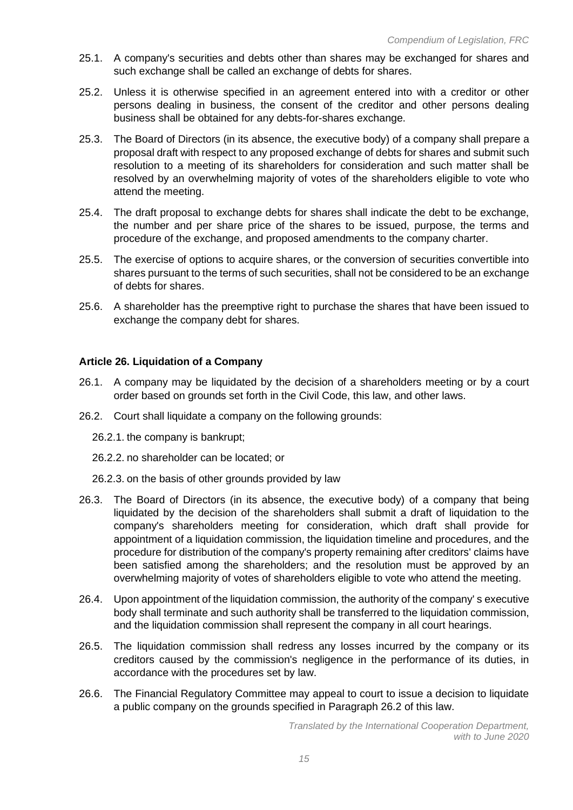- 25.1. A company's securities and debts other than shares may be exchanged for shares and such exchange shall be called an exchange of debts for shares.
- 25.2. Unless it is otherwise specified in an agreement entered into with a creditor or other persons dealing in business, the consent of the creditor and other persons dealing business shall be obtained for any debts-for-shares exchange.
- 25.3. The Board of Directors (in its absence, the executive body) of a company shall prepare a proposal draft with respect to any proposed exchange of debts for shares and submit such resolution to a meeting of its shareholders for consideration and such matter shall be resolved by an overwhelming majority of votes of the shareholders eligible to vote who attend the meeting.
- 25.4. The draft proposal to exchange debts for shares shall indicate the debt to be exchange, the number and per share price of the shares to be issued, purpose, the terms and procedure of the exchange, and proposed amendments to the company charter.
- 25.5. The exercise of options to acquire shares, or the conversion of securities convertible into shares pursuant to the terms of such securities, shall not be considered to be an exchange of debts for shares.
- 25.6. A shareholder has the preemptive right to purchase the shares that have been issued to exchange the company debt for shares.

# **Article 26. Liquidation of a Company**

- 26.1. A company may be liquidated by the decision of a shareholders meeting or by a court order based on grounds set forth in the Civil Code, this law, and other laws.
- 26.2. Court shall liquidate a company on the following grounds:
	- 26.2.1. the company is bankrupt;
	- 26.2.2. no shareholder can be located; or
	- 26.2.3. on the basis of other grounds provided by law
- 26.3. The Board of Directors (in its absence, the executive body) of a company that being liquidated by the decision of the shareholders shall submit a draft of liquidation to the company's shareholders meeting for consideration, which draft shall provide for appointment of a liquidation commission, the liquidation timeline and procedures, and the procedure for distribution of the company's property remaining after creditors' claims have been satisfied among the shareholders; and the resolution must be approved by an overwhelming majority of votes of shareholders eligible to vote who attend the meeting.
- 26.4. Upon appointment of the liquidation commission, the authority of the company' s executive body shall terminate and such authority shall be transferred to the liquidation commission, and the liquidation commission shall represent the company in all court hearings.
- 26.5. The liquidation commission shall redress any losses incurred by the company or its creditors caused by the commission's negligence in the performance of its duties, in accordance with the procedures set by law.
- 26.6. The Financial Regulatory Committee may appeal to court to issue a decision to liquidate a public company on the grounds specified in Paragraph 26.2 of this law.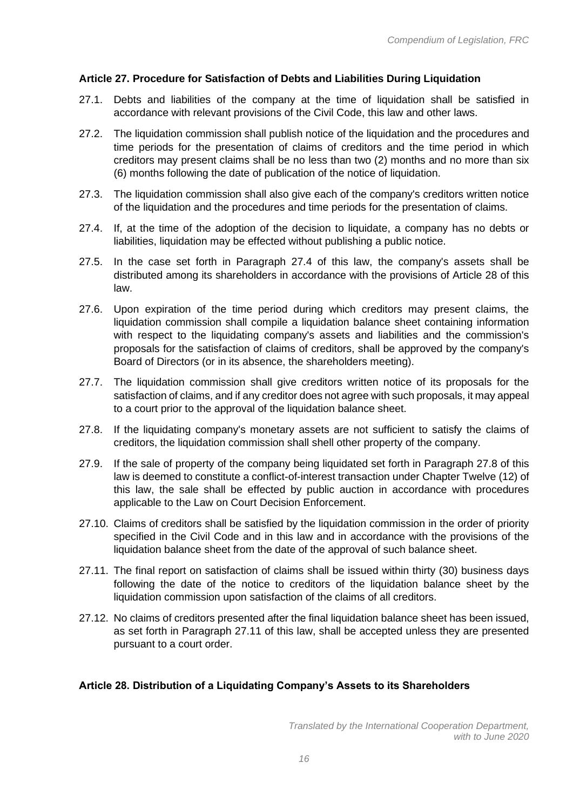# **Article 27. Procedure for Satisfaction of Debts and Liabilities During Liquidation**

- 27.1. Debts and liabilities of the company at the time of liquidation shall be satisfied in accordance with relevant provisions of the Civil Code, this law and other laws.
- 27.2. The liquidation commission shall publish notice of the liquidation and the procedures and time periods for the presentation of claims of creditors and the time period in which creditors may present claims shall be no less than two (2) months and no more than six (6) months following the date of publication of the notice of liquidation.
- 27.3. The liquidation commission shall also give each of the company's creditors written notice of the liquidation and the procedures and time periods for the presentation of claims.
- 27.4. If, at the time of the adoption of the decision to liquidate, a company has no debts or liabilities, liquidation may be effected without publishing a public notice.
- 27.5. In the case set forth in Paragraph 27.4 of this law, the company's assets shall be distributed among its shareholders in accordance with the provisions of Article 28 of this law.
- 27.6. Upon expiration of the time period during which creditors may present claims, the liquidation commission shall compile a liquidation balance sheet containing information with respect to the liquidating company's assets and liabilities and the commission's proposals for the satisfaction of claims of creditors, shall be approved by the company's Board of Directors (or in its absence, the shareholders meeting).
- 27.7. The liquidation commission shall give creditors written notice of its proposals for the satisfaction of claims, and if any creditor does not agree with such proposals, it may appeal to a court prior to the approval of the liquidation balance sheet.
- 27.8. If the liquidating company's monetary assets are not sufficient to satisfy the claims of creditors, the liquidation commission shall shell other property of the company.
- 27.9. If the sale of property of the company being liquidated set forth in Paragraph 27.8 of this law is deemed to constitute a conflict-of-interest transaction under Chapter Twelve (12) of this law, the sale shall be effected by public auction in accordance with procedures applicable to the Law on Court Decision Enforcement.
- 27.10. Claims of creditors shall be satisfied by the liquidation commission in the order of priority specified in the Civil Code and in this law and in accordance with the provisions of the liquidation balance sheet from the date of the approval of such balance sheet.
- 27.11. The final report on satisfaction of claims shall be issued within thirty (30) business days following the date of the notice to creditors of the liquidation balance sheet by the liquidation commission upon satisfaction of the claims of all creditors.
- 27.12. No claims of creditors presented after the final liquidation balance sheet has been issued, as set forth in Paragraph 27.11 of this law, shall be accepted unless they are presented pursuant to a court order.

# **Article 28. Distribution of a Liquidating Company's Assets to its Shareholders**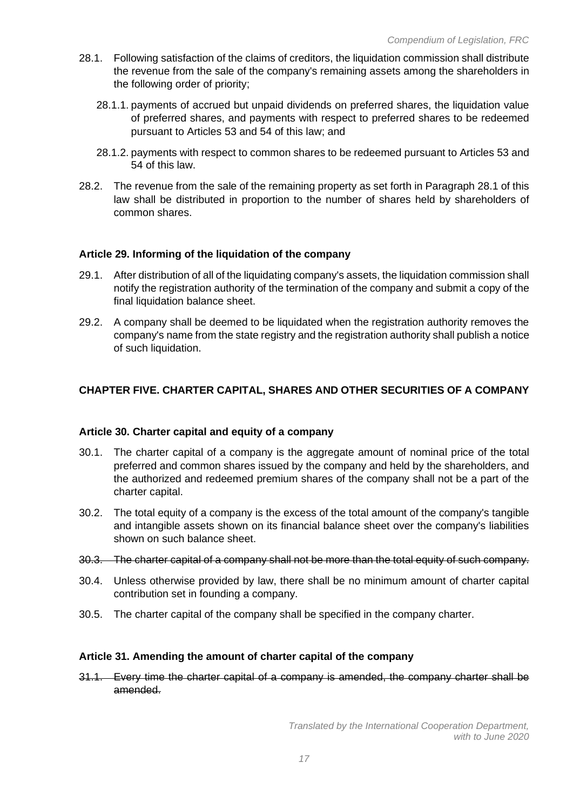- 28.1. Following satisfaction of the claims of creditors, the liquidation commission shall distribute the revenue from the sale of the company's remaining assets among the shareholders in the following order of priority;
	- 28.1.1. payments of accrued but unpaid dividends on preferred shares, the liquidation value of preferred shares, and payments with respect to preferred shares to be redeemed pursuant to Articles 53 and 54 of this law; and
	- 28.1.2. payments with respect to common shares to be redeemed pursuant to Articles 53 and 54 of this law.
- 28.2. The revenue from the sale of the remaining property as set forth in Paragraph 28.1 of this law shall be distributed in proportion to the number of shares held by shareholders of common shares.

## **Article 29. Informing of the liquidation of the company**

- 29.1. After distribution of all of the liquidating company's assets, the liquidation commission shall notify the registration authority of the termination of the company and submit a copy of the final liquidation balance sheet.
- 29.2. A company shall be deemed to be liquidated when the registration authority removes the company's name from the state registry and the registration authority shall publish a notice of such liquidation.

# **CHAPTER FIVE. CHARTER CAPITAL, SHARES AND OTHER SECURITIES OF A COMPANY**

#### **Article 30. Charter capital and equity of a company**

- 30.1. The charter capital of a company is the aggregate amount of nominal price of the total preferred and common shares issued by the company and held by the shareholders, and the authorized and redeemed premium shares of the company shall not be a part of the charter capital.
- 30.2. The total equity of a company is the excess of the total amount of the company's tangible and intangible assets shown on its financial balance sheet over the company's liabilities shown on such balance sheet.
- 30.3. The charter capital of a company shall not be more than the total equity of such company.
- 30.4. Unless otherwise provided by law, there shall be no minimum amount of charter capital contribution set in founding a company.
- 30.5. The charter capital of the company shall be specified in the company charter.

#### **Article 31. Amending the amount of charter capital of the company**

31.1. Every time the charter capital of a company is amended, the company charter shall be amended.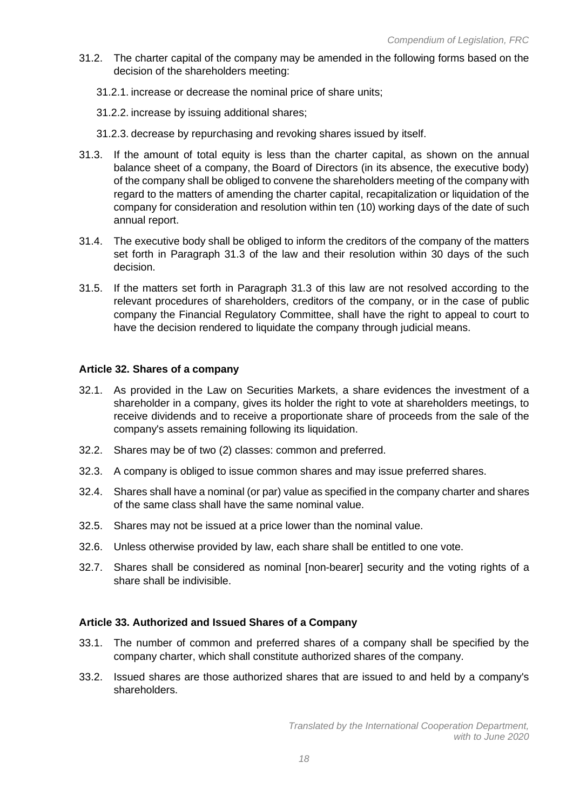- 31.2. The charter capital of the company may be amended in the following forms based on the decision of the shareholders meeting:
	- 31.2.1. increase or decrease the nominal price of share units;
	- 31.2.2. increase by issuing additional shares;
	- 31.2.3. decrease by repurchasing and revoking shares issued by itself.
- 31.3. If the amount of total equity is less than the charter capital, as shown on the annual balance sheet of a company, the Board of Directors (in its absence, the executive body) of the company shall be obliged to convene the shareholders meeting of the company with regard to the matters of amending the charter capital, recapitalization or liquidation of the company for consideration and resolution within ten (10) working days of the date of such annual report.
- 31.4. The executive body shall be obliged to inform the creditors of the company of the matters set forth in Paragraph 31.3 of the law and their resolution within 30 days of the such decision.
- 31.5. If the matters set forth in Paragraph 31.3 of this law are not resolved according to the relevant procedures of shareholders, creditors of the company, or in the case of public company the Financial Regulatory Committee, shall have the right to appeal to court to have the decision rendered to liquidate the company through judicial means.

# **Article 32. Shares of a company**

- 32.1. As provided in the Law on Securities Markets, a share evidences the investment of a shareholder in a company, gives its holder the right to vote at shareholders meetings, to receive dividends and to receive a proportionate share of proceeds from the sale of the company's assets remaining following its liquidation.
- 32.2. Shares may be of two (2) classes: common and preferred.
- 32.3. A company is obliged to issue common shares and may issue preferred shares.
- 32.4. Shares shall have a nominal (or par) value as specified in the company charter and shares of the same class shall have the same nominal value.
- 32.5. Shares may not be issued at a price lower than the nominal value.
- 32.6. Unless otherwise provided by law, each share shall be entitled to one vote.
- 32.7. Shares shall be considered as nominal [non-bearer] security and the voting rights of a share shall be indivisible.

# **Article 33. Authorized and Issued Shares of a Company**

- 33.1. The number of common and preferred shares of a company shall be specified by the company charter, which shall constitute authorized shares of the company.
- 33.2. Issued shares are those authorized shares that are issued to and held by a company's shareholders.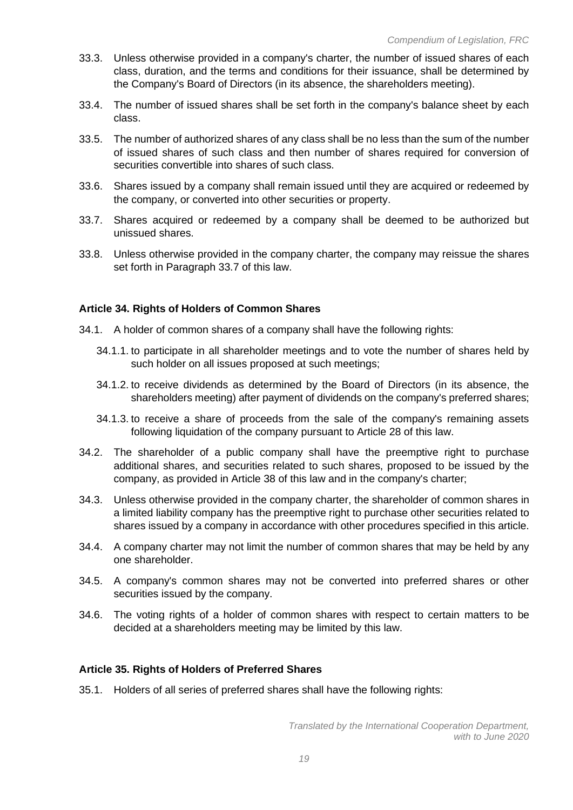- 33.3. Unless otherwise provided in a company's charter, the number of issued shares of each class, duration, and the terms and conditions for their issuance, shall be determined by the Company's Board of Directors (in its absence, the shareholders meeting).
- 33.4. The number of issued shares shall be set forth in the company's balance sheet by each class.
- 33.5. The number of authorized shares of any class shall be no less than the sum of the number of issued shares of such class and then number of shares required for conversion of securities convertible into shares of such class.
- 33.6. Shares issued by a company shall remain issued until they are acquired or redeemed by the company, or converted into other securities or property.
- 33.7. Shares acquired or redeemed by a company shall be deemed to be authorized but unissued shares.
- 33.8. Unless otherwise provided in the company charter, the company may reissue the shares set forth in Paragraph 33.7 of this law.

## **Article 34. Rights of Holders of Common Shares**

- 34.1. A holder of common shares of a company shall have the following rights:
	- 34.1.1. to participate in all shareholder meetings and to vote the number of shares held by such holder on all issues proposed at such meetings;
	- 34.1.2. to receive dividends as determined by the Board of Directors (in its absence, the shareholders meeting) after payment of dividends on the company's preferred shares;
	- 34.1.3. to receive a share of proceeds from the sale of the company's remaining assets following liquidation of the company pursuant to Article 28 of this law.
- 34.2. The shareholder of a public company shall have the preemptive right to purchase additional shares, and securities related to such shares, proposed to be issued by the company, as provided in Article 38 of this law and in the company's charter;
- 34.3. Unless otherwise provided in the company charter, the shareholder of common shares in a limited liability company has the preemptive right to purchase other securities related to shares issued by a company in accordance with other procedures specified in this article.
- 34.4. A company charter may not limit the number of common shares that may be held by any one shareholder.
- 34.5. A company's common shares may not be converted into preferred shares or other securities issued by the company.
- 34.6. The voting rights of a holder of common shares with respect to certain matters to be decided at a shareholders meeting may be limited by this law.

#### **Article 35. Rights of Holders of Preferred Shares**

35.1. Holders of all series of preferred shares shall have the following rights: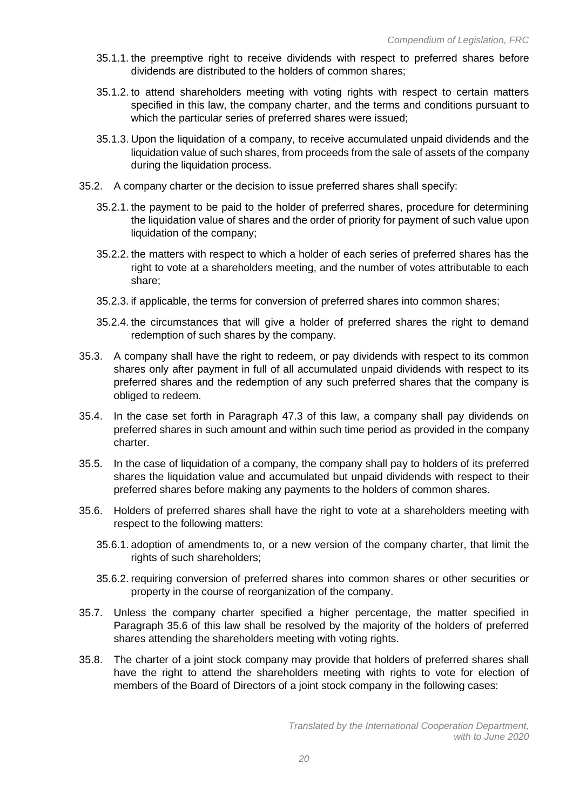- 35.1.1. the preemptive right to receive dividends with respect to preferred shares before dividends are distributed to the holders of common shares;
- 35.1.2. to attend shareholders meeting with voting rights with respect to certain matters specified in this law, the company charter, and the terms and conditions pursuant to which the particular series of preferred shares were issued;
- 35.1.3. Upon the liquidation of a company, to receive accumulated unpaid dividends and the liquidation value of such shares, from proceeds from the sale of assets of the company during the liquidation process.
- 35.2. A company charter or the decision to issue preferred shares shall specify:
	- 35.2.1. the payment to be paid to the holder of preferred shares, procedure for determining the liquidation value of shares and the order of priority for payment of such value upon liquidation of the company;
	- 35.2.2. the matters with respect to which a holder of each series of preferred shares has the right to vote at a shareholders meeting, and the number of votes attributable to each share;
	- 35.2.3. if applicable, the terms for conversion of preferred shares into common shares;
	- 35.2.4. the circumstances that will give a holder of preferred shares the right to demand redemption of such shares by the company.
- 35.3. A company shall have the right to redeem, or pay dividends with respect to its common shares only after payment in full of all accumulated unpaid dividends with respect to its preferred shares and the redemption of any such preferred shares that the company is obliged to redeem.
- 35.4. In the case set forth in Paragraph 47.3 of this law, a company shall pay dividends on preferred shares in such amount and within such time period as provided in the company charter.
- 35.5. In the case of liquidation of a company, the company shall pay to holders of its preferred shares the liquidation value and accumulated but unpaid dividends with respect to their preferred shares before making any payments to the holders of common shares.
- 35.6. Holders of preferred shares shall have the right to vote at a shareholders meeting with respect to the following matters:
	- 35.6.1. adoption of amendments to, or a new version of the company charter, that limit the rights of such shareholders;
	- 35.6.2. requiring conversion of preferred shares into common shares or other securities or property in the course of reorganization of the company.
- 35.7. Unless the company charter specified a higher percentage, the matter specified in Paragraph 35.6 of this law shall be resolved by the majority of the holders of preferred shares attending the shareholders meeting with voting rights.
- 35.8. The charter of a joint stock company may provide that holders of preferred shares shall have the right to attend the shareholders meeting with rights to vote for election of members of the Board of Directors of a joint stock company in the following cases: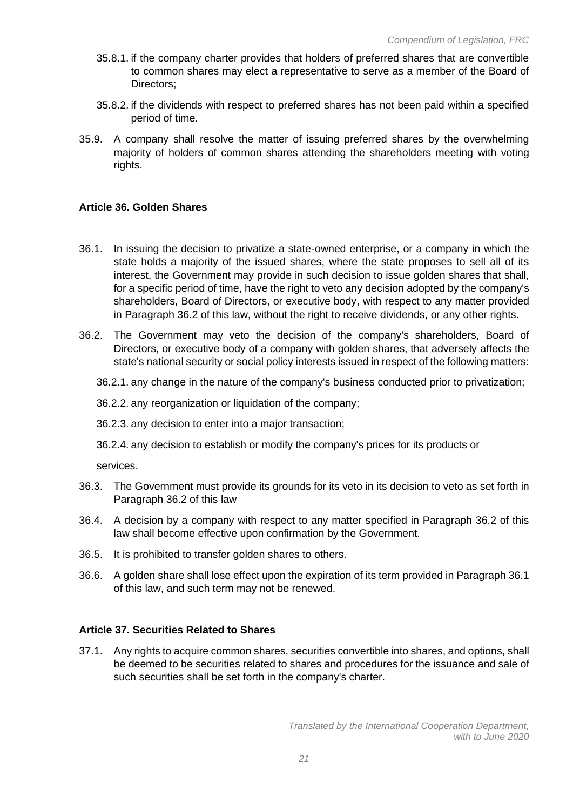- 35.8.1. if the company charter provides that holders of preferred shares that are convertible to common shares may elect a representative to serve as a member of the Board of Directors;
- 35.8.2. if the dividends with respect to preferred shares has not been paid within a specified period of time.
- 35.9. A company shall resolve the matter of issuing preferred shares by the overwhelming majority of holders of common shares attending the shareholders meeting with voting rights.

## **Article 36. Golden Shares**

- 36.1. In issuing the decision to privatize a state-owned enterprise, or a company in which the state holds a majority of the issued shares, where the state proposes to sell all of its interest, the Government may provide in such decision to issue golden shares that shall, for a specific period of time, have the right to veto any decision adopted by the company's shareholders, Board of Directors, or executive body, with respect to any matter provided in Paragraph 36.2 of this law, without the right to receive dividends, or any other rights.
- 36.2. The Government may veto the decision of the company's shareholders, Board of Directors, or executive body of a company with golden shares, that adversely affects the state's national security or social policy interests issued in respect of the following matters:
	- 36.2.1. any change in the nature of the company's business conducted prior to privatization;

36.2.2. any reorganization or liquidation of the company;

- 36.2.3. any decision to enter into a major transaction;
- 36.2.4. any decision to establish or modify the company's prices for its products or

services.

- 36.3. The Government must provide its grounds for its veto in its decision to veto as set forth in Paragraph 36.2 of this law
- 36.4. A decision by a company with respect to any matter specified in Paragraph 36.2 of this law shall become effective upon confirmation by the Government.
- 36.5. It is prohibited to transfer golden shares to others.
- 36.6. A golden share shall lose effect upon the expiration of its term provided in Paragraph 36.1 of this law, and such term may not be renewed.

## **Article 37. Securities Related to Shares**

37.1. Any rights to acquire common shares, securities convertible into shares, and options, shall be deemed to be securities related to shares and procedures for the issuance and sale of such securities shall be set forth in the company's charter.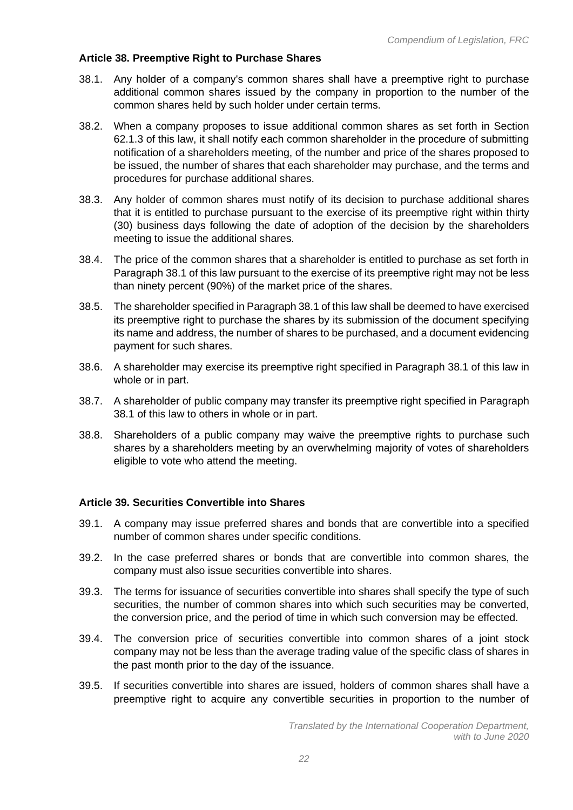## **Article 38. Preemptive Right to Purchase Shares**

- 38.1. Any holder of a company's common shares shall have a preemptive right to purchase additional common shares issued by the company in proportion to the number of the common shares held by such holder under certain terms.
- 38.2. When a company proposes to issue additional common shares as set forth in Section 62.1.3 of this law, it shall notify each common shareholder in the procedure of submitting notification of a shareholders meeting, of the number and price of the shares proposed to be issued, the number of shares that each shareholder may purchase, and the terms and procedures for purchase additional shares.
- 38.3. Any holder of common shares must notify of its decision to purchase additional shares that it is entitled to purchase pursuant to the exercise of its preemptive right within thirty (30) business days following the date of adoption of the decision by the shareholders meeting to issue the additional shares.
- 38.4. The price of the common shares that a shareholder is entitled to purchase as set forth in Paragraph 38.1 of this law pursuant to the exercise of its preemptive right may not be less than ninety percent (90%) of the market price of the shares.
- 38.5. The shareholder specified in Paragraph 38.1 of this law shall be deemed to have exercised its preemptive right to purchase the shares by its submission of the document specifying its name and address, the number of shares to be purchased, and a document evidencing payment for such shares.
- 38.6. A shareholder may exercise its preemptive right specified in Paragraph 38.1 of this law in whole or in part.
- 38.7. A shareholder of public company may transfer its preemptive right specified in Paragraph 38.1 of this law to others in whole or in part.
- 38.8. Shareholders of a public company may waive the preemptive rights to purchase such shares by a shareholders meeting by an overwhelming majority of votes of shareholders eligible to vote who attend the meeting.

## **Article 39. Securities Convertible into Shares**

- 39.1. A company may issue preferred shares and bonds that are convertible into a specified number of common shares under specific conditions.
- 39.2. In the case preferred shares or bonds that are convertible into common shares, the company must also issue securities convertible into shares.
- 39.3. The terms for issuance of securities convertible into shares shall specify the type of such securities, the number of common shares into which such securities may be converted, the conversion price, and the period of time in which such conversion may be effected.
- 39.4. The conversion price of securities convertible into common shares of a joint stock company may not be less than the average trading value of the specific class of shares in the past month prior to the day of the issuance.
- 39.5. If securities convertible into shares are issued, holders of common shares shall have a preemptive right to acquire any convertible securities in proportion to the number of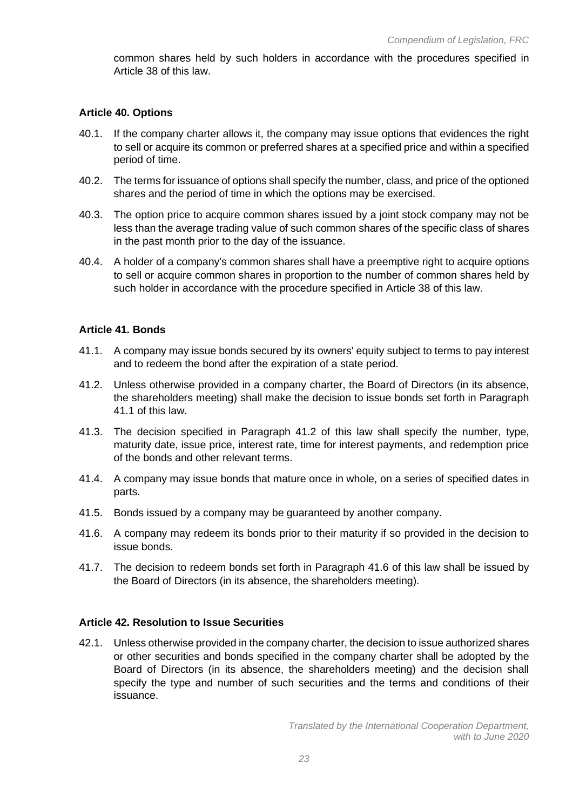common shares held by such holders in accordance with the procedures specified in Article 38 of this law.

#### **Article 40. Options**

- 40.1. If the company charter allows it, the company may issue options that evidences the right to sell or acquire its common or preferred shares at a specified price and within a specified period of time.
- 40.2. The terms for issuance of options shall specify the number, class, and price of the optioned shares and the period of time in which the options may be exercised.
- 40.3. The option price to acquire common shares issued by a joint stock company may not be less than the average trading value of such common shares of the specific class of shares in the past month prior to the day of the issuance.
- 40.4. A holder of a company's common shares shall have a preemptive right to acquire options to sell or acquire common shares in proportion to the number of common shares held by such holder in accordance with the procedure specified in Article 38 of this law.

#### **Article 41. Bonds**

- 41.1. A company may issue bonds secured by its owners' equity subject to terms to pay interest and to redeem the bond after the expiration of a state period.
- 41.2. Unless otherwise provided in a company charter, the Board of Directors (in its absence, the shareholders meeting) shall make the decision to issue bonds set forth in Paragraph 41.1 of this law.
- 41.3. The decision specified in Paragraph 41.2 of this law shall specify the number, type, maturity date, issue price, interest rate, time for interest payments, and redemption price of the bonds and other relevant terms.
- 41.4. A company may issue bonds that mature once in whole, on a series of specified dates in parts.
- 41.5. Bonds issued by a company may be guaranteed by another company.
- 41.6. A company may redeem its bonds prior to their maturity if so provided in the decision to issue bonds.
- 41.7. The decision to redeem bonds set forth in Paragraph 41.6 of this law shall be issued by the Board of Directors (in its absence, the shareholders meeting).

#### **Article 42. Resolution to Issue Securities**

42.1. Unless otherwise provided in the company charter, the decision to issue authorized shares or other securities and bonds specified in the company charter shall be adopted by the Board of Directors (in its absence, the shareholders meeting) and the decision shall specify the type and number of such securities and the terms and conditions of their issuance.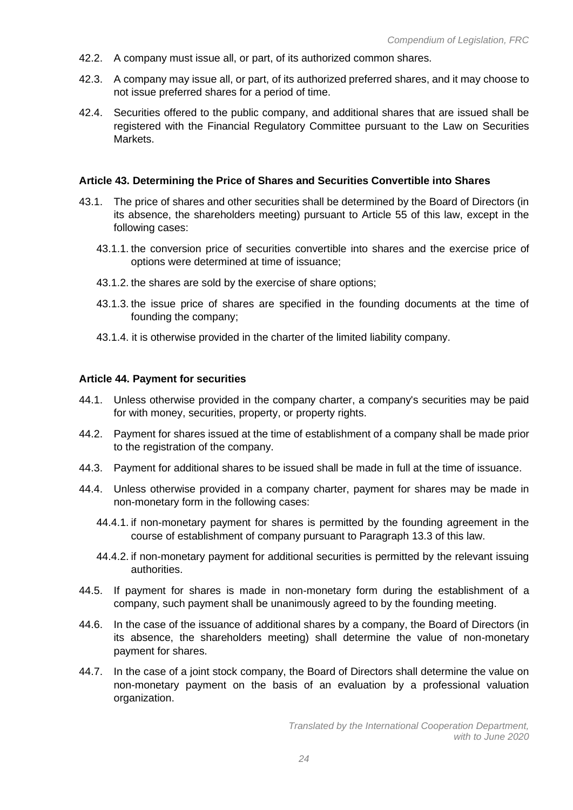- 42.2. A company must issue all, or part, of its authorized common shares.
- 42.3. A company may issue all, or part, of its authorized preferred shares, and it may choose to not issue preferred shares for a period of time.
- 42.4. Securities offered to the public company, and additional shares that are issued shall be registered with the Financial Regulatory Committee pursuant to the Law on Securities Markets.

#### **Article 43. Determining the Price of Shares and Securities Convertible into Shares**

- 43.1. The price of shares and other securities shall be determined by the Board of Directors (in its absence, the shareholders meeting) pursuant to Article 55 of this law, except in the following cases:
	- 43.1.1. the conversion price of securities convertible into shares and the exercise price of options were determined at time of issuance;
	- 43.1.2. the shares are sold by the exercise of share options;
	- 43.1.3. the issue price of shares are specified in the founding documents at the time of founding the company;
	- 43.1.4. it is otherwise provided in the charter of the limited liability company.

#### **Article 44. Payment for securities**

- 44.1. Unless otherwise provided in the company charter, a company's securities may be paid for with money, securities, property, or property rights.
- 44.2. Payment for shares issued at the time of establishment of a company shall be made prior to the registration of the company.
- 44.3. Payment for additional shares to be issued shall be made in full at the time of issuance.
- 44.4. Unless otherwise provided in a company charter, payment for shares may be made in non-monetary form in the following cases:
	- 44.4.1. if non-monetary payment for shares is permitted by the founding agreement in the course of establishment of company pursuant to Paragraph 13.3 of this law.
	- 44.4.2. if non-monetary payment for additional securities is permitted by the relevant issuing authorities.
- 44.5. If payment for shares is made in non-monetary form during the establishment of a company, such payment shall be unanimously agreed to by the founding meeting.
- 44.6. In the case of the issuance of additional shares by a company, the Board of Directors (in its absence, the shareholders meeting) shall determine the value of non-monetary payment for shares.
- 44.7. In the case of a joint stock company, the Board of Directors shall determine the value on non-monetary payment on the basis of an evaluation by a professional valuation organization.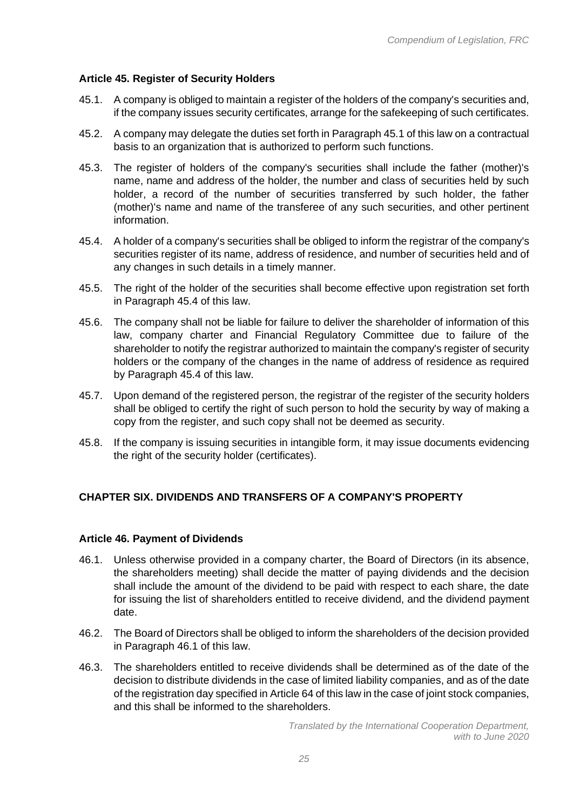# **Article 45. Register of Security Holders**

- 45.1. A company is obliged to maintain a register of the holders of the company's securities and, if the company issues security certificates, arrange for the safekeeping of such certificates.
- 45.2. A company may delegate the duties set forth in Paragraph 45.1 of this law on a contractual basis to an organization that is authorized to perform such functions.
- 45.3. The register of holders of the company's securities shall include the father (mother)'s name, name and address of the holder, the number and class of securities held by such holder, a record of the number of securities transferred by such holder, the father (mother)'s name and name of the transferee of any such securities, and other pertinent information.
- 45.4. A holder of a company's securities shall be obliged to inform the registrar of the company's securities register of its name, address of residence, and number of securities held and of any changes in such details in a timely manner.
- 45.5. The right of the holder of the securities shall become effective upon registration set forth in Paragraph 45.4 of this law.
- 45.6. The company shall not be liable for failure to deliver the shareholder of information of this law, company charter and Financial Regulatory Committee due to failure of the shareholder to notify the registrar authorized to maintain the company's register of security holders or the company of the changes in the name of address of residence as required by Paragraph 45.4 of this law.
- 45.7. Upon demand of the registered person, the registrar of the register of the security holders shall be obliged to certify the right of such person to hold the security by way of making a copy from the register, and such copy shall not be deemed as security.
- 45.8. If the company is issuing securities in intangible form, it may issue documents evidencing the right of the security holder (certificates).

# **CHAPTER SIX. DIVIDENDS AND TRANSFERS OF A COMPANY'S PROPERTY**

## **Article 46. Payment of Dividends**

- 46.1. Unless otherwise provided in a company charter, the Board of Directors (in its absence, the shareholders meeting) shall decide the matter of paying dividends and the decision shall include the amount of the dividend to be paid with respect to each share, the date for issuing the list of shareholders entitled to receive dividend, and the dividend payment date.
- 46.2. The Board of Directors shall be obliged to inform the shareholders of the decision provided in Paragraph 46.1 of this law.
- 46.3. The shareholders entitled to receive dividends shall be determined as of the date of the decision to distribute dividends in the case of limited liability companies, and as of the date of the registration day specified in Article 64 of this law in the case of joint stock companies, and this shall be informed to the shareholders.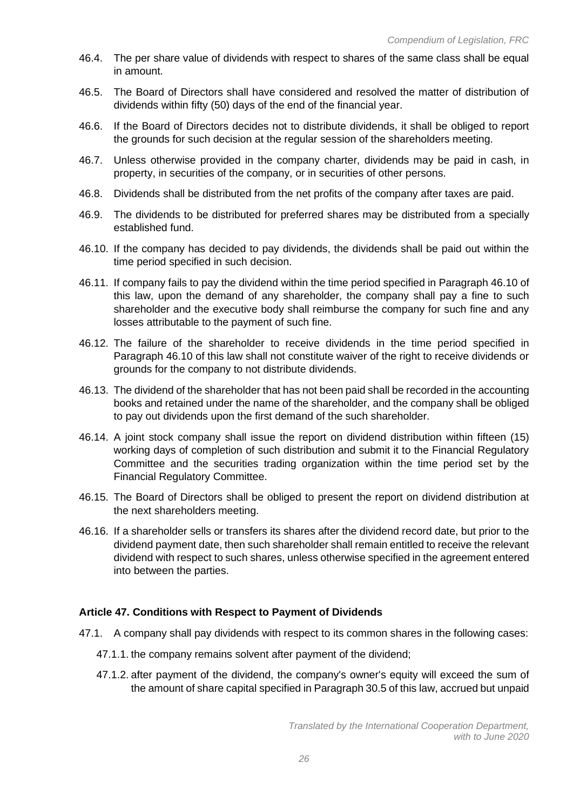- 46.4. The per share value of dividends with respect to shares of the same class shall be equal in amount.
- 46.5. The Board of Directors shall have considered and resolved the matter of distribution of dividends within fifty (50) days of the end of the financial year.
- 46.6. If the Board of Directors decides not to distribute dividends, it shall be obliged to report the grounds for such decision at the regular session of the shareholders meeting.
- 46.7. Unless otherwise provided in the company charter, dividends may be paid in cash, in property, in securities of the company, or in securities of other persons.
- 46.8. Dividends shall be distributed from the net profits of the company after taxes are paid.
- 46.9. The dividends to be distributed for preferred shares may be distributed from a specially established fund.
- 46.10. If the company has decided to pay dividends, the dividends shall be paid out within the time period specified in such decision.
- 46.11. If company fails to pay the dividend within the time period specified in Paragraph 46.10 of this law, upon the demand of any shareholder, the company shall pay a fine to such shareholder and the executive body shall reimburse the company for such fine and any losses attributable to the payment of such fine.
- 46.12. The failure of the shareholder to receive dividends in the time period specified in Paragraph 46.10 of this law shall not constitute waiver of the right to receive dividends or grounds for the company to not distribute dividends.
- 46.13. The dividend of the shareholder that has not been paid shall be recorded in the accounting books and retained under the name of the shareholder, and the company shall be obliged to pay out dividends upon the first demand of the such shareholder.
- 46.14. A joint stock company shall issue the report on dividend distribution within fifteen (15) working days of completion of such distribution and submit it to the Financial Regulatory Committee and the securities trading organization within the time period set by the Financial Regulatory Committee.
- 46.15. The Board of Directors shall be obliged to present the report on dividend distribution at the next shareholders meeting.
- 46.16. If a shareholder sells or transfers its shares after the dividend record date, but prior to the dividend payment date, then such shareholder shall remain entitled to receive the relevant dividend with respect to such shares, unless otherwise specified in the agreement entered into between the parties.

## **Article 47. Conditions with Respect to Payment of Dividends**

- 47.1. A company shall pay dividends with respect to its common shares in the following cases:
	- 47.1.1. the company remains solvent after payment of the dividend;
	- 47.1.2. after payment of the dividend, the company's owner's equity will exceed the sum of the amount of share capital specified in Paragraph 30.5 of this law, accrued but unpaid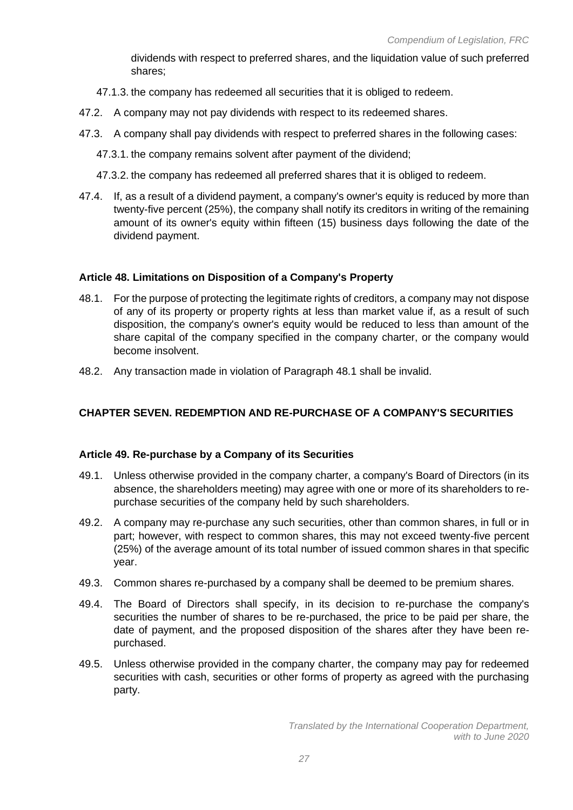dividends with respect to preferred shares, and the liquidation value of such preferred shares;

- 47.1.3. the company has redeemed all securities that it is obliged to redeem.
- 47.2. A company may not pay dividends with respect to its redeemed shares.
- 47.3. A company shall pay dividends with respect to preferred shares in the following cases:
	- 47.3.1. the company remains solvent after payment of the dividend;
	- 47.3.2. the company has redeemed all preferred shares that it is obliged to redeem.
- 47.4. If, as a result of a dividend payment, a company's owner's equity is reduced by more than twenty-five percent (25%), the company shall notify its creditors in writing of the remaining amount of its owner's equity within fifteen (15) business days following the date of the dividend payment.

# **Article 48. Limitations on Disposition of a Company's Property**

- 48.1. For the purpose of protecting the legitimate rights of creditors, a company may not dispose of any of its property or property rights at less than market value if, as a result of such disposition, the company's owner's equity would be reduced to less than amount of the share capital of the company specified in the company charter, or the company would become insolvent.
- 48.2. Any transaction made in violation of Paragraph 48.1 shall be invalid.

# **CHAPTER SEVEN. REDEMPTION AND RE-PURCHASE OF A COMPANY'S SECURITIES**

## **Article 49. Re-purchase by a Company of its Securities**

- 49.1. Unless otherwise provided in the company charter, a company's Board of Directors (in its absence, the shareholders meeting) may agree with one or more of its shareholders to repurchase securities of the company held by such shareholders.
- 49.2. A company may re-purchase any such securities, other than common shares, in full or in part; however, with respect to common shares, this may not exceed twenty-five percent (25%) of the average amount of its total number of issued common shares in that specific year.
- 49.3. Common shares re-purchased by a company shall be deemed to be premium shares.
- 49.4. The Board of Directors shall specify, in its decision to re-purchase the company's securities the number of shares to be re-purchased, the price to be paid per share, the date of payment, and the proposed disposition of the shares after they have been repurchased.
- 49.5. Unless otherwise provided in the company charter, the company may pay for redeemed securities with cash, securities or other forms of property as agreed with the purchasing party.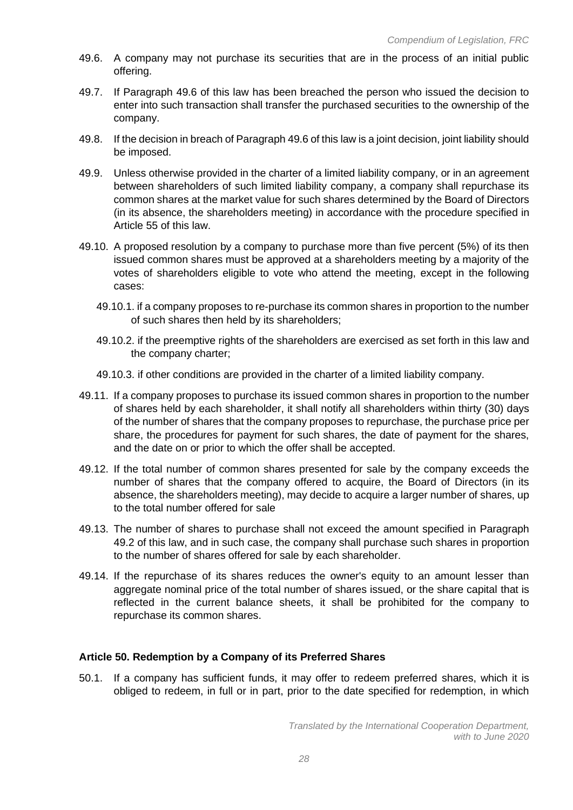- 49.6. A company may not purchase its securities that are in the process of an initial public offering.
- 49.7. If Paragraph 49.6 of this law has been breached the person who issued the decision to enter into such transaction shall transfer the purchased securities to the ownership of the company.
- 49.8. If the decision in breach of Paragraph 49.6 of this law is a joint decision, joint liability should be imposed.
- 49.9. Unless otherwise provided in the charter of a limited liability company, or in an agreement between shareholders of such limited liability company, a company shall repurchase its common shares at the market value for such shares determined by the Board of Directors (in its absence, the shareholders meeting) in accordance with the procedure specified in Article 55 of this law.
- 49.10. A proposed resolution by a company to purchase more than five percent (5%) of its then issued common shares must be approved at a shareholders meeting by a majority of the votes of shareholders eligible to vote who attend the meeting, except in the following cases:
	- 49.10.1. if a company proposes to re-purchase its common shares in proportion to the number of such shares then held by its shareholders;
	- 49.10.2. if the preemptive rights of the shareholders are exercised as set forth in this law and the company charter;
	- 49.10.3. if other conditions are provided in the charter of a limited liability company.
- 49.11. If a company proposes to purchase its issued common shares in proportion to the number of shares held by each shareholder, it shall notify all shareholders within thirty (30) days of the number of shares that the company proposes to repurchase, the purchase price per share, the procedures for payment for such shares, the date of payment for the shares, and the date on or prior to which the offer shall be accepted.
- 49.12. If the total number of common shares presented for sale by the company exceeds the number of shares that the company offered to acquire, the Board of Directors (in its absence, the shareholders meeting), may decide to acquire a larger number of shares, up to the total number offered for sale
- 49.13. The number of shares to purchase shall not exceed the amount specified in Paragraph 49.2 of this law, and in such case, the company shall purchase such shares in proportion to the number of shares offered for sale by each shareholder.
- 49.14. If the repurchase of its shares reduces the owner's equity to an amount lesser than aggregate nominal price of the total number of shares issued, or the share capital that is reflected in the current balance sheets, it shall be prohibited for the company to repurchase its common shares.

## **Article 50. Redemption by a Company of its Preferred Shares**

50.1. If a company has sufficient funds, it may offer to redeem preferred shares, which it is obliged to redeem, in full or in part, prior to the date specified for redemption, in which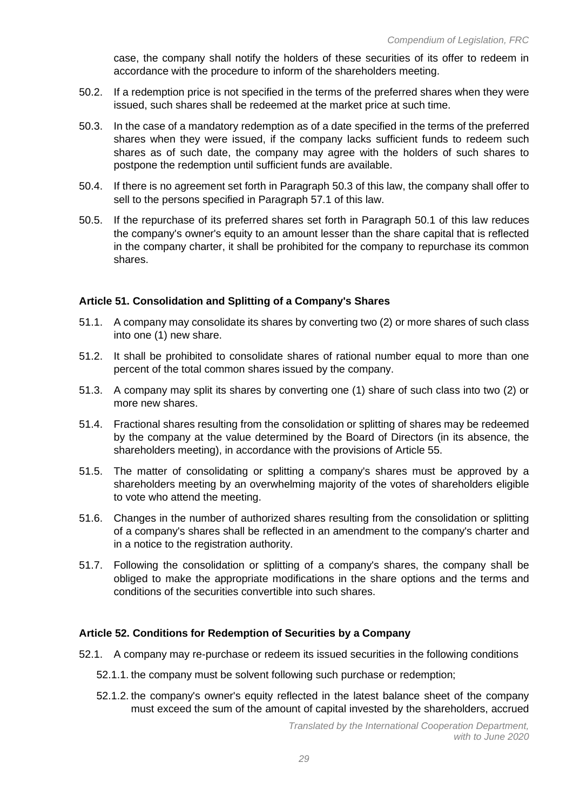case, the company shall notify the holders of these securities of its offer to redeem in accordance with the procedure to inform of the shareholders meeting.

- 50.2. If a redemption price is not specified in the terms of the preferred shares when they were issued, such shares shall be redeemed at the market price at such time.
- 50.3. In the case of a mandatory redemption as of a date specified in the terms of the preferred shares when they were issued, if the company lacks sufficient funds to redeem such shares as of such date, the company may agree with the holders of such shares to postpone the redemption until sufficient funds are available.
- 50.4. If there is no agreement set forth in Paragraph 50.3 of this law, the company shall offer to sell to the persons specified in Paragraph 57.1 of this law.
- 50.5. If the repurchase of its preferred shares set forth in Paragraph 50.1 of this law reduces the company's owner's equity to an amount lesser than the share capital that is reflected in the company charter, it shall be prohibited for the company to repurchase its common shares.

## **Article 51. Consolidation and Splitting of a Company's Shares**

- 51.1. A company may consolidate its shares by converting two (2) or more shares of such class into one (1) new share.
- 51.2. It shall be prohibited to consolidate shares of rational number equal to more than one percent of the total common shares issued by the company.
- 51.3. A company may split its shares by converting one (1) share of such class into two (2) or more new shares.
- 51.4. Fractional shares resulting from the consolidation or splitting of shares may be redeemed by the company at the value determined by the Board of Directors (in its absence, the shareholders meeting), in accordance with the provisions of Article 55.
- 51.5. The matter of consolidating or splitting a company's shares must be approved by a shareholders meeting by an overwhelming majority of the votes of shareholders eligible to vote who attend the meeting.
- 51.6. Changes in the number of authorized shares resulting from the consolidation or splitting of a company's shares shall be reflected in an amendment to the company's charter and in a notice to the registration authority.
- 51.7. Following the consolidation or splitting of a company's shares, the company shall be obliged to make the appropriate modifications in the share options and the terms and conditions of the securities convertible into such shares.

## **Article 52. Conditions for Redemption of Securities by a Company**

- 52.1. A company may re-purchase or redeem its issued securities in the following conditions
	- 52.1.1. the company must be solvent following such purchase or redemption;
	- 52.1.2. the company's owner's equity reflected in the latest balance sheet of the company must exceed the sum of the amount of capital invested by the shareholders, accrued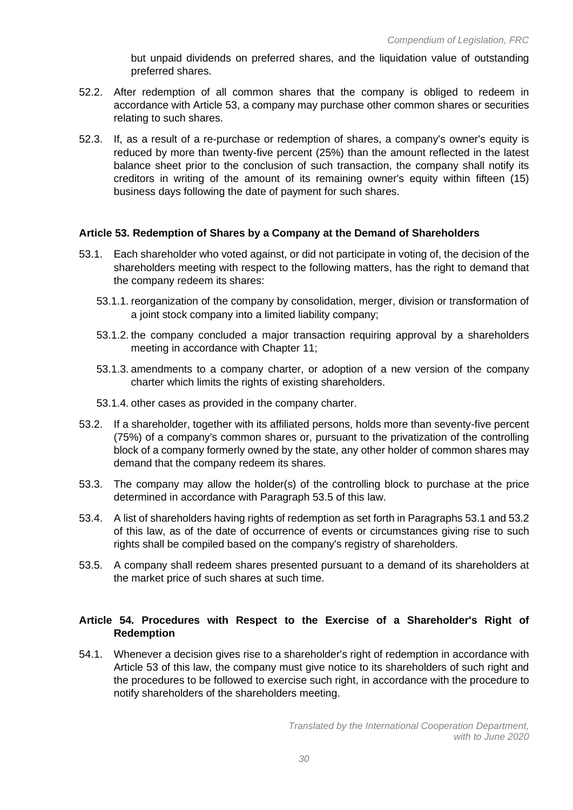but unpaid dividends on preferred shares, and the liquidation value of outstanding preferred shares.

- 52.2. After redemption of all common shares that the company is obliged to redeem in accordance with Article 53, a company may purchase other common shares or securities relating to such shares.
- 52.3. If, as a result of a re-purchase or redemption of shares, a company's owner's equity is reduced by more than twenty-five percent (25%) than the amount reflected in the latest balance sheet prior to the conclusion of such transaction, the company shall notify its creditors in writing of the amount of its remaining owner's equity within fifteen (15) business days following the date of payment for such shares.

## **Article 53. Redemption of Shares by a Company at the Demand of Shareholders**

- 53.1. Each shareholder who voted against, or did not participate in voting of, the decision of the shareholders meeting with respect to the following matters, has the right to demand that the company redeem its shares:
	- 53.1.1. reorganization of the company by consolidation, merger, division or transformation of a joint stock company into a limited liability company;
	- 53.1.2. the company concluded a major transaction requiring approval by a shareholders meeting in accordance with Chapter 11;
	- 53.1.3. amendments to a company charter, or adoption of a new version of the company charter which limits the rights of existing shareholders.
	- 53.1.4. other cases as provided in the company charter.
- 53.2. If a shareholder, together with its affiliated persons, holds more than seventy-five percent (75%) of a company's common shares or, pursuant to the privatization of the controlling block of a company formerly owned by the state, any other holder of common shares may demand that the company redeem its shares.
- 53.3. The company may allow the holder(s) of the controlling block to purchase at the price determined in accordance with Paragraph 53.5 of this law.
- 53.4. A list of shareholders having rights of redemption as set forth in Paragraphs 53.1 and 53.2 of this law, as of the date of occurrence of events or circumstances giving rise to such rights shall be compiled based on the company's registry of shareholders.
- 53.5. A company shall redeem shares presented pursuant to a demand of its shareholders at the market price of such shares at such time.

# **Article 54. Procedures with Respect to the Exercise of a Shareholder's Right of Redemption**

54.1. Whenever a decision gives rise to a shareholder's right of redemption in accordance with Article 53 of this law, the company must give notice to its shareholders of such right and the procedures to be followed to exercise such right, in accordance with the procedure to notify shareholders of the shareholders meeting.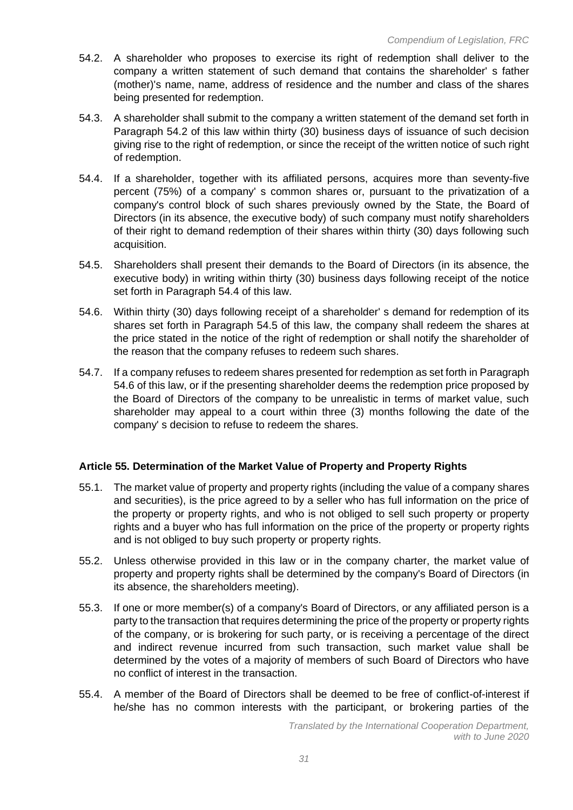- 54.2. A shareholder who proposes to exercise its right of redemption shall deliver to the company a written statement of such demand that contains the shareholder' s father (mother)'s name, name, address of residence and the number and class of the shares being presented for redemption.
- 54.3. A shareholder shall submit to the company a written statement of the demand set forth in Paragraph 54.2 of this law within thirty (30) business days of issuance of such decision giving rise to the right of redemption, or since the receipt of the written notice of such right of redemption.
- 54.4. If a shareholder, together with its affiliated persons, acquires more than seventy-five percent (75%) of a company' s common shares or, pursuant to the privatization of a company's control block of such shares previously owned by the State, the Board of Directors (in its absence, the executive body) of such company must notify shareholders of their right to demand redemption of their shares within thirty (30) days following such acquisition.
- 54.5. Shareholders shall present their demands to the Board of Directors (in its absence, the executive body) in writing within thirty (30) business days following receipt of the notice set forth in Paragraph 54.4 of this law.
- 54.6. Within thirty (30) days following receipt of a shareholder' s demand for redemption of its shares set forth in Paragraph 54.5 of this law, the company shall redeem the shares at the price stated in the notice of the right of redemption or shall notify the shareholder of the reason that the company refuses to redeem such shares.
- 54.7. If a company refuses to redeem shares presented for redemption as set forth in Paragraph 54.6 of this law, or if the presenting shareholder deems the redemption price proposed by the Board of Directors of the company to be unrealistic in terms of market value, such shareholder may appeal to a court within three (3) months following the date of the company' s decision to refuse to redeem the shares.

## **Article 55. Determination of the Market Value of Property and Property Rights**

- 55.1. The market value of property and property rights (including the value of a company shares and securities), is the price agreed to by a seller who has full information on the price of the property or property rights, and who is not obliged to sell such property or property rights and a buyer who has full information on the price of the property or property rights and is not obliged to buy such property or property rights.
- 55.2. Unless otherwise provided in this law or in the company charter, the market value of property and property rights shall be determined by the company's Board of Directors (in its absence, the shareholders meeting).
- 55.3. If one or more member(s) of a company's Board of Directors, or any affiliated person is a party to the transaction that requires determining the price of the property or property rights of the company, or is brokering for such party, or is receiving a percentage of the direct and indirect revenue incurred from such transaction, such market value shall be determined by the votes of a majority of members of such Board of Directors who have no conflict of interest in the transaction.
- 55.4. A member of the Board of Directors shall be deemed to be free of conflict-of-interest if he/she has no common interests with the participant, or brokering parties of the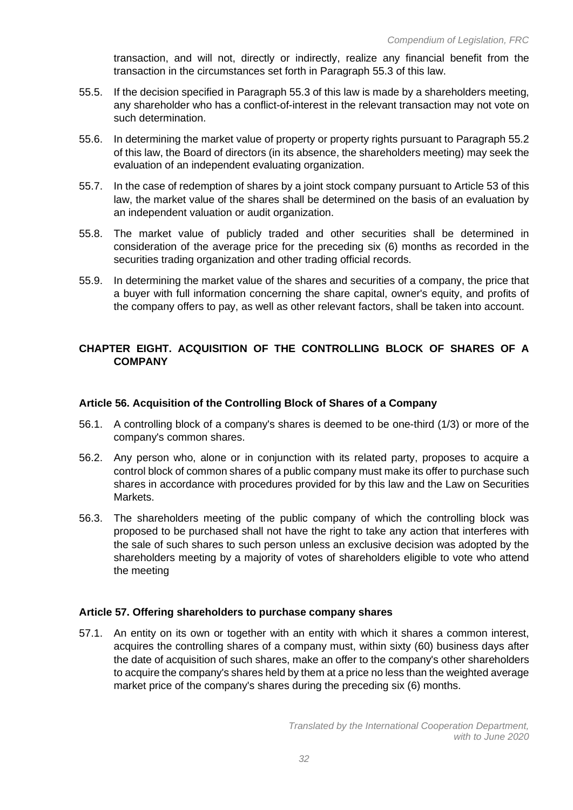transaction, and will not, directly or indirectly, realize any financial benefit from the transaction in the circumstances set forth in Paragraph 55.3 of this law.

- 55.5. If the decision specified in Paragraph 55.3 of this law is made by a shareholders meeting, any shareholder who has a conflict-of-interest in the relevant transaction may not vote on such determination.
- 55.6. In determining the market value of property or property rights pursuant to Paragraph 55.2 of this law, the Board of directors (in its absence, the shareholders meeting) may seek the evaluation of an independent evaluating organization.
- 55.7. In the case of redemption of shares by a joint stock company pursuant to Article 53 of this law, the market value of the shares shall be determined on the basis of an evaluation by an independent valuation or audit organization.
- 55.8. The market value of publicly traded and other securities shall be determined in consideration of the average price for the preceding six (6) months as recorded in the securities trading organization and other trading official records.
- 55.9. In determining the market value of the shares and securities of a company, the price that a buyer with full information concerning the share capital, owner's equity, and profits of the company offers to pay, as well as other relevant factors, shall be taken into account.

# **CHAPTER EIGHT. ACQUISITION OF THE CONTROLLING BLOCK OF SHARES OF A COMPANY**

## **Article 56. Acquisition of the Controlling Block of Shares of a Company**

- 56.1. A controlling block of a company's shares is deemed to be one-third (1/3) or more of the company's common shares.
- 56.2. Any person who, alone or in conjunction with its related party, proposes to acquire a control block of common shares of a public company must make its offer to purchase such shares in accordance with procedures provided for by this law and the Law on Securities Markets.
- 56.3. The shareholders meeting of the public company of which the controlling block was proposed to be purchased shall not have the right to take any action that interferes with the sale of such shares to such person unless an exclusive decision was adopted by the shareholders meeting by a majority of votes of shareholders eligible to vote who attend the meeting

## **Article 57. Offering shareholders to purchase company shares**

57.1. An entity on its own or together with an entity with which it shares a common interest, acquires the controlling shares of a company must, within sixty (60) business days after the date of acquisition of such shares, make an offer to the company's other shareholders to acquire the company's shares held by them at a price no less than the weighted average market price of the company's shares during the preceding six (6) months.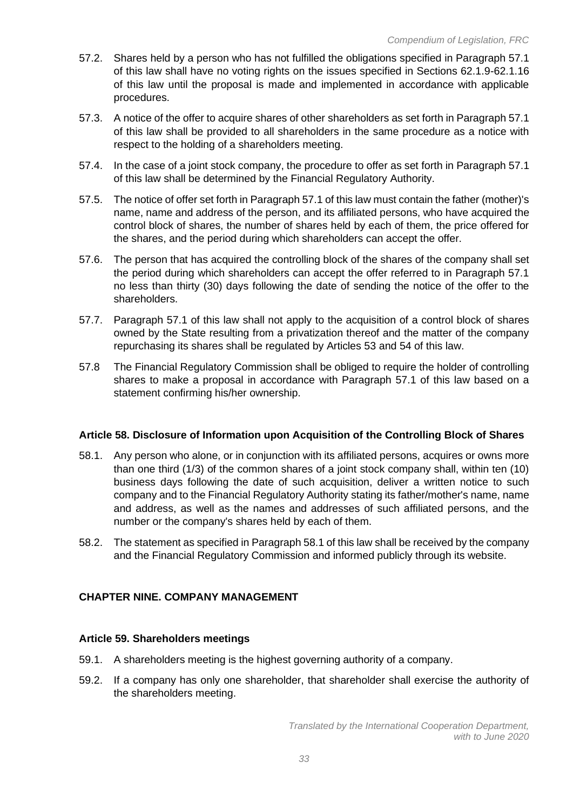- 57.2. Shares held by a person who has not fulfilled the obligations specified in Paragraph 57.1 of this law shall have no voting rights on the issues specified in Sections 62.1.9-62.1.16 of this law until the proposal is made and implemented in accordance with applicable procedures.
- 57.3. A notice of the offer to acquire shares of other shareholders as set forth in Paragraph 57.1 of this law shall be provided to all shareholders in the same procedure as a notice with respect to the holding of a shareholders meeting.
- 57.4. In the case of a joint stock company, the procedure to offer as set forth in Paragraph 57.1 of this law shall be determined by the Financial Regulatory Authority.
- 57.5. The notice of offer set forth in Paragraph 57.1 of this law must contain the father (mother)'s name, name and address of the person, and its affiliated persons, who have acquired the control block of shares, the number of shares held by each of them, the price offered for the shares, and the period during which shareholders can accept the offer.
- 57.6. The person that has acquired the controlling block of the shares of the company shall set the period during which shareholders can accept the offer referred to in Paragraph 57.1 no less than thirty (30) days following the date of sending the notice of the offer to the shareholders.
- 57.7. Paragraph 57.1 of this law shall not apply to the acquisition of a control block of shares owned by the State resulting from a privatization thereof and the matter of the company repurchasing its shares shall be regulated by Articles 53 and 54 of this law.
- 57.8 The Financial Regulatory Commission shall be obliged to require the holder of controlling shares to make a proposal in accordance with Paragraph 57.1 of this law based on a statement confirming his/her ownership.

## **Article 58. Disclosure of Information upon Acquisition of the Controlling Block of Shares**

- 58.1. Any person who alone, or in conjunction with its affiliated persons, acquires or owns more than one third (1/3) of the common shares of a joint stock company shall, within ten (10) business days following the date of such acquisition, deliver a written notice to such company and to the Financial Regulatory Authority stating its father/mother's name, name and address, as well as the names and addresses of such affiliated persons, and the number or the company's shares held by each of them.
- 58.2. The statement as specified in Paragraph 58.1 of this law shall be received by the company and the Financial Regulatory Commission and informed publicly through its website.

## **CHAPTER NINE. COMPANY MANAGEMENT**

#### **Article 59. Shareholders meetings**

- 59.1. A shareholders meeting is the highest governing authority of a company.
- 59.2. If a company has only one shareholder, that shareholder shall exercise the authority of the shareholders meeting.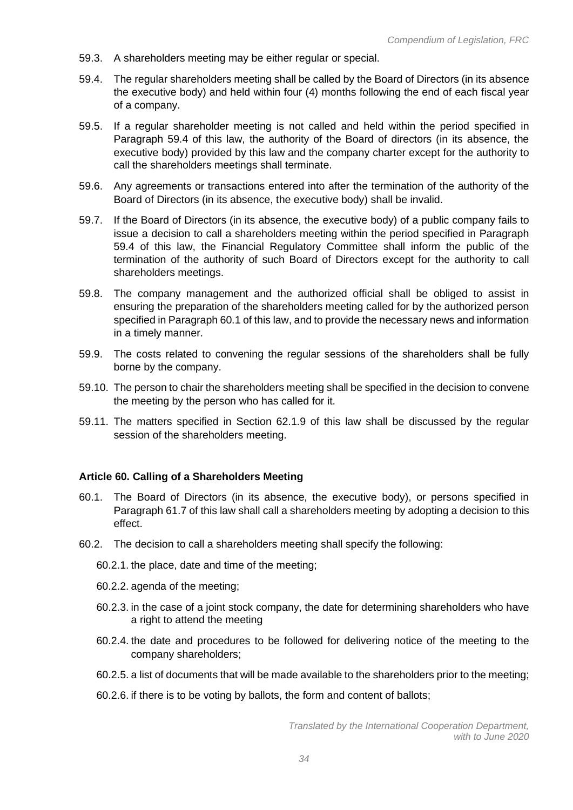- 59.3. A shareholders meeting may be either regular or special.
- 59.4. The regular shareholders meeting shall be called by the Board of Directors (in its absence the executive body) and held within four (4) months following the end of each fiscal year of a company.
- 59.5. If a regular shareholder meeting is not called and held within the period specified in Paragraph 59.4 of this law, the authority of the Board of directors (in its absence, the executive body) provided by this law and the company charter except for the authority to call the shareholders meetings shall terminate.
- 59.6. Any agreements or transactions entered into after the termination of the authority of the Board of Directors (in its absence, the executive body) shall be invalid.
- 59.7. If the Board of Directors (in its absence, the executive body) of a public company fails to issue a decision to call a shareholders meeting within the period specified in Paragraph 59.4 of this law, the Financial Regulatory Committee shall inform the public of the termination of the authority of such Board of Directors except for the authority to call shareholders meetings.
- 59.8. The company management and the authorized official shall be obliged to assist in ensuring the preparation of the shareholders meeting called for by the authorized person specified in Paragraph 60.1 of this law, and to provide the necessary news and information in a timely manner.
- 59.9. The costs related to convening the regular sessions of the shareholders shall be fully borne by the company.
- 59.10. The person to chair the shareholders meeting shall be specified in the decision to convene the meeting by the person who has called for it.
- 59.11. The matters specified in Section 62.1.9 of this law shall be discussed by the regular session of the shareholders meeting.

#### **Article 60. Calling of a Shareholders Meeting**

- 60.1. The Board of Directors (in its absence, the executive body), or persons specified in Paragraph 61.7 of this law shall call a shareholders meeting by adopting a decision to this effect.
- 60.2. The decision to call a shareholders meeting shall specify the following:
	- 60.2.1. the place, date and time of the meeting;
	- 60.2.2. agenda of the meeting;
	- 60.2.3. in the case of a joint stock company, the date for determining shareholders who have a right to attend the meeting
	- 60.2.4. the date and procedures to be followed for delivering notice of the meeting to the company shareholders;
	- 60.2.5. a list of documents that will be made available to the shareholders prior to the meeting;
	- 60.2.6. if there is to be voting by ballots, the form and content of ballots;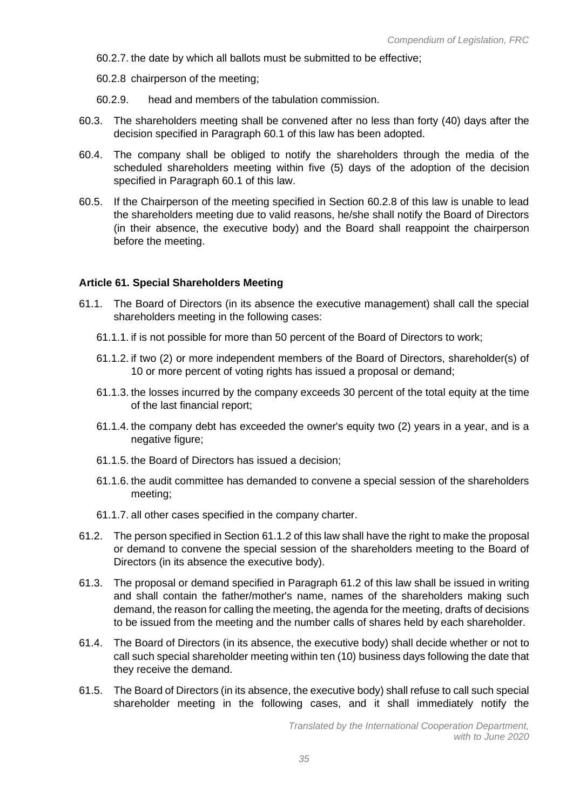- 60.2.7. the date by which all ballots must be submitted to be effective;
- 60.2.8 chairperson of the meeting;
- 60.2.9. head and members of the tabulation commission.
- 60.3. The shareholders meeting shall be convened after no less than forty (40) days after the decision specified in Paragraph 60.1 of this law has been adopted.
- 60.4. The company shall be obliged to notify the shareholders through the media of the scheduled shareholders meeting within five (5) days of the adoption of the decision specified in Paragraph 60.1 of this law.
- 60.5. If the Chairperson of the meeting specified in Section 60.2.8 of this law is unable to lead the shareholders meeting due to valid reasons, he/she shall notify the Board of Directors (in their absence, the executive body) and the Board shall reappoint the chairperson before the meeting.

#### **Article 61. Special Shareholders Meeting**

- 61.1. The Board of Directors (in its absence the executive management) shall call the special shareholders meeting in the following cases:
	- 61.1.1. if is not possible for more than 50 percent of the Board of Directors to work;
	- 61.1.2. if two (2) or more independent members of the Board of Directors, shareholder(s) of 10 or more percent of voting rights has issued a proposal or demand;
	- 61.1.3. the losses incurred by the company exceeds 30 percent of the total equity at the time of the last financial report;
	- 61.1.4. the company debt has exceeded the owner's equity two (2) years in a year, and is a negative figure;
	- 61.1.5. the Board of Directors has issued a decision;
	- 61.1.6. the audit committee has demanded to convene a special session of the shareholders meeting;
	- 61.1.7. all other cases specified in the company charter.
- 61.2. The person specified in Section 61.1.2 of this law shall have the right to make the proposal or demand to convene the special session of the shareholders meeting to the Board of Directors (in its absence the executive body).
- 61.3. The proposal or demand specified in Paragraph 61.2 of this law shall be issued in writing and shall contain the father/mother's name, names of the shareholders making such demand, the reason for calling the meeting, the agenda for the meeting, drafts of decisions to be issued from the meeting and the number calls of shares held by each shareholder.
- 61.4. The Board of Directors (in its absence, the executive body) shall decide whether or not to call such special shareholder meeting within ten (10) business days following the date that they receive the demand.
- 61.5. The Board of Directors (in its absence, the executive body) shall refuse to call such special shareholder meeting in the following cases, and it shall immediately notify the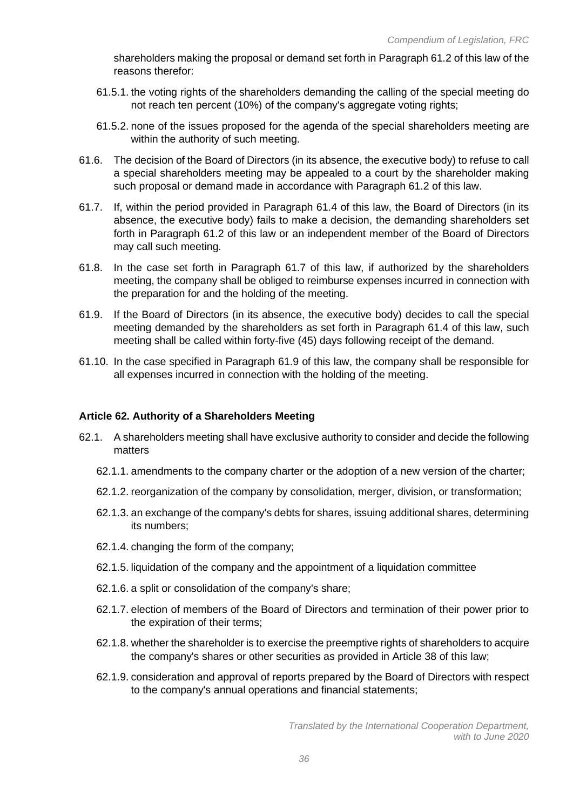shareholders making the proposal or demand set forth in Paragraph 61.2 of this law of the reasons therefor:

- 61.5.1. the voting rights of the shareholders demanding the calling of the special meeting do not reach ten percent (10%) of the company's aggregate voting rights;
- 61.5.2. none of the issues proposed for the agenda of the special shareholders meeting are within the authority of such meeting.
- 61.6. The decision of the Board of Directors (in its absence, the executive body) to refuse to call a special shareholders meeting may be appealed to a court by the shareholder making such proposal or demand made in accordance with Paragraph 61.2 of this law.
- 61.7. If, within the period provided in Paragraph 61.4 of this law, the Board of Directors (in its absence, the executive body) fails to make a decision, the demanding shareholders set forth in Paragraph 61.2 of this law or an independent member of the Board of Directors may call such meeting.
- 61.8. In the case set forth in Paragraph 61.7 of this law, if authorized by the shareholders meeting, the company shall be obliged to reimburse expenses incurred in connection with the preparation for and the holding of the meeting.
- 61.9. If the Board of Directors (in its absence, the executive body) decides to call the special meeting demanded by the shareholders as set forth in Paragraph 61.4 of this law, such meeting shall be called within forty-five (45) days following receipt of the demand.
- 61.10. In the case specified in Paragraph 61.9 of this law, the company shall be responsible for all expenses incurred in connection with the holding of the meeting.

## **Article 62. Authority of a Shareholders Meeting**

- 62.1. A shareholders meeting shall have exclusive authority to consider and decide the following matters
	- 62.1.1. amendments to the company charter or the adoption of a new version of the charter;
	- 62.1.2. reorganization of the company by consolidation, merger, division, or transformation;
	- 62.1.3. an exchange of the company's debts for shares, issuing additional shares, determining its numbers;
	- 62.1.4. changing the form of the company;
	- 62.1.5. liquidation of the company and the appointment of a liquidation committee
	- 62.1.6. a split or consolidation of the company's share;
	- 62.1.7. election of members of the Board of Directors and termination of their power prior to the expiration of their terms;
	- 62.1.8. whether the shareholder is to exercise the preemptive rights of shareholders to acquire the company's shares or other securities as provided in Article 38 of this law;
	- 62.1.9. consideration and approval of reports prepared by the Board of Directors with respect to the company's annual operations and financial statements;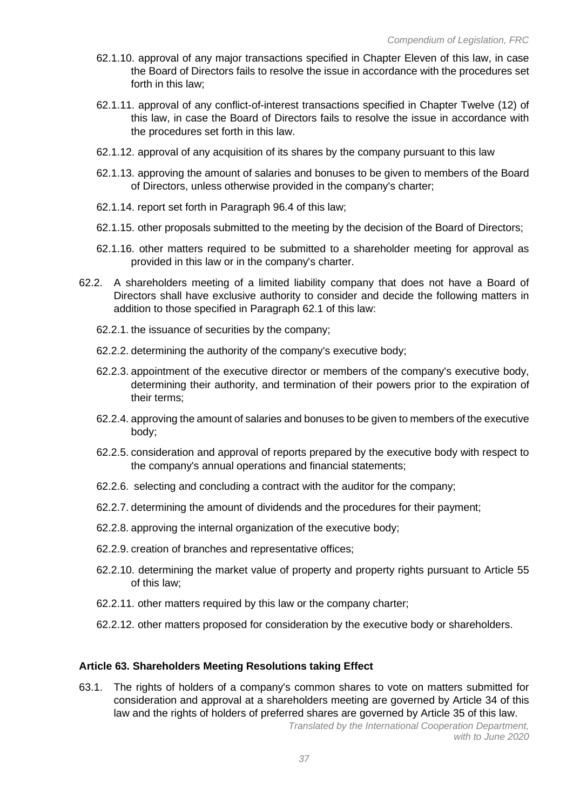- 62.1.10. approval of any major transactions specified in Chapter Eleven of this law, in case the Board of Directors fails to resolve the issue in accordance with the procedures set forth in this law;
- 62.1.11. approval of any conflict-of-interest transactions specified in Chapter Twelve (12) of this law, in case the Board of Directors fails to resolve the issue in accordance with the procedures set forth in this law.
- 62.1.12. approval of any acquisition of its shares by the company pursuant to this law
- 62.1.13. approving the amount of salaries and bonuses to be given to members of the Board of Directors, unless otherwise provided in the company's charter;
- 62.1.14. report set forth in Paragraph 96.4 of this law;
- 62.1.15. other proposals submitted to the meeting by the decision of the Board of Directors;
- 62.1.16. other matters required to be submitted to a shareholder meeting for approval as provided in this law or in the company's charter.
- 62.2. A shareholders meeting of a limited liability company that does not have a Board of Directors shall have exclusive authority to consider and decide the following matters in addition to those specified in Paragraph 62.1 of this law:
	- 62.2.1. the issuance of securities by the company;
	- 62.2.2. determining the authority of the company's executive body;
	- 62.2.3. appointment of the executive director or members of the company's executive body, determining their authority, and termination of their powers prior to the expiration of their terms;
	- 62.2.4. approving the amount of salaries and bonuses to be given to members of the executive body;
	- 62.2.5. consideration and approval of reports prepared by the executive body with respect to the company's annual operations and financial statements;
	- 62.2.6. selecting and concluding a contract with the auditor for the company;
	- 62.2.7. determining the amount of dividends and the procedures for their payment;
	- 62.2.8. approving the internal organization of the executive body;
	- 62.2.9. creation of branches and representative offices;
	- 62.2.10. determining the market value of property and property rights pursuant to Article 55 of this law;
	- 62.2.11. other matters required by this law or the company charter;
	- 62.2.12. other matters proposed for consideration by the executive body or shareholders.

#### **Article 63. Shareholders Meeting Resolutions taking Effect**

63.1. The rights of holders of a company's common shares to vote on matters submitted for consideration and approval at a shareholders meeting are governed by Article 34 of this law and the rights of holders of preferred shares are governed by Article 35 of this law.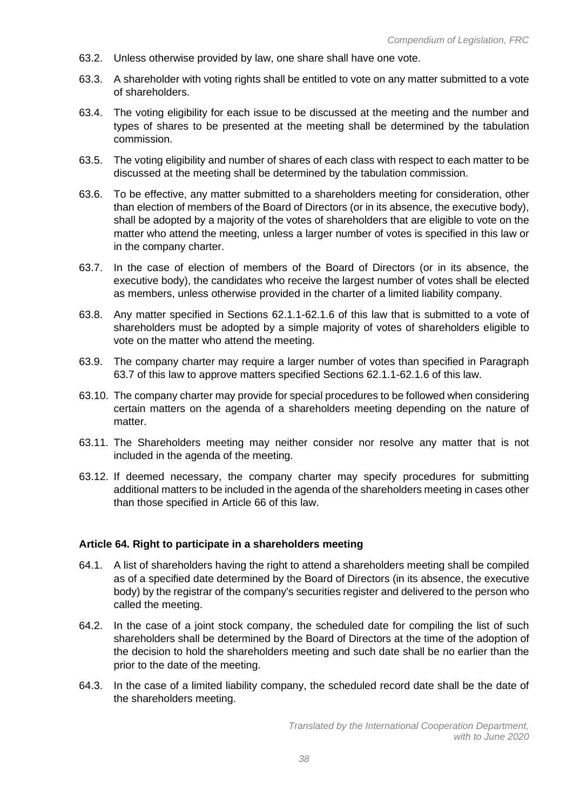- 63.2. Unless otherwise provided by law, one share shall have one vote.
- 63.3. A shareholder with voting rights shall be entitled to vote on any matter submitted to a vote of shareholders.
- 63.4. The voting eligibility for each issue to be discussed at the meeting and the number and types of shares to be presented at the meeting shall be determined by the tabulation commission.
- 63.5. The voting eligibility and number of shares of each class with respect to each matter to be discussed at the meeting shall be determined by the tabulation commission.
- 63.6. To be effective, any matter submitted to a shareholders meeting for consideration, other than election of members of the Board of Directors (or in its absence, the executive body), shall be adopted by a majority of the votes of shareholders that are eligible to vote on the matter who attend the meeting, unless a larger number of votes is specified in this law or in the company charter.
- 63.7. In the case of election of members of the Board of Directors (or in its absence, the executive body), the candidates who receive the largest number of votes shall be elected as members, unless otherwise provided in the charter of a limited liability company.
- 63.8. Any matter specified in Sections 62.1.1-62.1.6 of this law that is submitted to a vote of shareholders must be adopted by a simple majority of votes of shareholders eligible to vote on the matter who attend the meeting.
- 63.9. The company charter may require a larger number of votes than specified in Paragraph 63.7 of this law to approve matters specified Sections 62.1.1-62.1.6 of this law.
- 63.10. The company charter may provide for special procedures to be followed when considering certain matters on the agenda of a shareholders meeting depending on the nature of matter.
- 63.11. The Shareholders meeting may neither consider nor resolve any matter that is not included in the agenda of the meeting.
- 63.12. If deemed necessary, the company charter may specify procedures for submitting additional matters to be included in the agenda of the shareholders meeting in cases other than those specified in Article 66 of this law.

## **Article 64. Right to participate in a shareholders meeting**

- 64.1. A list of shareholders having the right to attend a shareholders meeting shall be compiled as of a specified date determined by the Board of Directors (in its absence, the executive body) by the registrar of the company's securities register and delivered to the person who called the meeting.
- 64.2. In the case of a joint stock company, the scheduled date for compiling the list of such shareholders shall be determined by the Board of Directors at the time of the adoption of the decision to hold the shareholders meeting and such date shall be no earlier than the prior to the date of the meeting.
- 64.3. In the case of a limited liability company, the scheduled record date shall be the date of the shareholders meeting.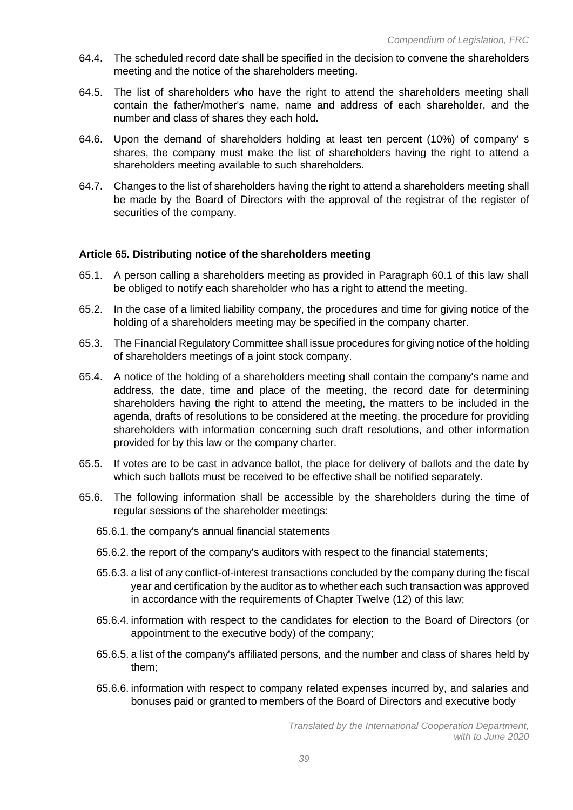- 64.4. The scheduled record date shall be specified in the decision to convene the shareholders meeting and the notice of the shareholders meeting.
- 64.5. The list of shareholders who have the right to attend the shareholders meeting shall contain the father/mother's name, name and address of each shareholder, and the number and class of shares they each hold.
- 64.6. Upon the demand of shareholders holding at least ten percent (10%) of company' s shares, the company must make the list of shareholders having the right to attend a shareholders meeting available to such shareholders.
- 64.7. Changes to the list of shareholders having the right to attend a shareholders meeting shall be made by the Board of Directors with the approval of the registrar of the register of securities of the company.

## **Article 65. Distributing notice of the shareholders meeting**

- 65.1. A person calling a shareholders meeting as provided in Paragraph 60.1 of this law shall be obliged to notify each shareholder who has a right to attend the meeting.
- 65.2. In the case of a limited liability company, the procedures and time for giving notice of the holding of a shareholders meeting may be specified in the company charter.
- 65.3. The Financial Regulatory Committee shall issue procedures for giving notice of the holding of shareholders meetings of a joint stock company.
- 65.4. A notice of the holding of a shareholders meeting shall contain the company's name and address, the date, time and place of the meeting, the record date for determining shareholders having the right to attend the meeting, the matters to be included in the agenda, drafts of resolutions to be considered at the meeting, the procedure for providing shareholders with information concerning such draft resolutions, and other information provided for by this law or the company charter.
- 65.5. If votes are to be cast in advance ballot, the place for delivery of ballots and the date by which such ballots must be received to be effective shall be notified separately.
- 65.6. The following information shall be accessible by the shareholders during the time of regular sessions of the shareholder meetings:
	- 65.6.1. the company's annual financial statements
	- 65.6.2. the report of the company's auditors with respect to the financial statements;
	- 65.6.3. a list of any conflict-of-interest transactions concluded by the company during the fiscal year and certification by the auditor as to whether each such transaction was approved in accordance with the requirements of Chapter Twelve (12) of this law;
	- 65.6.4. information with respect to the candidates for election to the Board of Directors (or appointment to the executive body) of the company;
	- 65.6.5. a list of the company's affiliated persons, and the number and class of shares held by them;
	- 65.6.6. information with respect to company related expenses incurred by, and salaries and bonuses paid or granted to members of the Board of Directors and executive body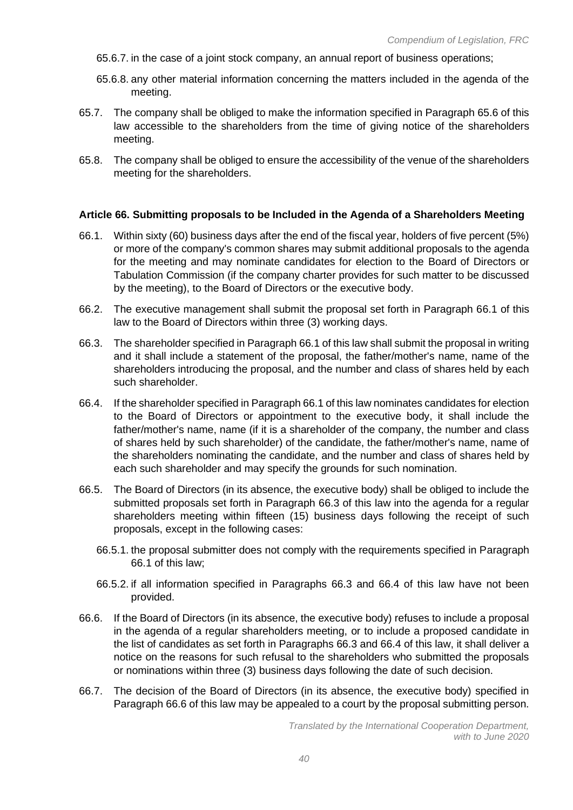- 65.6.7. in the case of a joint stock company, an annual report of business operations;
- 65.6.8. any other material information concerning the matters included in the agenda of the meeting.
- 65.7. The company shall be obliged to make the information specified in Paragraph 65.6 of this law accessible to the shareholders from the time of giving notice of the shareholders meeting.
- 65.8. The company shall be obliged to ensure the accessibility of the venue of the shareholders meeting for the shareholders.

#### **Article 66. Submitting proposals to be Included in the Agenda of a Shareholders Meeting**

- 66.1. Within sixty (60) business days after the end of the fiscal year, holders of five percent (5%) or more of the company's common shares may submit additional proposals to the agenda for the meeting and may nominate candidates for election to the Board of Directors or Tabulation Commission (if the company charter provides for such matter to be discussed by the meeting), to the Board of Directors or the executive body.
- 66.2. The executive management shall submit the proposal set forth in Paragraph 66.1 of this law to the Board of Directors within three (3) working days.
- 66.3. The shareholder specified in Paragraph 66.1 of this law shall submit the proposal in writing and it shall include a statement of the proposal, the father/mother's name, name of the shareholders introducing the proposal, and the number and class of shares held by each such shareholder.
- 66.4. If the shareholder specified in Paragraph 66.1 of this law nominates candidates for election to the Board of Directors or appointment to the executive body, it shall include the father/mother's name, name (if it is a shareholder of the company, the number and class of shares held by such shareholder) of the candidate, the father/mother's name, name of the shareholders nominating the candidate, and the number and class of shares held by each such shareholder and may specify the grounds for such nomination.
- 66.5. The Board of Directors (in its absence, the executive body) shall be obliged to include the submitted proposals set forth in Paragraph 66.3 of this law into the agenda for a regular shareholders meeting within fifteen (15) business days following the receipt of such proposals, except in the following cases:
	- 66.5.1. the proposal submitter does not comply with the requirements specified in Paragraph 66.1 of this law;
	- 66.5.2. if all information specified in Paragraphs 66.3 and 66.4 of this law have not been provided.
- 66.6. If the Board of Directors (in its absence, the executive body) refuses to include a proposal in the agenda of a regular shareholders meeting, or to include a proposed candidate in the list of candidates as set forth in Paragraphs 66.3 and 66.4 of this law, it shall deliver a notice on the reasons for such refusal to the shareholders who submitted the proposals or nominations within three (3) business days following the date of such decision.
- 66.7. The decision of the Board of Directors (in its absence, the executive body) specified in Paragraph 66.6 of this law may be appealed to a court by the proposal submitting person.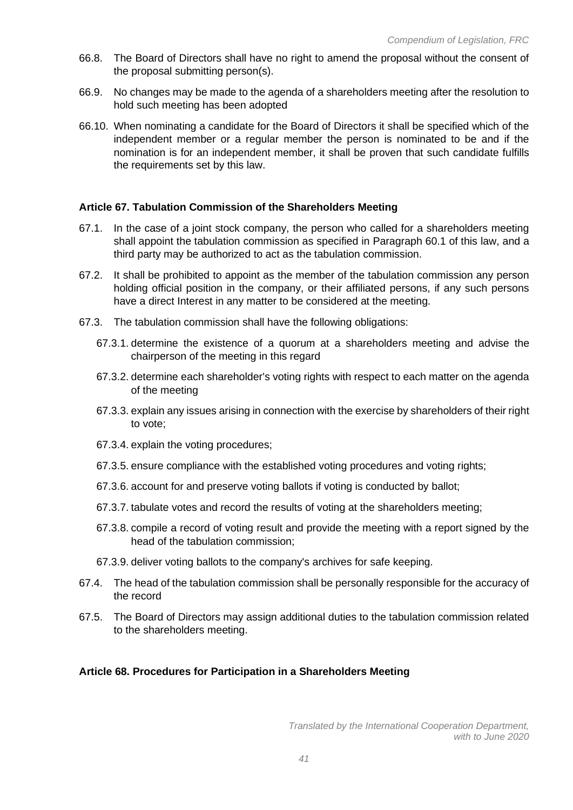- 66.8. The Board of Directors shall have no right to amend the proposal without the consent of the proposal submitting person(s).
- 66.9. No changes may be made to the agenda of a shareholders meeting after the resolution to hold such meeting has been adopted
- 66.10. When nominating a candidate for the Board of Directors it shall be specified which of the independent member or a regular member the person is nominated to be and if the nomination is for an independent member, it shall be proven that such candidate fulfills the requirements set by this law.

## **Article 67. Tabulation Commission of the Shareholders Meeting**

- 67.1. In the case of a joint stock company, the person who called for a shareholders meeting shall appoint the tabulation commission as specified in Paragraph 60.1 of this law, and a third party may be authorized to act as the tabulation commission.
- 67.2. It shall be prohibited to appoint as the member of the tabulation commission any person holding official position in the company, or their affiliated persons, if any such persons have a direct Interest in any matter to be considered at the meeting.
- 67.3. The tabulation commission shall have the following obligations:
	- 67.3.1. determine the existence of a quorum at a shareholders meeting and advise the chairperson of the meeting in this regard
	- 67.3.2. determine each shareholder's voting rights with respect to each matter on the agenda of the meeting
	- 67.3.3. explain any issues arising in connection with the exercise by shareholders of their right to vote;
	- 67.3.4. explain the voting procedures;
	- 67.3.5. ensure compliance with the established voting procedures and voting rights;
	- 67.3.6. account for and preserve voting ballots if voting is conducted by ballot;
	- 67.3.7. tabulate votes and record the results of voting at the shareholders meeting;
	- 67.3.8. compile a record of voting result and provide the meeting with a report signed by the head of the tabulation commission;
	- 67.3.9. deliver voting ballots to the company's archives for safe keeping.
- 67.4. The head of the tabulation commission shall be personally responsible for the accuracy of the record
- 67.5. The Board of Directors may assign additional duties to the tabulation commission related to the shareholders meeting.

## **Article 68. Procedures for Participation in a Shareholders Meeting**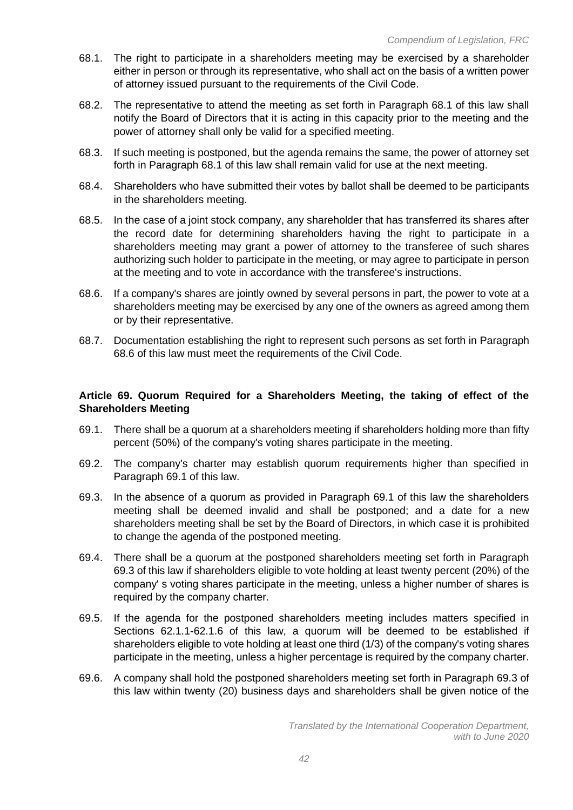- 68.1. The right to participate in a shareholders meeting may be exercised by a shareholder either in person or through its representative, who shall act on the basis of a written power of attorney issued pursuant to the requirements of the Civil Code.
- 68.2. The representative to attend the meeting as set forth in Paragraph 68.1 of this law shall notify the Board of Directors that it is acting in this capacity prior to the meeting and the power of attorney shall only be valid for a specified meeting.
- 68.3. If such meeting is postponed, but the agenda remains the same, the power of attorney set forth in Paragraph 68.1 of this law shall remain valid for use at the next meeting.
- 68.4. Shareholders who have submitted their votes by ballot shall be deemed to be participants in the shareholders meeting.
- 68.5. In the case of a joint stock company, any shareholder that has transferred its shares after the record date for determining shareholders having the right to participate in a shareholders meeting may grant a power of attorney to the transferee of such shares authorizing such holder to participate in the meeting, or may agree to participate in person at the meeting and to vote in accordance with the transferee's instructions.
- 68.6. If a company's shares are jointly owned by several persons in part, the power to vote at a shareholders meeting may be exercised by any one of the owners as agreed among them or by their representative.
- 68.7. Documentation establishing the right to represent such persons as set forth in Paragraph 68.6 of this law must meet the requirements of the Civil Code.

# **Article 69. Quorum Required for a Shareholders Meeting, the taking of effect of the Shareholders Meeting**

- 69.1. There shall be a quorum at a shareholders meeting if shareholders holding more than fifty percent (50%) of the company's voting shares participate in the meeting.
- 69.2. The company's charter may establish quorum requirements higher than specified in Paragraph 69.1 of this law.
- 69.3. In the absence of a quorum as provided in Paragraph 69.1 of this law the shareholders meeting shall be deemed invalid and shall be postponed; and a date for a new shareholders meeting shall be set by the Board of Directors, in which case it is prohibited to change the agenda of the postponed meeting.
- 69.4. There shall be a quorum at the postponed shareholders meeting set forth in Paragraph 69.3 of this law if shareholders eligible to vote holding at least twenty percent (20%) of the company' s voting shares participate in the meeting, unless a higher number of shares is required by the company charter.
- 69.5. If the agenda for the postponed shareholders meeting includes matters specified in Sections 62.1.1-62.1.6 of this law, a quorum will be deemed to be established if shareholders eligible to vote holding at least one third (1/3) of the company's voting shares participate in the meeting, unless a higher percentage is required by the company charter.
- 69.6. A company shall hold the postponed shareholders meeting set forth in Paragraph 69.3 of this law within twenty (20) business days and shareholders shall be given notice of the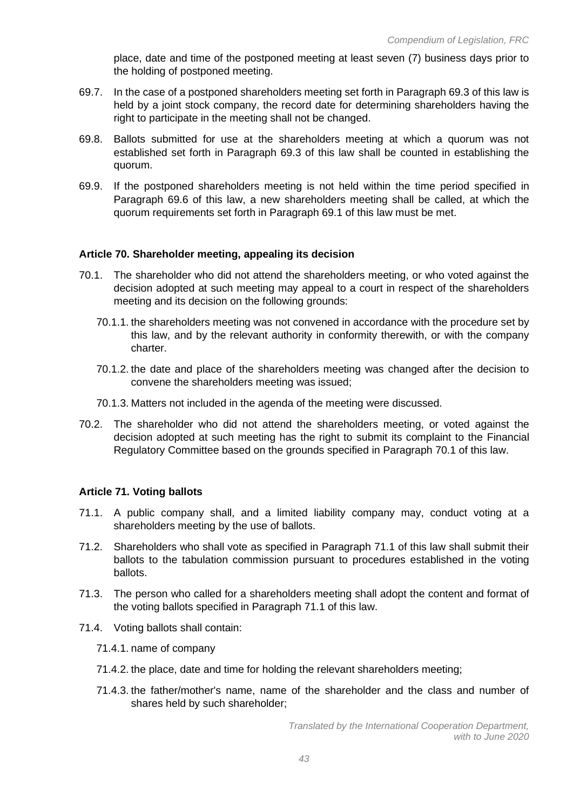place, date and time of the postponed meeting at least seven (7) business days prior to the holding of postponed meeting.

- 69.7. In the case of a postponed shareholders meeting set forth in Paragraph 69.3 of this law is held by a joint stock company, the record date for determining shareholders having the right to participate in the meeting shall not be changed.
- 69.8. Ballots submitted for use at the shareholders meeting at which a quorum was not established set forth in Paragraph 69.3 of this law shall be counted in establishing the quorum.
- 69.9. If the postponed shareholders meeting is not held within the time period specified in Paragraph 69.6 of this law, a new shareholders meeting shall be called, at which the quorum requirements set forth in Paragraph 69.1 of this law must be met.

#### **Article 70. Shareholder meeting, appealing its decision**

- 70.1. The shareholder who did not attend the shareholders meeting, or who voted against the decision adopted at such meeting may appeal to a court in respect of the shareholders meeting and its decision on the following grounds:
	- 70.1.1. the shareholders meeting was not convened in accordance with the procedure set by this law, and by the relevant authority in conformity therewith, or with the company charter.
	- 70.1.2. the date and place of the shareholders meeting was changed after the decision to convene the shareholders meeting was issued;
	- 70.1.3. Matters not included in the agenda of the meeting were discussed.
- 70.2. The shareholder who did not attend the shareholders meeting, or voted against the decision adopted at such meeting has the right to submit its complaint to the Financial Regulatory Committee based on the grounds specified in Paragraph 70.1 of this law.

## **Article 71. Voting ballots**

- 71.1. A public company shall, and a limited liability company may, conduct voting at a shareholders meeting by the use of ballots.
- 71.2. Shareholders who shall vote as specified in Paragraph 71.1 of this law shall submit their ballots to the tabulation commission pursuant to procedures established in the voting ballots.
- 71.3. The person who called for a shareholders meeting shall adopt the content and format of the voting ballots specified in Paragraph 71.1 of this law.
- 71.4. Voting ballots shall contain:
	- 71.4.1. name of company
	- 71.4.2. the place, date and time for holding the relevant shareholders meeting;
	- 71.4.3. the father/mother's name, name of the shareholder and the class and number of shares held by such shareholder;

*Translated by the International Cooperation Department, with to June 2020*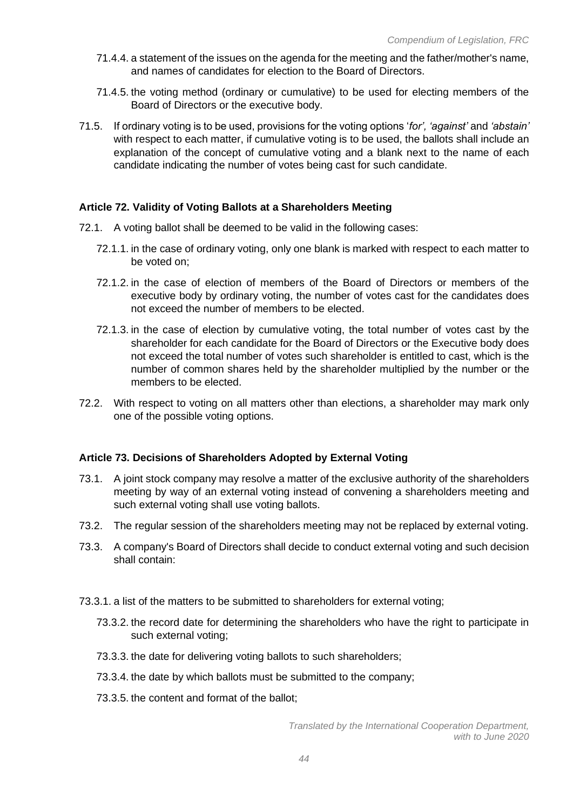- 71.4.4. a statement of the issues on the agenda for the meeting and the father/mother's name, and names of candidates for election to the Board of Directors.
- 71.4.5. the voting method (ordinary or cumulative) to be used for electing members of the Board of Directors or the executive body.
- 71.5. If ordinary voting is to be used, provisions for the voting options '*for', 'against'* and *'abstain'* with respect to each matter, if cumulative voting is to be used, the ballots shall include an explanation of the concept of cumulative voting and a blank next to the name of each candidate indicating the number of votes being cast for such candidate.

## **Article 72. Validity of Voting Ballots at a Shareholders Meeting**

- 72.1. A voting ballot shall be deemed to be valid in the following cases:
	- 72.1.1. in the case of ordinary voting, only one blank is marked with respect to each matter to be voted on;
	- 72.1.2. in the case of election of members of the Board of Directors or members of the executive body by ordinary voting, the number of votes cast for the candidates does not exceed the number of members to be elected.
	- 72.1.3. in the case of election by cumulative voting, the total number of votes cast by the shareholder for each candidate for the Board of Directors or the Executive body does not exceed the total number of votes such shareholder is entitled to cast, which is the number of common shares held by the shareholder multiplied by the number or the members to be elected.
- 72.2. With respect to voting on all matters other than elections, a shareholder may mark only one of the possible voting options.

## **Article 73. Decisions of Shareholders Adopted by External Voting**

- 73.1. A joint stock company may resolve a matter of the exclusive authority of the shareholders meeting by way of an external voting instead of convening a shareholders meeting and such external voting shall use voting ballots.
- 73.2. The regular session of the shareholders meeting may not be replaced by external voting.
- 73.3. A company's Board of Directors shall decide to conduct external voting and such decision shall contain:
- 73.3.1. a list of the matters to be submitted to shareholders for external voting;
	- 73.3.2. the record date for determining the shareholders who have the right to participate in such external voting;
	- 73.3.3. the date for delivering voting ballots to such shareholders;
	- 73.3.4. the date by which ballots must be submitted to the company;
	- 73.3.5. the content and format of the ballot;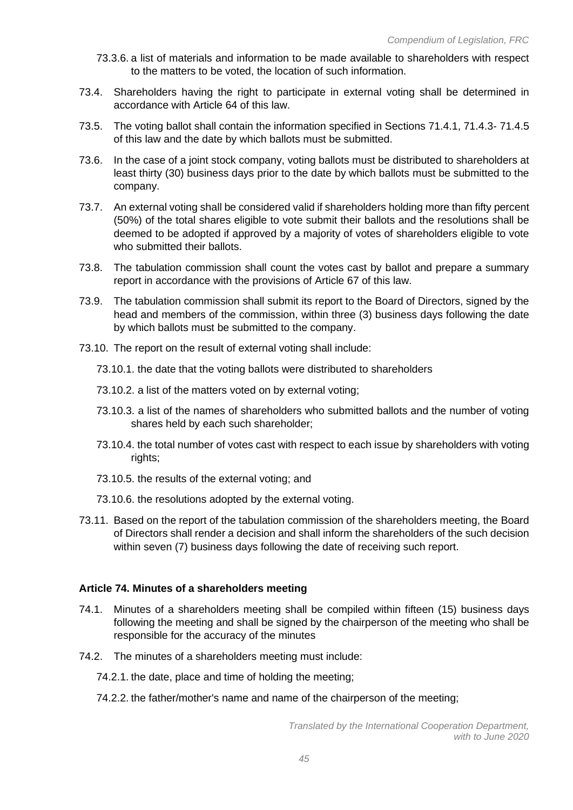- 73.3.6. a list of materials and information to be made available to shareholders with respect to the matters to be voted, the location of such information.
- 73.4. Shareholders having the right to participate in external voting shall be determined in accordance with Article 64 of this law.
- 73.5. The voting ballot shall contain the information specified in Sections 71.4.1, 71.4.3- 71.4.5 of this law and the date by which ballots must be submitted.
- 73.6. In the case of a joint stock company, voting ballots must be distributed to shareholders at least thirty (30) business days prior to the date by which ballots must be submitted to the company.
- 73.7. An external voting shall be considered valid if shareholders holding more than fifty percent (50%) of the total shares eligible to vote submit their ballots and the resolutions shall be deemed to be adopted if approved by a majority of votes of shareholders eligible to vote who submitted their ballots.
- 73.8. The tabulation commission shall count the votes cast by ballot and prepare a summary report in accordance with the provisions of Article 67 of this law.
- 73.9. The tabulation commission shall submit its report to the Board of Directors, signed by the head and members of the commission, within three (3) business days following the date by which ballots must be submitted to the company.
- 73.10. The report on the result of external voting shall include:
	- 73.10.1. the date that the voting ballots were distributed to shareholders
	- 73.10.2. a list of the matters voted on by external voting;
	- 73.10.3. a list of the names of shareholders who submitted ballots and the number of voting shares held by each such shareholder;
	- 73.10.4. the total number of votes cast with respect to each issue by shareholders with voting rights;
	- 73.10.5. the results of the external voting; and
	- 73.10.6. the resolutions adopted by the external voting.
- 73.11. Based on the report of the tabulation commission of the shareholders meeting, the Board of Directors shall render a decision and shall inform the shareholders of the such decision within seven (7) business days following the date of receiving such report.

## **Article 74. Minutes of a shareholders meeting**

- 74.1. Minutes of a shareholders meeting shall be compiled within fifteen (15) business days following the meeting and shall be signed by the chairperson of the meeting who shall be responsible for the accuracy of the minutes
- 74.2. The minutes of a shareholders meeting must include:
	- 74.2.1. the date, place and time of holding the meeting;
	- 74.2.2. the father/mother's name and name of the chairperson of the meeting;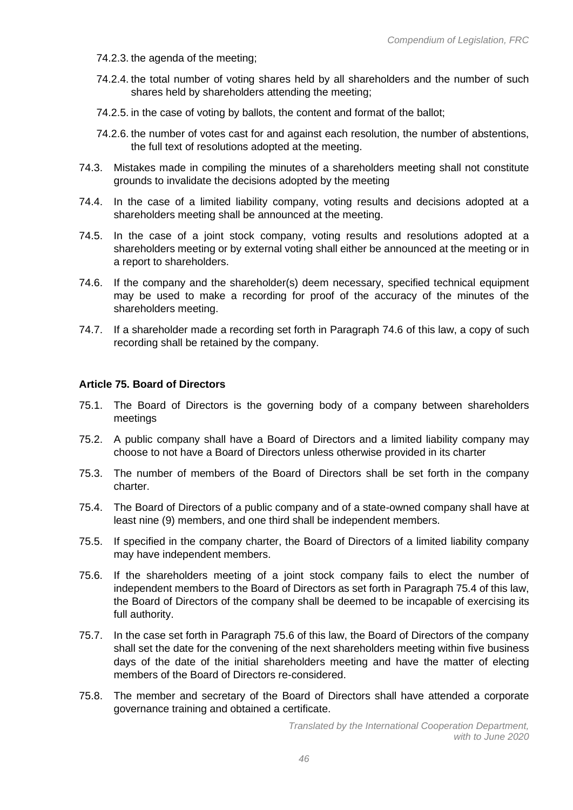- 74.2.3. the agenda of the meeting;
- 74.2.4. the total number of voting shares held by all shareholders and the number of such shares held by shareholders attending the meeting;
- 74.2.5. in the case of voting by ballots, the content and format of the ballot;
- 74.2.6. the number of votes cast for and against each resolution, the number of abstentions, the full text of resolutions adopted at the meeting.
- 74.3. Mistakes made in compiling the minutes of a shareholders meeting shall not constitute grounds to invalidate the decisions adopted by the meeting
- 74.4. In the case of a limited liability company, voting results and decisions adopted at a shareholders meeting shall be announced at the meeting.
- 74.5. In the case of a joint stock company, voting results and resolutions adopted at a shareholders meeting or by external voting shall either be announced at the meeting or in a report to shareholders.
- 74.6. If the company and the shareholder(s) deem necessary, specified technical equipment may be used to make a recording for proof of the accuracy of the minutes of the shareholders meeting.
- 74.7. If a shareholder made a recording set forth in Paragraph 74.6 of this law, a copy of such recording shall be retained by the company.

#### **Article 75. Board of Directors**

- 75.1. The Board of Directors is the governing body of a company between shareholders meetings
- 75.2. A public company shall have a Board of Directors and a limited liability company may choose to not have a Board of Directors unless otherwise provided in its charter
- 75.3. The number of members of the Board of Directors shall be set forth in the company charter.
- 75.4. The Board of Directors of a public company and of a state-owned company shall have at least nine (9) members, and one third shall be independent members.
- 75.5. If specified in the company charter, the Board of Directors of a limited liability company may have independent members.
- 75.6. If the shareholders meeting of a joint stock company fails to elect the number of independent members to the Board of Directors as set forth in Paragraph 75.4 of this law, the Board of Directors of the company shall be deemed to be incapable of exercising its full authority.
- 75.7. In the case set forth in Paragraph 75.6 of this law, the Board of Directors of the company shall set the date for the convening of the next shareholders meeting within five business days of the date of the initial shareholders meeting and have the matter of electing members of the Board of Directors re-considered.
- 75.8. The member and secretary of the Board of Directors shall have attended a corporate governance training and obtained a certificate.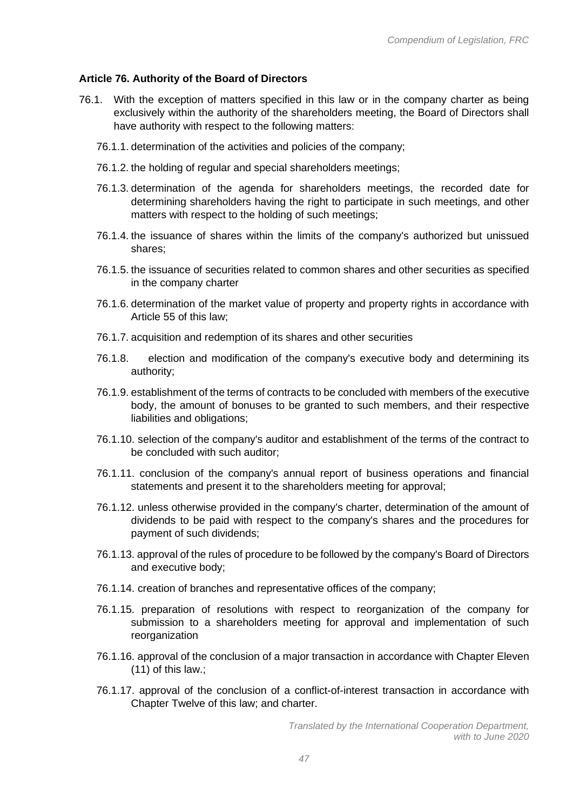#### **Article 76. Authority of the Board of Directors**

- 76.1. With the exception of matters specified in this law or in the company charter as being exclusively within the authority of the shareholders meeting, the Board of Directors shall have authority with respect to the following matters:
	- 76.1.1. determination of the activities and policies of the company;
	- 76.1.2. the holding of regular and special shareholders meetings;
	- 76.1.3. determination of the agenda for shareholders meetings, the recorded date for determining shareholders having the right to participate in such meetings, and other matters with respect to the holding of such meetings;
	- 76.1.4. the issuance of shares within the limits of the company's authorized but unissued shares;
	- 76.1.5. the issuance of securities related to common shares and other securities as specified in the company charter
	- 76.1.6. determination of the market value of property and property rights in accordance with Article 55 of this law;
	- 76.1.7. acquisition and redemption of its shares and other securities
	- 76.1.8. election and modification of the company's executive body and determining its authority;
	- 76.1.9. establishment of the terms of contracts to be concluded with members of the executive body, the amount of bonuses to be granted to such members, and their respective liabilities and obligations;
	- 76.1.10. selection of the company's auditor and establishment of the terms of the contract to be concluded with such auditor;
	- 76.1.11. conclusion of the company's annual report of business operations and financial statements and present it to the shareholders meeting for approval;
	- 76.1.12. unless otherwise provided in the company's charter, determination of the amount of dividends to be paid with respect to the company's shares and the procedures for payment of such dividends;
	- 76.1.13. approval of the rules of procedure to be followed by the company's Board of Directors and executive body;
	- 76.1.14. creation of branches and representative offices of the company;
	- 76.1.15. preparation of resolutions with respect to reorganization of the company for submission to a shareholders meeting for approval and implementation of such reorganization
	- 76.1.16. approval of the conclusion of a major transaction in accordance with Chapter Eleven (11) of this law.;
	- 76.1.17. approval of the conclusion of a conflict-of-interest transaction in accordance with Chapter Twelve of this law; and charter.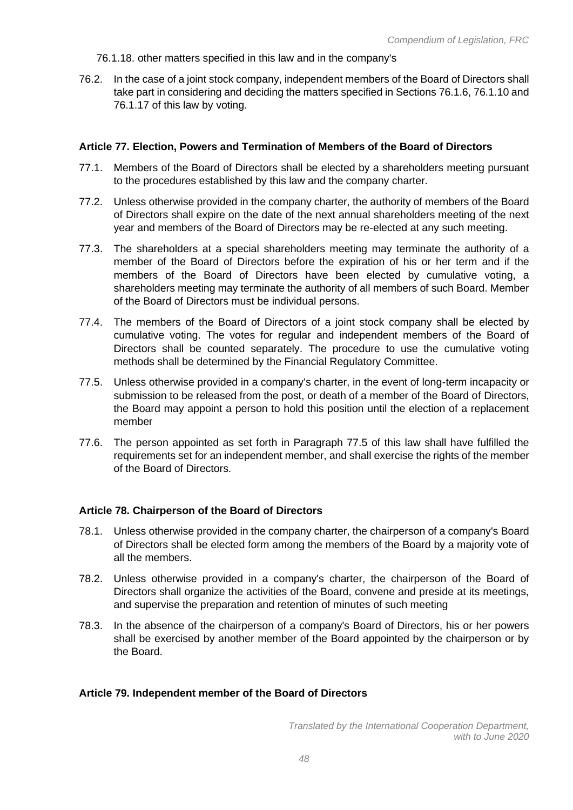76.1.18. other matters specified in this law and in the company's

76.2. In the case of a joint stock company, independent members of the Board of Directors shall take part in considering and deciding the matters specified in Sections 76.1.6, 76.1.10 and 76.1.17 of this law by voting.

## **Article 77. Election, Powers and Termination of Members of the Board of Directors**

- 77.1. Members of the Board of Directors shall be elected by a shareholders meeting pursuant to the procedures established by this law and the company charter.
- 77.2. Unless otherwise provided in the company charter, the authority of members of the Board of Directors shall expire on the date of the next annual shareholders meeting of the next year and members of the Board of Directors may be re-elected at any such meeting.
- 77.3. The shareholders at a special shareholders meeting may terminate the authority of a member of the Board of Directors before the expiration of his or her term and if the members of the Board of Directors have been elected by cumulative voting, a shareholders meeting may terminate the authority of all members of such Board. Member of the Board of Directors must be individual persons.
- 77.4. The members of the Board of Directors of a joint stock company shall be elected by cumulative voting. The votes for regular and independent members of the Board of Directors shall be counted separately. The procedure to use the cumulative voting methods shall be determined by the Financial Regulatory Committee.
- 77.5. Unless otherwise provided in a company's charter, in the event of long-term incapacity or submission to be released from the post, or death of a member of the Board of Directors, the Board may appoint a person to hold this position until the election of a replacement member
- 77.6. The person appointed as set forth in Paragraph 77.5 of this law shall have fulfilled the requirements set for an independent member, and shall exercise the rights of the member of the Board of Directors.

## **Article 78. Chairperson of the Board of Directors**

- 78.1. Unless otherwise provided in the company charter, the chairperson of a company's Board of Directors shall be elected form among the members of the Board by a majority vote of all the members.
- 78.2. Unless otherwise provided in a company's charter, the chairperson of the Board of Directors shall organize the activities of the Board, convene and preside at its meetings, and supervise the preparation and retention of minutes of such meeting
- 78.3. In the absence of the chairperson of a company's Board of Directors, his or her powers shall be exercised by another member of the Board appointed by the chairperson or by the Board.

## **Article 79. Independent member of the Board of Directors**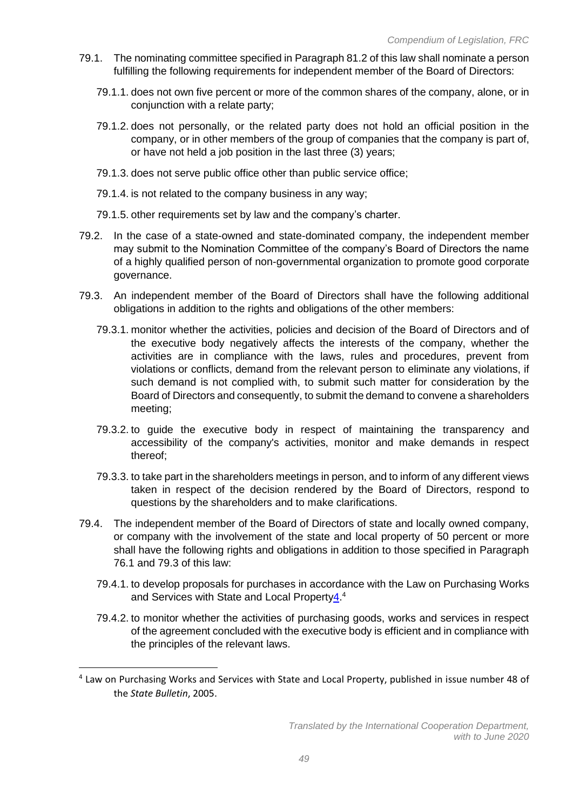- 79.1. The nominating committee specified in Paragraph 81.2 of this law shall nominate a person fulfilling the following requirements for independent member of the Board of Directors:
	- 79.1.1. does not own five percent or more of the common shares of the company, alone, or in conjunction with a relate party;
	- 79.1.2. does not personally, or the related party does not hold an official position in the company, or in other members of the group of companies that the company is part of, or have not held a job position in the last three (3) years;
	- 79.1.3. does not serve public office other than public service office;
	- 79.1.4. is not related to the company business in any way;
	- 79.1.5. other requirements set by law and the company's charter.
- 79.2. In the case of a state-owned and state-dominated company, the independent member may submit to the Nomination Committee of the company's Board of Directors the name of a highly qualified person of non-governmental organization to promote good corporate governance.
- 79.3. An independent member of the Board of Directors shall have the following additional obligations in addition to the rights and obligations of the other members:
	- 79.3.1. monitor whether the activities, policies and decision of the Board of Directors and of the executive body negatively affects the interests of the company, whether the activities are in compliance with the laws, rules and procedures, prevent from violations or conflicts, demand from the relevant person to eliminate any violations, if such demand is not complied with, to submit such matter for consideration by the Board of Directors and consequently, to submit the demand to convene a shareholders meeting;
	- 79.3.2. to guide the executive body in respect of maintaining the transparency and accessibility of the company's activities, monitor and make demands in respect thereof;
	- 79.3.3. to take part in the shareholders meetings in person, and to inform of any different views taken in respect of the decision rendered by the Board of Directors, respond to questions by the shareholders and to make clarifications.
- 79.4. The independent member of the Board of Directors of state and locally owned company, or company with the involvement of the state and local property of 50 percent or more shall have the following rights and obligations in addition to those specified in Paragraph 76.1 and 79.3 of this law:
	- 79.4.1. to develop proposals for purchases in accordance with the Law on Purchasing Works and Services with State and Local Propert[y4.](file:///C:/Users/Ariunaa/Desktop/4%20laws%20remained/Company%20and%20Licensing%20Laws%20Ian.docx%23_bookmark3)<sup>4</sup>
	- 79.4.2. to monitor whether the activities of purchasing goods, works and services in respect of the agreement concluded with the executive body is efficient and in compliance with the principles of the relevant laws.

<sup>&</sup>lt;sup>4</sup> Law on Purchasing Works and Services with State and Local Property, published in issue number 48 of the *State Bulletin*, 2005.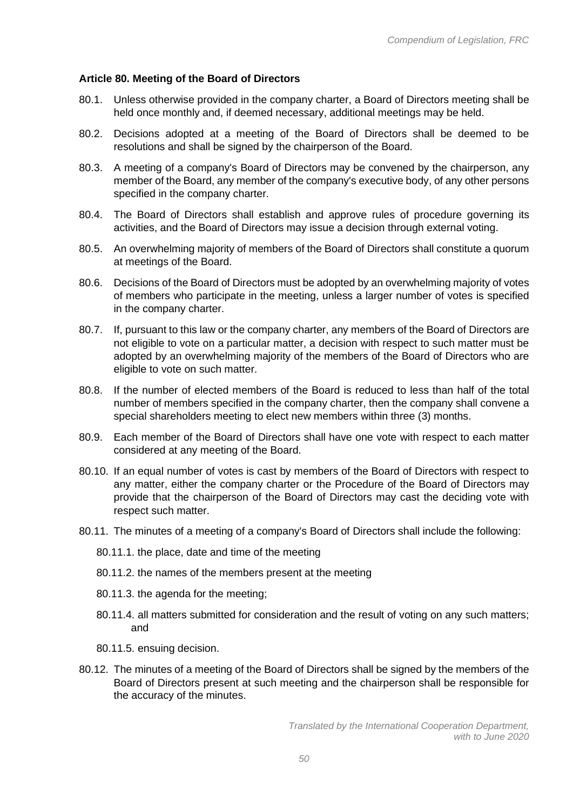## **Article 80. Meeting of the Board of Directors**

- 80.1. Unless otherwise provided in the company charter, a Board of Directors meeting shall be held once monthly and, if deemed necessary, additional meetings may be held.
- 80.2. Decisions adopted at a meeting of the Board of Directors shall be deemed to be resolutions and shall be signed by the chairperson of the Board.
- 80.3. A meeting of a company's Board of Directors may be convened by the chairperson, any member of the Board, any member of the company's executive body, of any other persons specified in the company charter.
- 80.4. The Board of Directors shall establish and approve rules of procedure governing its activities, and the Board of Directors may issue a decision through external voting.
- 80.5. An overwhelming majority of members of the Board of Directors shall constitute a quorum at meetings of the Board.
- 80.6. Decisions of the Board of Directors must be adopted by an overwhelming majority of votes of members who participate in the meeting, unless a larger number of votes is specified in the company charter.
- 80.7. If, pursuant to this law or the company charter, any members of the Board of Directors are not eligible to vote on a particular matter, a decision with respect to such matter must be adopted by an overwhelming majority of the members of the Board of Directors who are eligible to vote on such matter.
- 80.8. If the number of elected members of the Board is reduced to less than half of the total number of members specified in the company charter, then the company shall convene a special shareholders meeting to elect new members within three (3) months.
- 80.9. Each member of the Board of Directors shall have one vote with respect to each matter considered at any meeting of the Board.
- 80.10. If an equal number of votes is cast by members of the Board of Directors with respect to any matter, either the company charter or the Procedure of the Board of Directors may provide that the chairperson of the Board of Directors may cast the deciding vote with respect such matter.
- 80.11. The minutes of a meeting of a company's Board of Directors shall include the following:
	- 80.11.1. the place, date and time of the meeting
	- 80.11.2. the names of the members present at the meeting
	- 80.11.3. the agenda for the meeting;
	- 80.11.4. all matters submitted for consideration and the result of voting on any such matters; and
	- 80.11.5. ensuing decision.
- 80.12. The minutes of a meeting of the Board of Directors shall be signed by the members of the Board of Directors present at such meeting and the chairperson shall be responsible for the accuracy of the minutes.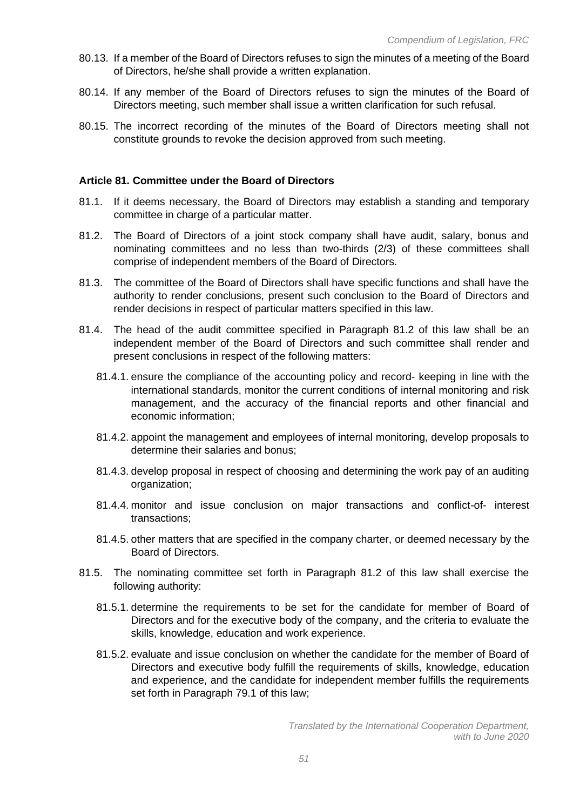- 80.13. If a member of the Board of Directors refuses to sign the minutes of a meeting of the Board of Directors, he/she shall provide a written explanation.
- 80.14. If any member of the Board of Directors refuses to sign the minutes of the Board of Directors meeting, such member shall issue a written clarification for such refusal.
- 80.15. The incorrect recording of the minutes of the Board of Directors meeting shall not constitute grounds to revoke the decision approved from such meeting.

#### **Article 81. Committee under the Board of Directors**

- 81.1. If it deems necessary, the Board of Directors may establish a standing and temporary committee in charge of a particular matter.
- 81.2. The Board of Directors of a joint stock company shall have audit, salary, bonus and nominating committees and no less than two-thirds (2/3) of these committees shall comprise of independent members of the Board of Directors.
- 81.3. The committee of the Board of Directors shall have specific functions and shall have the authority to render conclusions, present such conclusion to the Board of Directors and render decisions in respect of particular matters specified in this law.
- 81.4. The head of the audit committee specified in Paragraph 81.2 of this law shall be an independent member of the Board of Directors and such committee shall render and present conclusions in respect of the following matters:
	- 81.4.1. ensure the compliance of the accounting policy and record- keeping in line with the international standards, monitor the current conditions of internal monitoring and risk management, and the accuracy of the financial reports and other financial and economic information;
	- 81.4.2. appoint the management and employees of internal monitoring, develop proposals to determine their salaries and bonus;
	- 81.4.3. develop proposal in respect of choosing and determining the work pay of an auditing organization;
	- 81.4.4. monitor and issue conclusion on major transactions and conflict-of- interest transactions;
	- 81.4.5. other matters that are specified in the company charter, or deemed necessary by the Board of Directors.
- 81.5. The nominating committee set forth in Paragraph 81.2 of this law shall exercise the following authority:
	- 81.5.1. determine the requirements to be set for the candidate for member of Board of Directors and for the executive body of the company, and the criteria to evaluate the skills, knowledge, education and work experience.
	- 81.5.2. evaluate and issue conclusion on whether the candidate for the member of Board of Directors and executive body fulfill the requirements of skills, knowledge, education and experience, and the candidate for independent member fulfills the requirements set forth in Paragraph 79.1 of this law;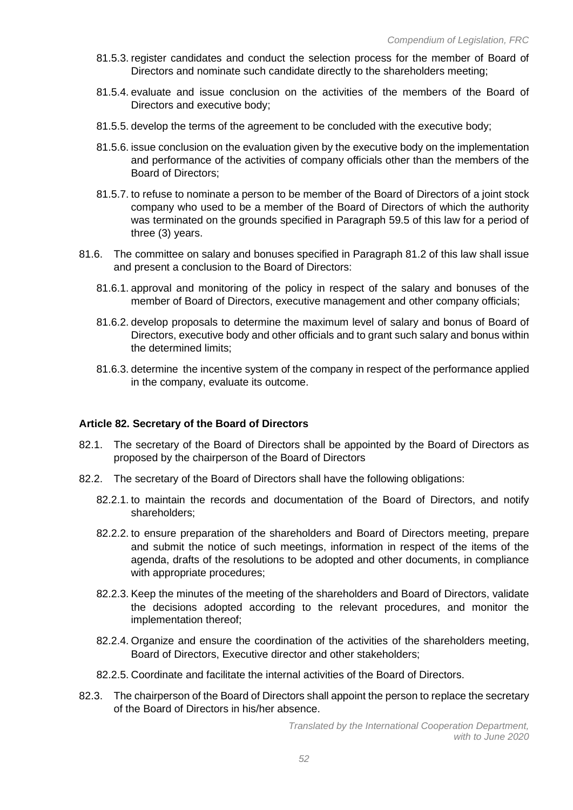- 81.5.3. register candidates and conduct the selection process for the member of Board of Directors and nominate such candidate directly to the shareholders meeting;
- 81.5.4. evaluate and issue conclusion on the activities of the members of the Board of Directors and executive body;
- 81.5.5. develop the terms of the agreement to be concluded with the executive body;
- 81.5.6. issue conclusion on the evaluation given by the executive body on the implementation and performance of the activities of company officials other than the members of the Board of Directors;
- 81.5.7. to refuse to nominate a person to be member of the Board of Directors of a joint stock company who used to be a member of the Board of Directors of which the authority was terminated on the grounds specified in Paragraph 59.5 of this law for a period of three (3) years.
- 81.6. The committee on salary and bonuses specified in Paragraph 81.2 of this law shall issue and present a conclusion to the Board of Directors:
	- 81.6.1. approval and monitoring of the policy in respect of the salary and bonuses of the member of Board of Directors, executive management and other company officials;
	- 81.6.2. develop proposals to determine the maximum level of salary and bonus of Board of Directors, executive body and other officials and to grant such salary and bonus within the determined limits;
	- 81.6.3. determine the incentive system of the company in respect of the performance applied in the company, evaluate its outcome.

## **Article 82. Secretary of the Board of Directors**

- 82.1. The secretary of the Board of Directors shall be appointed by the Board of Directors as proposed by the chairperson of the Board of Directors
- 82.2. The secretary of the Board of Directors shall have the following obligations:
	- 82.2.1. to maintain the records and documentation of the Board of Directors, and notify shareholders;
	- 82.2.2. to ensure preparation of the shareholders and Board of Directors meeting, prepare and submit the notice of such meetings, information in respect of the items of the agenda, drafts of the resolutions to be adopted and other documents, in compliance with appropriate procedures;
	- 82.2.3. Keep the minutes of the meeting of the shareholders and Board of Directors, validate the decisions adopted according to the relevant procedures, and monitor the implementation thereof;
	- 82.2.4. Organize and ensure the coordination of the activities of the shareholders meeting, Board of Directors, Executive director and other stakeholders;
	- 82.2.5. Coordinate and facilitate the internal activities of the Board of Directors.
- 82.3. The chairperson of the Board of Directors shall appoint the person to replace the secretary of the Board of Directors in his/her absence.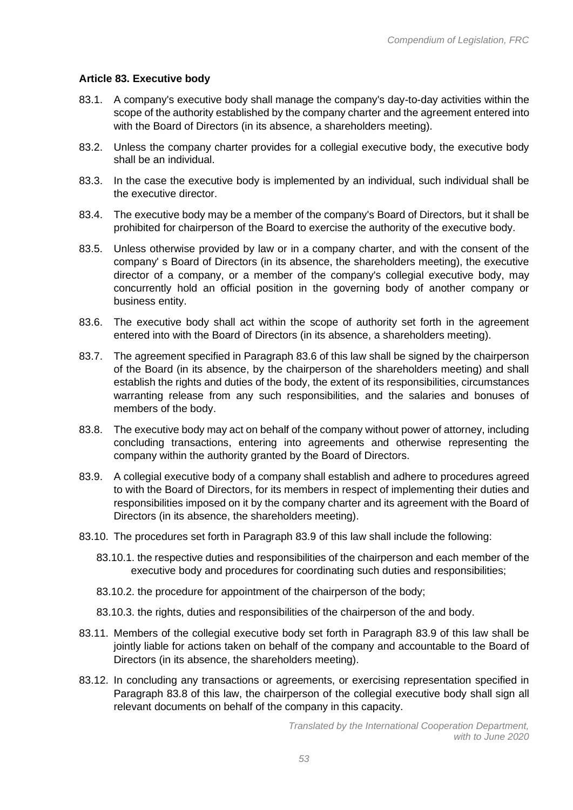# **Article 83. Executive body**

- 83.1. A company's executive body shall manage the company's day-to-day activities within the scope of the authority established by the company charter and the agreement entered into with the Board of Directors (in its absence, a shareholders meeting).
- 83.2. Unless the company charter provides for a collegial executive body, the executive body shall be an individual.
- 83.3. In the case the executive body is implemented by an individual, such individual shall be the executive director.
- 83.4. The executive body may be a member of the company's Board of Directors, but it shall be prohibited for chairperson of the Board to exercise the authority of the executive body.
- 83.5. Unless otherwise provided by law or in a company charter, and with the consent of the company' s Board of Directors (in its absence, the shareholders meeting), the executive director of a company, or a member of the company's collegial executive body, may concurrently hold an official position in the governing body of another company or business entity.
- 83.6. The executive body shall act within the scope of authority set forth in the agreement entered into with the Board of Directors (in its absence, a shareholders meeting).
- 83.7. The agreement specified in Paragraph 83.6 of this law shall be signed by the chairperson of the Board (in its absence, by the chairperson of the shareholders meeting) and shall establish the rights and duties of the body, the extent of its responsibilities, circumstances warranting release from any such responsibilities, and the salaries and bonuses of members of the body.
- 83.8. The executive body may act on behalf of the company without power of attorney, including concluding transactions, entering into agreements and otherwise representing the company within the authority granted by the Board of Directors.
- 83.9. A collegial executive body of a company shall establish and adhere to procedures agreed to with the Board of Directors, for its members in respect of implementing their duties and responsibilities imposed on it by the company charter and its agreement with the Board of Directors (in its absence, the shareholders meeting).
- 83.10. The procedures set forth in Paragraph 83.9 of this law shall include the following:
	- 83.10.1. the respective duties and responsibilities of the chairperson and each member of the executive body and procedures for coordinating such duties and responsibilities;
	- 83.10.2. the procedure for appointment of the chairperson of the body;
	- 83.10.3. the rights, duties and responsibilities of the chairperson of the and body.
- 83.11. Members of the collegial executive body set forth in Paragraph 83.9 of this law shall be jointly liable for actions taken on behalf of the company and accountable to the Board of Directors (in its absence, the shareholders meeting).
- 83.12. In concluding any transactions or agreements, or exercising representation specified in Paragraph 83.8 of this law, the chairperson of the collegial executive body shall sign all relevant documents on behalf of the company in this capacity.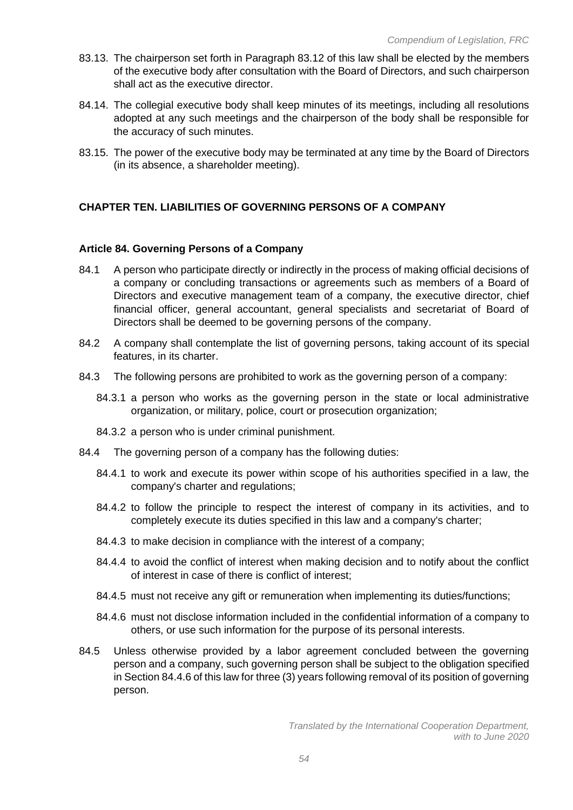- 83.13. The chairperson set forth in Paragraph 83.12 of this law shall be elected by the members of the executive body after consultation with the Board of Directors, and such chairperson shall act as the executive director.
- 84.14. The collegial executive body shall keep minutes of its meetings, including all resolutions adopted at any such meetings and the chairperson of the body shall be responsible for the accuracy of such minutes.
- 83.15. The power of the executive body may be terminated at any time by the Board of Directors (in its absence, a shareholder meeting).

# **CHAPTER TEN. LIABILITIES OF GOVERNING PERSONS OF A COMPANY**

#### **Article 84. Governing Persons of a Company**

- 84.1 A person who participate directly or indirectly in the process of making official decisions of a company or concluding transactions or agreements such as members of a Board of Directors and executive management team of a company, the executive director, chief financial officer, general accountant, general specialists and secretariat of Board of Directors shall be deemed to be governing persons of the company.
- 84.2 A company shall contemplate the list of governing persons, taking account of its special features, in its charter.
- 84.3 The following persons are prohibited to work as the governing person of a company:
	- 84.3.1 a person who works as the governing person in the state or local administrative organization, or military, police, court or prosecution organization;
	- 84.3.2 a person who is under criminal punishment.
- 84.4 The governing person of a company has the following duties:
	- 84.4.1 to work and execute its power within scope of his authorities specified in a law, the company's charter and regulations;
	- 84.4.2 to follow the principle to respect the interest of company in its activities, and to completely execute its duties specified in this law and a company's charter;
	- 84.4.3 to make decision in compliance with the interest of a company;
	- 84.4.4 to avoid the conflict of interest when making decision and to notify about the conflict of interest in case of there is conflict of interest;
	- 84.4.5 must not receive any gift or remuneration when implementing its duties/functions;
	- 84.4.6 must not disclose information included in the confidential information of a company to others, or use such information for the purpose of its personal interests.
- 84.5 Unless otherwise provided by a labor agreement concluded between the governing person and a company, such governing person shall be subject to the obligation specified in Section 84.4.6 of this law for three (3) years following removal of its position of governing person.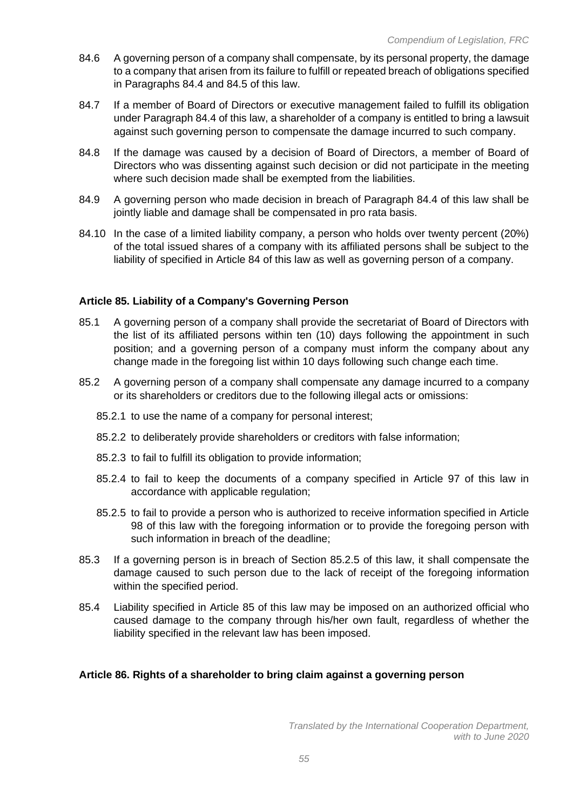- 84.6 A governing person of a company shall compensate, by its personal property, the damage to a company that arisen from its failure to fulfill or repeated breach of obligations specified in Paragraphs 84.4 and 84.5 of this law.
- 84.7 If a member of Board of Directors or executive management failed to fulfill its obligation under Paragraph 84.4 of this law, a shareholder of a company is entitled to bring a lawsuit against such governing person to compensate the damage incurred to such company.
- 84.8 If the damage was caused by a decision of Board of Directors, a member of Board of Directors who was dissenting against such decision or did not participate in the meeting where such decision made shall be exempted from the liabilities.
- 84.9 A governing person who made decision in breach of Paragraph 84.4 of this law shall be jointly liable and damage shall be compensated in pro rata basis.
- 84.10 In the case of a limited liability company, a person who holds over twenty percent (20%) of the total issued shares of a company with its affiliated persons shall be subject to the liability of specified in Article 84 of this law as well as governing person of a company.

## **Article 85. Liability of a Company's Governing Person**

- 85.1 A governing person of a company shall provide the secretariat of Board of Directors with the list of its affiliated persons within ten (10) days following the appointment in such position; and a governing person of a company must inform the company about any change made in the foregoing list within 10 days following such change each time.
- 85.2 A governing person of a company shall compensate any damage incurred to a company or its shareholders or creditors due to the following illegal acts or omissions:
	- 85.2.1 to use the name of a company for personal interest;
	- 85.2.2 to deliberately provide shareholders or creditors with false information;
	- 85.2.3 to fail to fulfill its obligation to provide information;
	- 85.2.4 to fail to keep the documents of a company specified in Article 97 of this law in accordance with applicable regulation;
	- 85.2.5 to fail to provide a person who is authorized to receive information specified in Article 98 of this law with the foregoing information or to provide the foregoing person with such information in breach of the deadline;
- 85.3 If a governing person is in breach of Section 85.2.5 of this law, it shall compensate the damage caused to such person due to the lack of receipt of the foregoing information within the specified period.
- 85.4 Liability specified in Article 85 of this law may be imposed on an authorized official who caused damage to the company through his/her own fault, regardless of whether the liability specified in the relevant law has been imposed.

## **Article 86. Rights of a shareholder to bring claim against a governing person**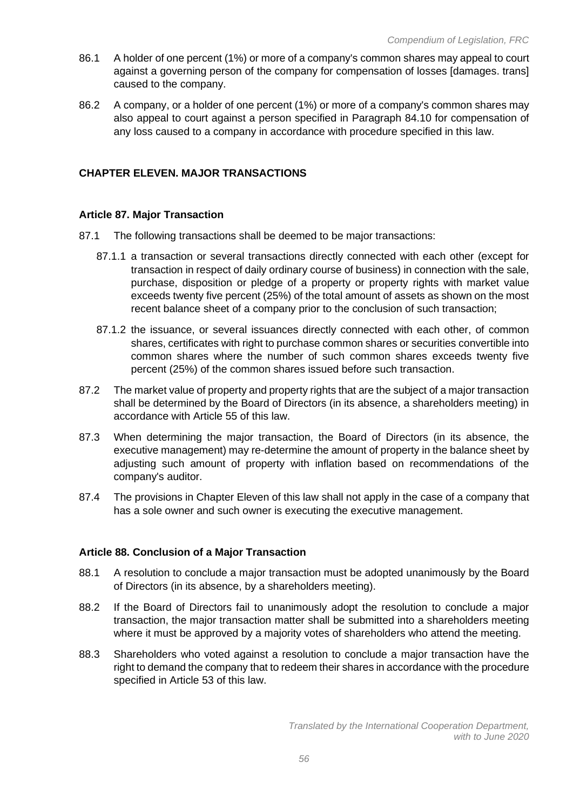- 86.1 A holder of one percent (1%) or more of a company's common shares may appeal to court against a governing person of the company for compensation of losses [damages. trans] caused to the company.
- 86.2 A company, or a holder of one percent (1%) or more of a company's common shares may also appeal to court against a person specified in Paragraph 84.10 for compensation of any loss caused to a company in accordance with procedure specified in this law.

# **CHAPTER ELEVEN. MAJOR TRANSACTIONS**

#### **Article 87. Major Transaction**

- 87.1 The following transactions shall be deemed to be major transactions:
	- 87.1.1 a transaction or several transactions directly connected with each other (except for transaction in respect of daily ordinary course of business) in connection with the sale, purchase, disposition or pledge of a property or property rights with market value exceeds twenty five percent (25%) of the total amount of assets as shown on the most recent balance sheet of a company prior to the conclusion of such transaction;
	- 87.1.2 the issuance, or several issuances directly connected with each other, of common shares, certificates with right to purchase common shares or securities convertible into common shares where the number of such common shares exceeds twenty five percent (25%) of the common shares issued before such transaction.
- 87.2 The market value of property and property rights that are the subject of a major transaction shall be determined by the Board of Directors (in its absence, a shareholders meeting) in accordance with Article 55 of this law.
- 87.3 When determining the major transaction, the Board of Directors (in its absence, the executive management) may re-determine the amount of property in the balance sheet by adjusting such amount of property with inflation based on recommendations of the company's auditor.
- 87.4 The provisions in Chapter Eleven of this law shall not apply in the case of a company that has a sole owner and such owner is executing the executive management.

## **Article 88. Conclusion of a Major Transaction**

- 88.1 A resolution to conclude a major transaction must be adopted unanimously by the Board of Directors (in its absence, by a shareholders meeting).
- 88.2 If the Board of Directors fail to unanimously adopt the resolution to conclude a major transaction, the major transaction matter shall be submitted into a shareholders meeting where it must be approved by a majority votes of shareholders who attend the meeting.
- 88.3 Shareholders who voted against a resolution to conclude a major transaction have the right to demand the company that to redeem their shares in accordance with the procedure specified in Article 53 of this law.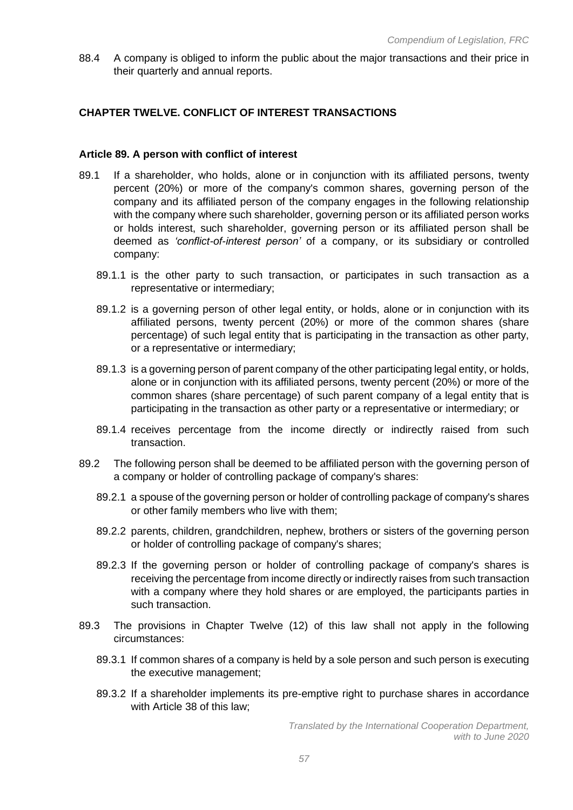88.4 A company is obliged to inform the public about the major transactions and their price in their quarterly and annual reports.

# **CHAPTER TWELVE. CONFLICT OF INTEREST TRANSACTIONS**

## **Article 89. A person with conflict of interest**

- 89.1 If a shareholder, who holds, alone or in conjunction with its affiliated persons, twenty percent (20%) or more of the company's common shares, governing person of the company and its affiliated person of the company engages in the following relationship with the company where such shareholder, governing person or its affiliated person works or holds interest, such shareholder, governing person or its affiliated person shall be deemed as *'conflict-of-interest person'* of a company, or its subsidiary or controlled company:
	- 89.1.1 is the other party to such transaction, or participates in such transaction as a representative or intermediary;
	- 89.1.2 is a governing person of other legal entity, or holds, alone or in conjunction with its affiliated persons, twenty percent (20%) or more of the common shares (share percentage) of such legal entity that is participating in the transaction as other party, or a representative or intermediary;
	- 89.1.3 is a governing person of parent company of the other participating legal entity, or holds, alone or in conjunction with its affiliated persons, twenty percent (20%) or more of the common shares (share percentage) of such parent company of a legal entity that is participating in the transaction as other party or a representative or intermediary; or
	- 89.1.4 receives percentage from the income directly or indirectly raised from such transaction.
- 89.2 The following person shall be deemed to be affiliated person with the governing person of a company or holder of controlling package of company's shares:
	- 89.2.1 a spouse of the governing person or holder of controlling package of company's shares or other family members who live with them;
	- 89.2.2 parents, children, grandchildren, nephew, brothers or sisters of the governing person or holder of controlling package of company's shares;
	- 89.2.3 If the governing person or holder of controlling package of company's shares is receiving the percentage from income directly or indirectly raises from such transaction with a company where they hold shares or are employed, the participants parties in such transaction.
- 89.3 The provisions in Chapter Twelve (12) of this law shall not apply in the following circumstances:
	- 89.3.1 If common shares of a company is held by a sole person and such person is executing the executive management;
	- 89.3.2 If a shareholder implements its pre-emptive right to purchase shares in accordance with Article 38 of this law;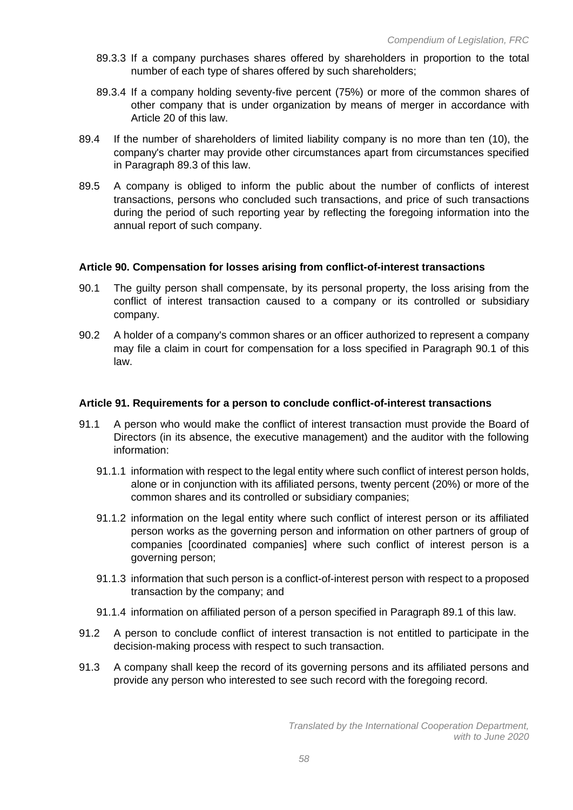- 89.3.3 If a company purchases shares offered by shareholders in proportion to the total number of each type of shares offered by such shareholders;
- 89.3.4 If a company holding seventy-five percent (75%) or more of the common shares of other company that is under organization by means of merger in accordance with Article 20 of this law.
- 89.4 If the number of shareholders of limited liability company is no more than ten (10), the company's charter may provide other circumstances apart from circumstances specified in Paragraph 89.3 of this law.
- 89.5 A company is obliged to inform the public about the number of conflicts of interest transactions, persons who concluded such transactions, and price of such transactions during the period of such reporting year by reflecting the foregoing information into the annual report of such company.

## **Article 90. Compensation for losses arising from conflict-of-interest transactions**

- 90.1 The guilty person shall compensate, by its personal property, the loss arising from the conflict of interest transaction caused to a company or its controlled or subsidiary company.
- 90.2 A holder of a company's common shares or an officer authorized to represent a company may file a claim in court for compensation for a loss specified in Paragraph 90.1 of this law.

## **Article 91. Requirements for a person to conclude conflict-of-interest transactions**

- 91.1 A person who would make the conflict of interest transaction must provide the Board of Directors (in its absence, the executive management) and the auditor with the following information:
	- 91.1.1 information with respect to the legal entity where such conflict of interest person holds, alone or in conjunction with its affiliated persons, twenty percent (20%) or more of the common shares and its controlled or subsidiary companies;
	- 91.1.2 information on the legal entity where such conflict of interest person or its affiliated person works as the governing person and information on other partners of group of companies [coordinated companies] where such conflict of interest person is a governing person;
	- 91.1.3 information that such person is a conflict-of-interest person with respect to a proposed transaction by the company; and
	- 91.1.4 information on affiliated person of a person specified in Paragraph 89.1 of this law.
- 91.2 A person to conclude conflict of interest transaction is not entitled to participate in the decision-making process with respect to such transaction.
- 91.3 A company shall keep the record of its governing persons and its affiliated persons and provide any person who interested to see such record with the foregoing record.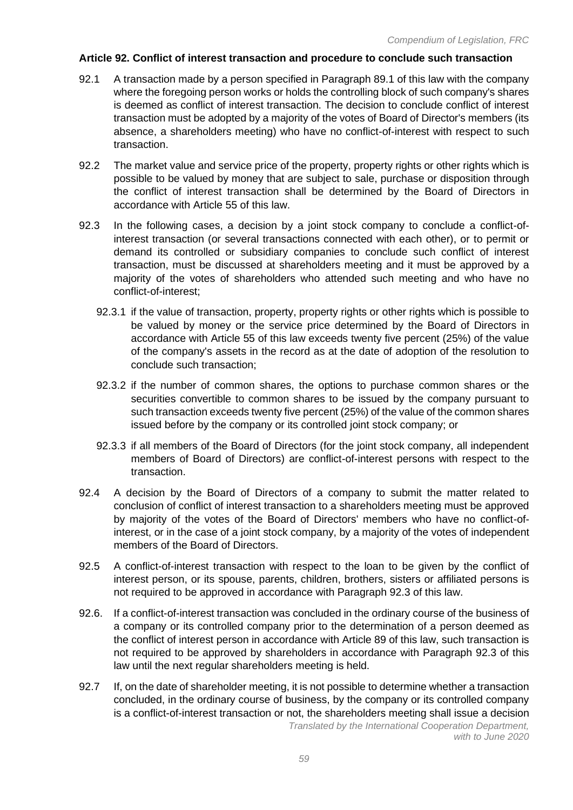## **Article 92. Conflict of interest transaction and procedure to conclude such transaction**

- 92.1 A transaction made by a person specified in Paragraph 89.1 of this law with the company where the foregoing person works or holds the controlling block of such company's shares is deemed as conflict of interest transaction. The decision to conclude conflict of interest transaction must be adopted by a majority of the votes of Board of Director's members (its absence, a shareholders meeting) who have no conflict-of-interest with respect to such transaction.
- 92.2 The market value and service price of the property, property rights or other rights which is possible to be valued by money that are subject to sale, purchase or disposition through the conflict of interest transaction shall be determined by the Board of Directors in accordance with Article 55 of this law.
- 92.3 In the following cases, a decision by a joint stock company to conclude a conflict-ofinterest transaction (or several transactions connected with each other), or to permit or demand its controlled or subsidiary companies to conclude such conflict of interest transaction, must be discussed at shareholders meeting and it must be approved by a majority of the votes of shareholders who attended such meeting and who have no conflict-of-interest;
	- 92.3.1 if the value of transaction, property, property rights or other rights which is possible to be valued by money or the service price determined by the Board of Directors in accordance with Article 55 of this law exceeds twenty five percent (25%) of the value of the company's assets in the record as at the date of adoption of the resolution to conclude such transaction;
	- 92.3.2 if the number of common shares, the options to purchase common shares or the securities convertible to common shares to be issued by the company pursuant to such transaction exceeds twenty five percent (25%) of the value of the common shares issued before by the company or its controlled joint stock company; or
	- 92.3.3 if all members of the Board of Directors (for the joint stock company, all independent members of Board of Directors) are conflict-of-interest persons with respect to the transaction.
- 92.4 A decision by the Board of Directors of a company to submit the matter related to conclusion of conflict of interest transaction to a shareholders meeting must be approved by majority of the votes of the Board of Directors' members who have no conflict-ofinterest, or in the case of a joint stock company, by a majority of the votes of independent members of the Board of Directors.
- 92.5 A conflict-of-interest transaction with respect to the loan to be given by the conflict of interest person, or its spouse, parents, children, brothers, sisters or affiliated persons is not required to be approved in accordance with Paragraph 92.3 of this law.
- 92.6. If a conflict-of-interest transaction was concluded in the ordinary course of the business of a company or its controlled company prior to the determination of a person deemed as the conflict of interest person in accordance with Article 89 of this law, such transaction is not required to be approved by shareholders in accordance with Paragraph 92.3 of this law until the next regular shareholders meeting is held.
- 92.7 If, on the date of shareholder meeting, it is not possible to determine whether a transaction concluded, in the ordinary course of business, by the company or its controlled company is a conflict-of-interest transaction or not, the shareholders meeting shall issue a decision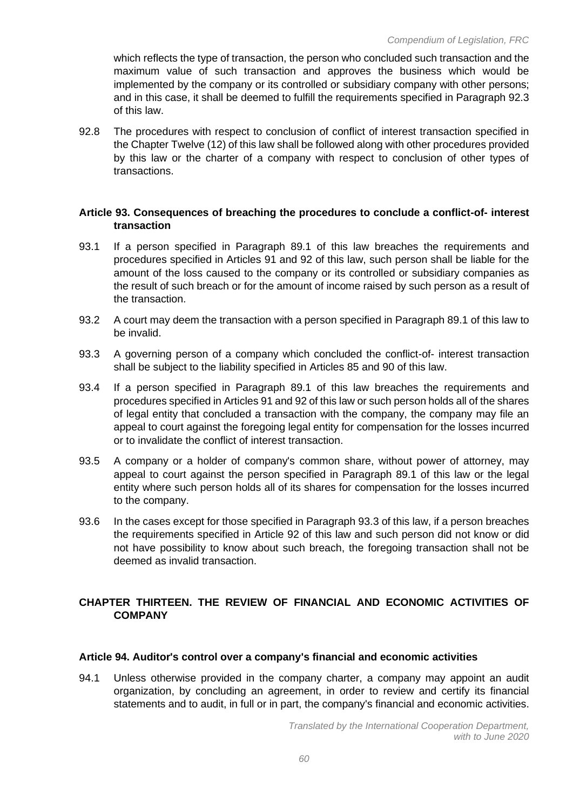which reflects the type of transaction, the person who concluded such transaction and the maximum value of such transaction and approves the business which would be implemented by the company or its controlled or subsidiary company with other persons; and in this case, it shall be deemed to fulfill the requirements specified in Paragraph 92.3 of this law.

92.8 The procedures with respect to conclusion of conflict of interest transaction specified in the Chapter Twelve (12) of this law shall be followed along with other procedures provided by this law or the charter of a company with respect to conclusion of other types of transactions.

## **Article 93. Consequences of breaching the procedures to conclude a conflict-of- interest transaction**

- 93.1 If a person specified in Paragraph 89.1 of this law breaches the requirements and procedures specified in Articles 91 and 92 of this law, such person shall be liable for the amount of the loss caused to the company or its controlled or subsidiary companies as the result of such breach or for the amount of income raised by such person as a result of the transaction.
- 93.2 A court may deem the transaction with a person specified in Paragraph 89.1 of this law to be invalid.
- 93.3 A governing person of a company which concluded the conflict-of- interest transaction shall be subject to the liability specified in Articles 85 and 90 of this law.
- 93.4 If a person specified in Paragraph 89.1 of this law breaches the requirements and procedures specified in Articles 91 and 92 of this law or such person holds all of the shares of legal entity that concluded a transaction with the company, the company may file an appeal to court against the foregoing legal entity for compensation for the losses incurred or to invalidate the conflict of interest transaction.
- 93.5 A company or a holder of company's common share, without power of attorney, may appeal to court against the person specified in Paragraph 89.1 of this law or the legal entity where such person holds all of its shares for compensation for the losses incurred to the company.
- 93.6 In the cases except for those specified in Paragraph 93.3 of this law, if a person breaches the requirements specified in Article 92 of this law and such person did not know or did not have possibility to know about such breach, the foregoing transaction shall not be deemed as invalid transaction.

# **CHAPTER THIRTEEN. THE REVIEW OF FINANCIAL AND ECONOMIC ACTIVITIES OF COMPANY**

## **Article 94. Auditor's control over a company's financial and economic activities**

94.1 Unless otherwise provided in the company charter, a company may appoint an audit organization, by concluding an agreement, in order to review and certify its financial statements and to audit, in full or in part, the company's financial and economic activities.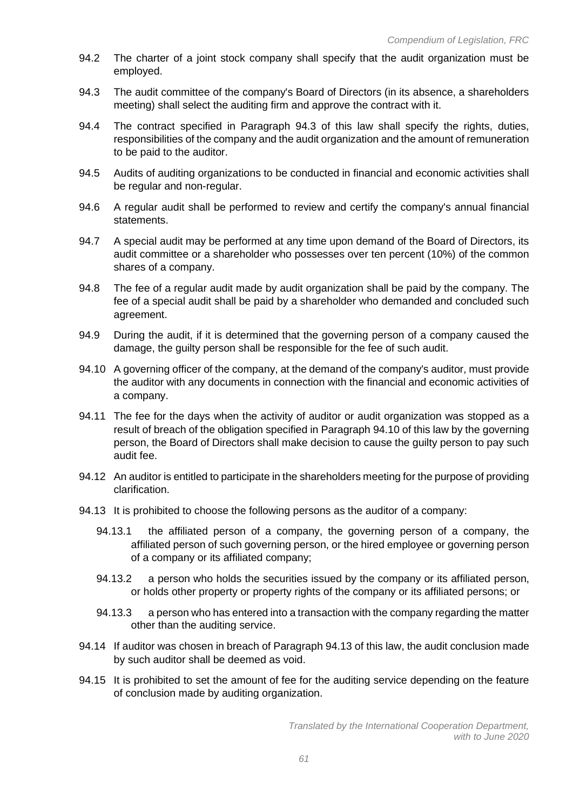- 94.2 The charter of a joint stock company shall specify that the audit organization must be employed.
- 94.3 The audit committee of the company's Board of Directors (in its absence, a shareholders meeting) shall select the auditing firm and approve the contract with it.
- 94.4 The contract specified in Paragraph 94.3 of this law shall specify the rights, duties, responsibilities of the company and the audit organization and the amount of remuneration to be paid to the auditor.
- 94.5 Audits of auditing organizations to be conducted in financial and economic activities shall be regular and non-regular.
- 94.6 A regular audit shall be performed to review and certify the company's annual financial statements.
- 94.7 A special audit may be performed at any time upon demand of the Board of Directors, its audit committee or a shareholder who possesses over ten percent (10%) of the common shares of a company.
- 94.8 The fee of a regular audit made by audit organization shall be paid by the company. The fee of a special audit shall be paid by a shareholder who demanded and concluded such agreement.
- 94.9 During the audit, if it is determined that the governing person of a company caused the damage, the guilty person shall be responsible for the fee of such audit.
- 94.10 A governing officer of the company, at the demand of the company's auditor, must provide the auditor with any documents in connection with the financial and economic activities of a company.
- 94.11 The fee for the days when the activity of auditor or audit organization was stopped as a result of breach of the obligation specified in Paragraph 94.10 of this law by the governing person, the Board of Directors shall make decision to cause the guilty person to pay such audit fee.
- 94.12 An auditor is entitled to participate in the shareholders meeting for the purpose of providing clarification.
- 94.13 It is prohibited to choose the following persons as the auditor of a company:
	- 94.13.1 the affiliated person of a company, the governing person of a company, the affiliated person of such governing person, or the hired employee or governing person of a company or its affiliated company;
	- 94.13.2 a person who holds the securities issued by the company or its affiliated person, or holds other property or property rights of the company or its affiliated persons; or
	- 94.13.3 a person who has entered into a transaction with the company regarding the matter other than the auditing service.
- 94.14 If auditor was chosen in breach of Paragraph 94.13 of this law, the audit conclusion made by such auditor shall be deemed as void.
- 94.15 It is prohibited to set the amount of fee for the auditing service depending on the feature of conclusion made by auditing organization.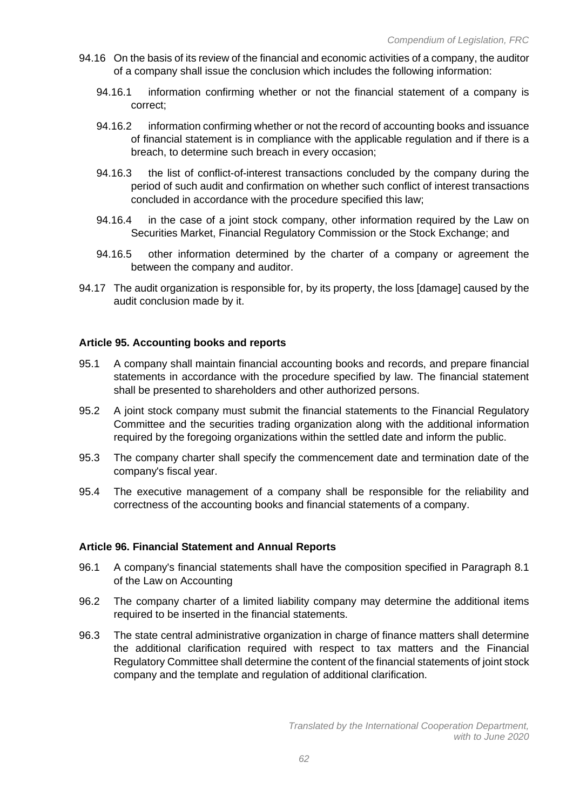- 94.16 On the basis of its review of the financial and economic activities of a company, the auditor of a company shall issue the conclusion which includes the following information:
	- 94.16.1 information confirming whether or not the financial statement of a company is correct;
	- 94.16.2 information confirming whether or not the record of accounting books and issuance of financial statement is in compliance with the applicable regulation and if there is a breach, to determine such breach in every occasion;
	- 94.16.3 the list of conflict-of-interest transactions concluded by the company during the period of such audit and confirmation on whether such conflict of interest transactions concluded in accordance with the procedure specified this law;
	- 94.16.4 in the case of a joint stock company, other information required by the Law on Securities Market, Financial Regulatory Commission or the Stock Exchange; and
	- 94.16.5 other information determined by the charter of a company or agreement the between the company and auditor.
- 94.17 The audit organization is responsible for, by its property, the loss [damage] caused by the audit conclusion made by it.

## **Article 95. Accounting books and reports**

- 95.1 A company shall maintain financial accounting books and records, and prepare financial statements in accordance with the procedure specified by law. The financial statement shall be presented to shareholders and other authorized persons.
- 95.2 A joint stock company must submit the financial statements to the Financial Regulatory Committee and the securities trading organization along with the additional information required by the foregoing organizations within the settled date and inform the public.
- 95.3 The company charter shall specify the commencement date and termination date of the company's fiscal year.
- 95.4 The executive management of a company shall be responsible for the reliability and correctness of the accounting books and financial statements of a company.

#### **Article 96. Financial Statement and Annual Reports**

- 96.1 A company's financial statements shall have the composition specified in Paragraph 8.1 of the Law on Accounting
- 96.2 The company charter of a limited liability company may determine the additional items required to be inserted in the financial statements.
- 96.3 The state central administrative organization in charge of finance matters shall determine the additional clarification required with respect to tax matters and the Financial Regulatory Committee shall determine the content of the financial statements of joint stock company and the template and regulation of additional clarification.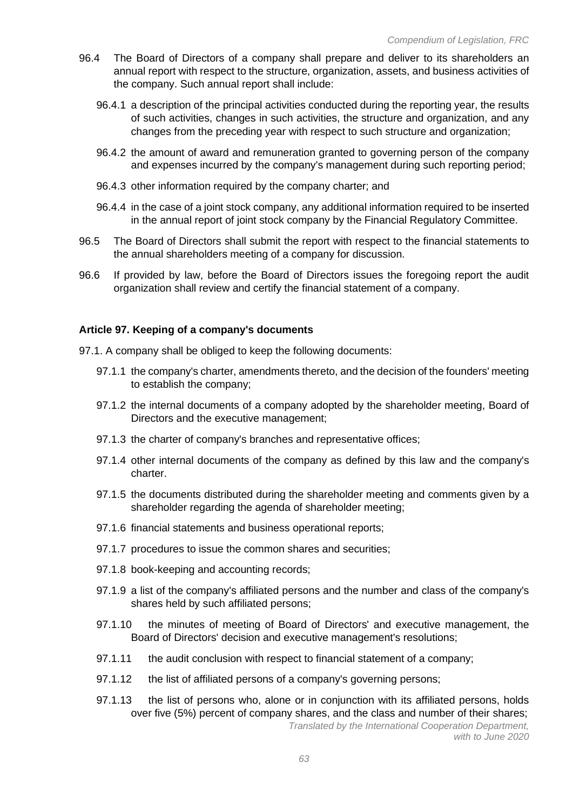- 96.4 The Board of Directors of a company shall prepare and deliver to its shareholders an annual report with respect to the structure, organization, assets, and business activities of the company. Such annual report shall include:
	- 96.4.1 a description of the principal activities conducted during the reporting year, the results of such activities, changes in such activities, the structure and organization, and any changes from the preceding year with respect to such structure and organization;
	- 96.4.2 the amount of award and remuneration granted to governing person of the company and expenses incurred by the company's management during such reporting period;
	- 96.4.3 other information required by the company charter; and
	- 96.4.4 in the case of a joint stock company, any additional information required to be inserted in the annual report of joint stock company by the Financial Regulatory Committee.
- 96.5 The Board of Directors shall submit the report with respect to the financial statements to the annual shareholders meeting of a company for discussion.
- 96.6 If provided by law, before the Board of Directors issues the foregoing report the audit organization shall review and certify the financial statement of a company.

#### **Article 97. Keeping of a company's documents**

- 97.1. A company shall be obliged to keep the following documents:
	- 97.1.1 the company's charter, amendments thereto, and the decision of the founders' meeting to establish the company;
	- 97.1.2 the internal documents of a company adopted by the shareholder meeting, Board of Directors and the executive management;
	- 97.1.3 the charter of company's branches and representative offices;
	- 97.1.4 other internal documents of the company as defined by this law and the company's charter.
	- 97.1.5 the documents distributed during the shareholder meeting and comments given by a shareholder regarding the agenda of shareholder meeting;
	- 97.1.6 financial statements and business operational reports;
	- 97.1.7 procedures to issue the common shares and securities;
	- 97.1.8 book-keeping and accounting records;
	- 97.1.9 a list of the company's affiliated persons and the number and class of the company's shares held by such affiliated persons;
	- 97.1.10 the minutes of meeting of Board of Directors' and executive management, the Board of Directors' decision and executive management's resolutions;
	- 97.1.11 the audit conclusion with respect to financial statement of a company;
	- 97.1.12 the list of affiliated persons of a company's governing persons;
	- 97.1.13 the list of persons who, alone or in conjunction with its affiliated persons, holds over five (5%) percent of company shares, and the class and number of their shares;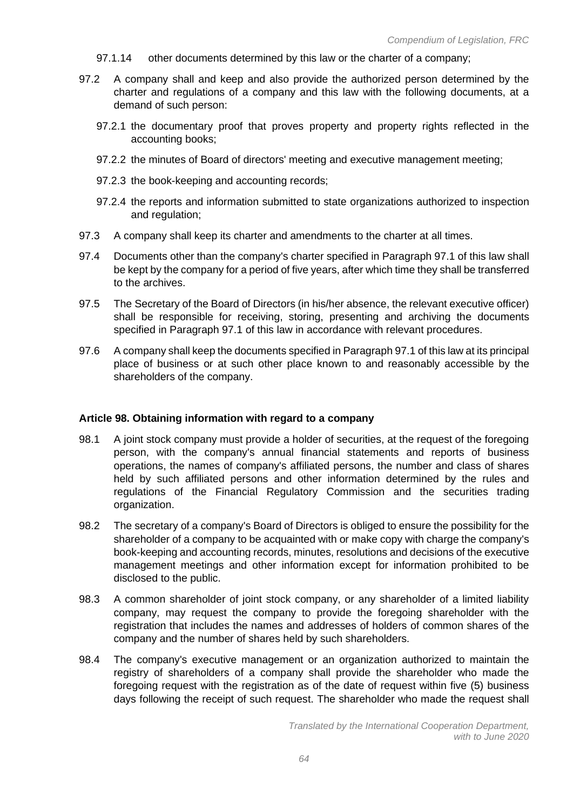- 97.1.14 other documents determined by this law or the charter of a company;
- 97.2 A company shall and keep and also provide the authorized person determined by the charter and regulations of a company and this law with the following documents, at a demand of such person:
	- 97.2.1 the documentary proof that proves property and property rights reflected in the accounting books;
	- 97.2.2 the minutes of Board of directors' meeting and executive management meeting;
	- 97.2.3 the book-keeping and accounting records;
	- 97.2.4 the reports and information submitted to state organizations authorized to inspection and regulation;
- 97.3 A company shall keep its charter and amendments to the charter at all times.
- 97.4 Documents other than the company's charter specified in Paragraph 97.1 of this law shall be kept by the company for a period of five years, after which time they shall be transferred to the archives.
- 97.5 The Secretary of the Board of Directors (in his/her absence, the relevant executive officer) shall be responsible for receiving, storing, presenting and archiving the documents specified in Paragraph 97.1 of this law in accordance with relevant procedures.
- 97.6 A company shall keep the documents specified in Paragraph 97.1 of this law at its principal place of business or at such other place known to and reasonably accessible by the shareholders of the company.

#### **Article 98. Obtaining information with regard to a company**

- 98.1 A joint stock company must provide a holder of securities, at the request of the foregoing person, with the company's annual financial statements and reports of business operations, the names of company's affiliated persons, the number and class of shares held by such affiliated persons and other information determined by the rules and regulations of the Financial Regulatory Commission and the securities trading organization.
- 98.2 The secretary of a company's Board of Directors is obliged to ensure the possibility for the shareholder of a company to be acquainted with or make copy with charge the company's book-keeping and accounting records, minutes, resolutions and decisions of the executive management meetings and other information except for information prohibited to be disclosed to the public.
- 98.3 A common shareholder of joint stock company, or any shareholder of a limited liability company, may request the company to provide the foregoing shareholder with the registration that includes the names and addresses of holders of common shares of the company and the number of shares held by such shareholders.
- 98.4 The company's executive management or an organization authorized to maintain the registry of shareholders of a company shall provide the shareholder who made the foregoing request with the registration as of the date of request within five (5) business days following the receipt of such request. The shareholder who made the request shall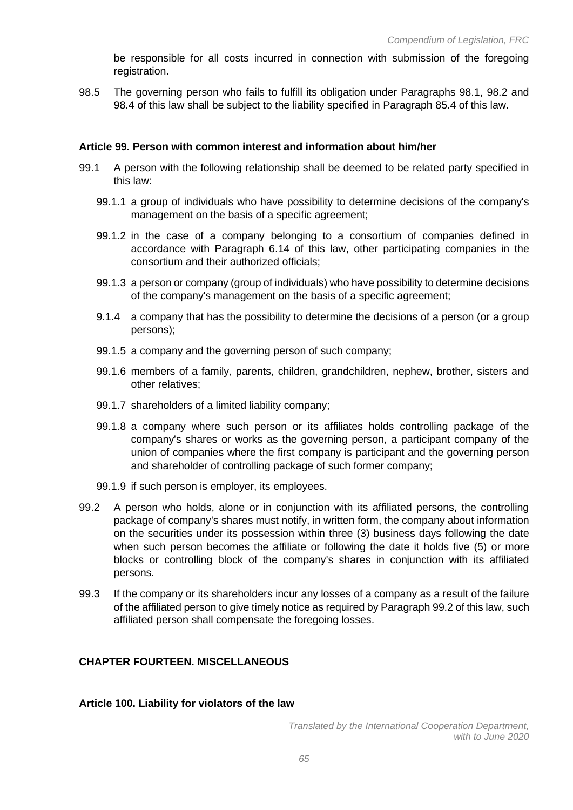be responsible for all costs incurred in connection with submission of the foregoing registration.

98.5 The governing person who fails to fulfill its obligation under Paragraphs 98.1, 98.2 and 98.4 of this law shall be subject to the liability specified in Paragraph 85.4 of this law.

## **Article 99. Person with common interest and information about him/her**

- 99.1 A person with the following relationship shall be deemed to be related party specified in this law:
	- 99.1.1 a group of individuals who have possibility to determine decisions of the company's management on the basis of a specific agreement;
	- 99.1.2 in the case of a company belonging to a consortium of companies defined in accordance with Paragraph 6.14 of this law, other participating companies in the consortium and their authorized officials;
	- 99.1.3 a person or company (group of individuals) who have possibility to determine decisions of the company's management on the basis of a specific agreement;
	- 9.1.4 a company that has the possibility to determine the decisions of a person (or a group persons);
	- 99.1.5 a company and the governing person of such company;
	- 99.1.6 members of a family, parents, children, grandchildren, nephew, brother, sisters and other relatives;
	- 99.1.7 shareholders of a limited liability company;
	- 99.1.8 a company where such person or its affiliates holds controlling package of the company's shares or works as the governing person, a participant company of the union of companies where the first company is participant and the governing person and shareholder of controlling package of such former company;
	- 99.1.9 if such person is employer, its employees.
- 99.2 A person who holds, alone or in conjunction with its affiliated persons, the controlling package of company's shares must notify, in written form, the company about information on the securities under its possession within three (3) business days following the date when such person becomes the affiliate or following the date it holds five (5) or more blocks or controlling block of the company's shares in conjunction with its affiliated persons.
- 99.3 If the company or its shareholders incur any losses of a company as a result of the failure of the affiliated person to give timely notice as required by Paragraph 99.2 of this law, such affiliated person shall compensate the foregoing losses.

# **CHAPTER FOURTEEN. MISCELLANEOUS**

#### **Article 100. Liability for violators of the law**